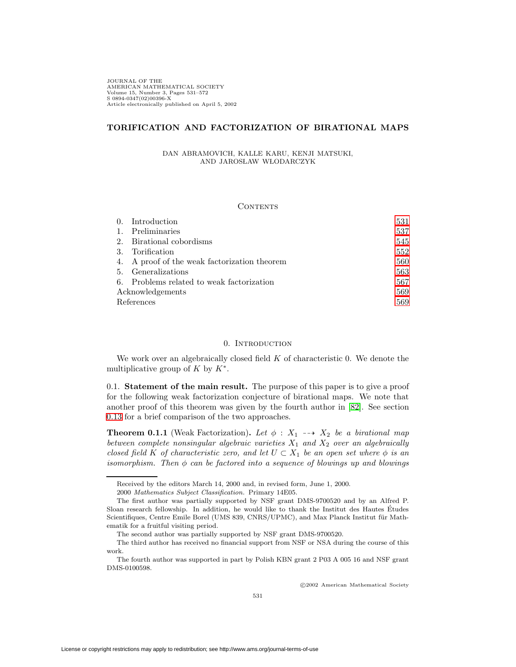JOURNAL OF THE AMERICAN MATHEMATICAL SOCIETY Volume 15, Number 3, Pages 531–572 S 0894-0347(02)00396-X Article electronically published on April 5, 2002

# **TORIFICATION AND FACTORIZATION OF BIRATIONAL MAPS**

DAN ABRAMOVICH, KALLE KARU, KENJI MATSUKI, AND JAROSŁAW WŁODARCZYK

#### **CONTENTS**

|                | 0. Introduction                              | 531 |
|----------------|----------------------------------------------|-----|
| $\mathbf{1}$ . | Preliminaries                                | 537 |
|                | 2. Birational cobordisms                     | 545 |
| 3.             | Torification                                 | 552 |
|                | 4. A proof of the weak factorization theorem | 560 |
|                | 5. Generalizations                           | 563 |
|                | 6. Problems related to weak factorization    | 567 |
|                | Acknowledgements                             | 569 |
|                | References                                   | 569 |

## 0. Introduction

<span id="page-0-0"></span>We work over an algebraically closed field  $K$  of characteristic 0. We denote the multiplicative group of K by  $K^*$ .

0.1. **Statement of the main result.** The purpose of this paper is to give a proof for the following weak factorization conjecture of birational maps. We note that another proof of this theorem was given by the fourth author in [\[82\]](#page-41-0). See section [0.13](#page-6-1) for a brief comparison of the two approaches.

<span id="page-0-1"></span>**Theorem 0.1.1** (Weak Factorization). Let  $\phi : X_1 \longrightarrow X_2$  be a birational map between complete nonsingular algebraic varieties  $X_1$  and  $X_2$  over an algebraically closed field K of characteristic zero, and let  $U \subset X_1$  be an open set where  $\phi$  is an isomorphism. Then  $\phi$  can be factored into a sequence of blowings up and blowings

c 2002 American Mathematical Society

Received by the editors March 14, 2000 and, in revised form, June 1, 2000.

<sup>2000</sup> Mathematics Subject Classification. Primary 14E05.

The first author was partially supported by NSF grant DMS-9700520 and by an Alfred P. Sloan research fellowship. In addition, he would like to thank the Institut des Hautes Etudes ´ Scientifiques, Centre Emile Borel (UMS 839, CNRS/UPMC), and Max Planck Institut für Mathematik for a fruitful visiting period.

The second author was partially supported by NSF grant DMS-9700520.

The third author has received no financial support from NSF or NSA during the course of this work.

The fourth author was supported in part by Polish KBN grant 2 P03 A 005 16 and NSF grant DMS-0100598.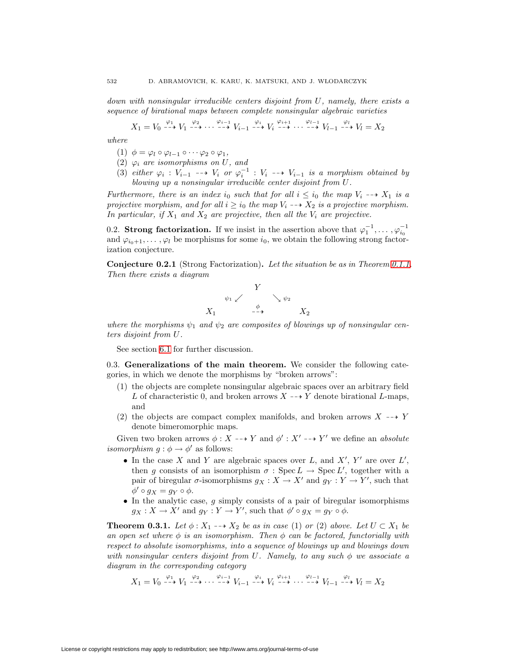down with nonsingular irreducible centers disjoint from U, namely, there exists a sequence of birational maps between complete nonsingular algebraic varieties

$$
X_1 = V_0 \xrightarrow{\varphi_1} V_1 \xrightarrow{\varphi_2} \cdots \xrightarrow{\varphi_{i-1}} V_{i-1} \xrightarrow{\varphi_i} V_i \xrightarrow{\varphi_{i+1}} \cdots \xrightarrow{\varphi_{l-1}} V_{l-1} \xrightarrow{\varphi_l} V_l = X_2
$$

where

- (1)  $\phi = \varphi_l \circ \varphi_{l-1} \circ \cdots \varphi_2 \circ \varphi_1,$
- (2)  $\varphi_i$  are isomorphisms on U, and
- (3) either  $\varphi_i : V_{i-1} \dashrightarrow V_i$  or  $\varphi_i^{-1} : V_i \dashrightarrow V_{i-1}$  is a morphism obtained by blowing up a nonsingular irreducible center disjoint from U.

Furthermore, there is an index i<sub>0</sub> such that for all  $i \leq i_0$  the map  $V_i \dashrightarrow X_1$  is a projective morphism, and for all  $i \geq i_0$  the map  $V_i \dashrightarrow X_2$  is a projective morphism. In particular, if  $X_1$  and  $X_2$  are projective, then all the  $V_i$  are projective.

0.2. **Strong factorization.** If we insist in the assertion above that  $\varphi_1^{-1}, \ldots, \varphi_{i_0}^{-1}$ and  $\varphi_{i_0+1},\ldots,\varphi_l$  be morphisms for some  $i_0$ , we obtain the following strong factorization conjecture.

**Conjecture 0.2.1** (Strong Factorization)**.** Let the situation be as in Theorem [0.1.1.](#page-0-1) Then there exists a diagram



where the morphisms  $\psi_1$  and  $\psi_2$  are composites of blowings up of nonsingular centers disjoint from U.

See section [6.1](#page-36-1) for further discussion.

0.3. **Generalizations of the main theorem.** We consider the following categories, in which we denote the morphisms by "broken arrows":

- (1) the objects are complete nonsingular algebraic spaces over an arbitrary field L of characteristic 0, and broken arrows  $X \dashrightarrow Y$  denote birational L-maps, and
- (2) the objects are compact complex manifolds, and broken arrows  $X \dashrightarrow Y$ denote bimeromorphic maps.

Given two broken arrows  $\phi: X \dashrightarrow Y$  and  $\phi': X' \dashrightarrow Y'$  we define an absolute *isomorphism*  $g : \phi \to \phi'$  as follows:

- In the case X and Y are algebraic spaces over L, and  $X'$ , Y' are over L', then g consists of an isomorphism  $\sigma : \text{Spec } L \to \text{Spec } L'$ , together with a pair of biregular  $\sigma$ -isomorphisms  $g_X : X \to X'$  and  $g_Y : Y \to Y'$ , such that  $\phi' \circ g_X = g_Y \circ \phi.$
- In the analytic case,  $g$  simply consists of a pair of biregular isomorphisms  $g_X: X \to X'$  and  $g_Y: Y \to Y'$ , such that  $\phi' \circ g_X = g_Y \circ \phi$ .

<span id="page-1-0"></span>**Theorem 0.3.1.** Let  $\phi: X_1 \dashrightarrow X_2$  be as in case (1) or (2) above. Let  $U \subset X_1$  be an open set where  $\phi$  is an isomorphism. Then  $\phi$  can be factored, functorially with respect to absolute isomorphisms, into a sequence of blowings up and blowings down with nonsingular centers disjoint from U. Namely, to any such  $\phi$  we associate a diagram in the corresponding category

$$
X_1 = V_0 \xrightarrow{\varphi_1} V_1 \xrightarrow{\varphi_2} \cdots \xrightarrow{\varphi_{i-1}} V_{i-1} \xrightarrow{\varphi_i} V_i \xrightarrow{\varphi_{i+1}} \cdots \xrightarrow{\varphi_{l-1}} V_{l-1} \xrightarrow{\varphi_l} V_l = X_2
$$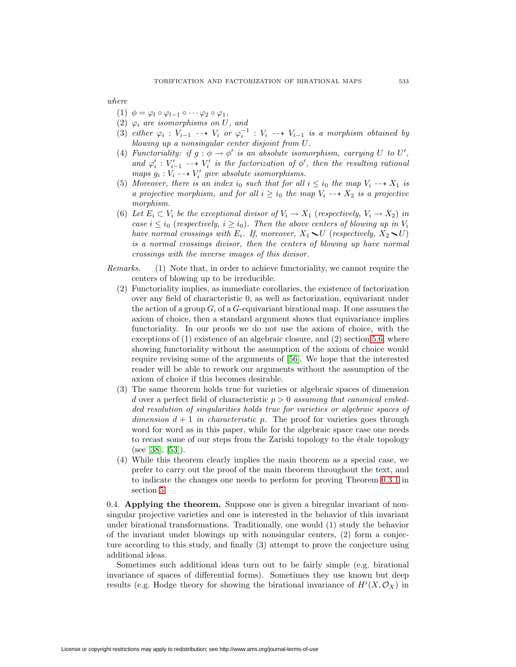where

- (1)  $\phi = \varphi_l \circ \varphi_{l-1} \circ \cdots \varphi_2 \circ \varphi_1$ ,
- (2)  $\varphi_i$  are isomorphisms on U, and
- (3) either  $\varphi_i : V_{i-1} \dashrightarrow V_i$  or  $\varphi_i^{-1} : V_i \dashrightarrow V_{i-1}$  is a morphism obtained by blowing up a nonsingular center disjoint from U.
- (4) Functoriality: if  $g : \phi \to \phi'$  is an absolute isomorphism, carrying U to U', and  $\varphi'_i : V'_{i-1} \dashrightarrow V'_i$  is the factorization of  $\phi'$ , then the resulting rational maps  $g_i : V_i \dashrightarrow V'_i$  give absolute isomorphisms.
- (5) Moreover, there is an index i<sub>0</sub> such that for all  $i \leq i_0$  the map  $V_i \dashrightarrow X_1$  is a projective morphism, and for all  $i \geq i_0$  the map  $V_i \dashrightarrow X_2$  is a projective morphism.
- (6) Let  $E_i \subset V_i$  be the exceptional divisor of  $V_i \to X_1$  (respectively,  $V_i \to X_2$ ) in case  $i \leq i_0$  (respectively,  $i \geq i_0$ ). Then the above centers of blowing up in  $V_i$ have normal crossings with  $E_i$ . If, moreover,  $X_1 \setminus U$  (respectively,  $X_2 \setminus U$ ) is a normal crossings divisor, then the centers of blowing up have normal crossings with the inverse images of this divisor.
- Remarks. (1) Note that, in order to achieve functoriality, we cannot require the centers of blowing up to be irreducible.
	- (2) Functoriality implies, as immediate corollaries, the existence of factorization over any field of characteristic 0, as well as factorization, equivariant under the action of a group  $G$ , of a  $G$ -equivariant birational map. If one assumes the axiom of choice, then a standard argument shows that equivariance implies functoriality. In our proofs we do not use the axiom of choice, with the exceptions of (1) existence of an algebraic closure, and (2) section [5.6,](#page-34-0) where showing functoriality without the assumption of the axiom of choice would require revising some of the arguments of [\[56\]](#page-40-0). We hope that the interested reader will be able to rework our arguments without the assumption of the axiom of choice if this becomes desirable.
	- (3) The same theorem holds true for varieties or algebraic spaces of dimension d over a perfect field of characteristic  $p > 0$  assuming that canonical embedded resolution of singularities holds true for varieties or algebraic spaces of dimension  $d + 1$  in characteristic p. The proof for varieties goes through word for word as in this paper, while for the algebraic space case one needs to recast some of our steps from the Zariski topology to the étale topology (see [\[38\]](#page-39-0), [\[53\]](#page-40-1)).
	- (4) While this theorem clearly implies the main theorem as a special case, we prefer to carry out the proof of the main theorem throughout the text, and to indicate the changes one needs to perform for proving Theorem [0.3.1](#page-1-0) in section [5.](#page-32-0)

0.4. **Applying the theorem.** Suppose one is given a biregular invariant of nonsingular projective varieties and one is interested in the behavior of this invariant under birational transformations. Traditionally, one would (1) study the behavior of the invariant under blowings up with nonsingular centers,  $(2)$  form a conjecture according to this study, and finally (3) attempt to prove the conjecture using additional ideas.

Sometimes such additional ideas turn out to be fairly simple (e.g. birational invariance of spaces of differential forms). Sometimes they use known but deep results (e.g. Hodge theory for showing the birational invariance of  $H^{i}(X, \mathcal{O}_{X})$  in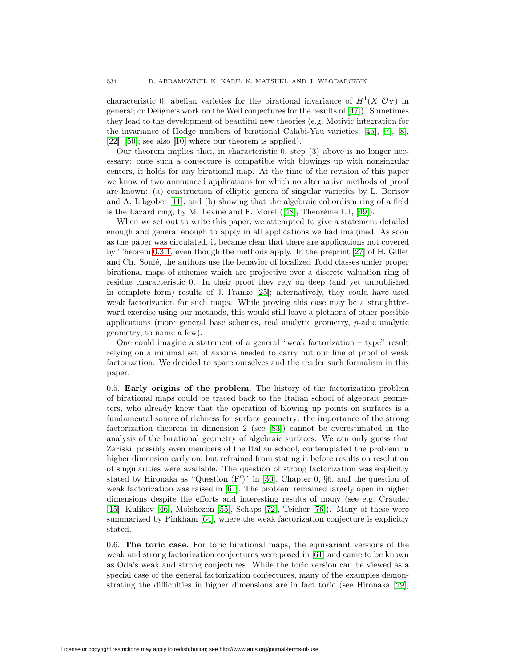characteristic 0; abelian varieties for the birational invariance of  $H^1(X, \mathcal{O}_X)$  in general; or Deligne's work on the Weil conjectures for the results of [\[47\]](#page-40-2)). Sometimes they lead to the development of beautiful new theories (e.g. Motivic integration for the invariance of Hodge numbers of birational Calabi-Yau varieties, [\[45\]](#page-39-1), [\[7\]](#page-38-2), [\[8\]](#page-38-3),  $[22]$ ,  $[50]$ ; see also  $[10]$  where our theorem is applied).

Our theorem implies that, in characteristic 0, step (3) above is no longer necessary: once such a conjecture is compatible with blowings up with nonsingular centers, it holds for any birational map. At the time of the revision of this paper we know of two announced applications for which no alternative methods of proof are known: (a) construction of elliptic genera of singular varieties by L. Borisov and A. Libgober [\[11\]](#page-38-5), and (b) showing that the algebraic cobordism ring of a field is the Lazard ring, by M. Levine and F. Morel  $([48]$  $([48]$ , Théorème 1.1,  $[49]$ ).

When we set out to write this paper, we attempted to give a statement detailed enough and general enough to apply in all applications we had imagined. As soon as the paper was circulated, it became clear that there are applications not covered by Theorem [0.3.1,](#page-1-0) even though the methods apply. In the preprint [\[27\]](#page-39-3) of H. Gillet and Ch. Soulé, the authors use the behavior of localized Todd classes under proper birational maps of schemes which are projective over a discrete valuation ring of residue characteristic 0. In their proof they rely on deep (and yet unpublished in complete form) results of J. Franke [\[25\]](#page-39-4); alternatively, they could have used weak factorization for such maps. While proving this case may be a straightforward exercise using our methods, this would still leave a plethora of other possible applications (more general base schemes, real analytic geometry, p-adic analytic geometry, to name a few).

One could imagine a statement of a general "weak factorization – type" result relying on a minimal set of axioms needed to carry out our line of proof of weak factorization. We decided to spare ourselves and the reader such formalism in this paper.

0.5. **Early origins of the problem.** The history of the factorization problem of birational maps could be traced back to the Italian school of algebraic geometers, who already knew that the operation of blowing up points on surfaces is a fundamental source of richness for surface geometry: the importance of the strong factorization theorem in dimension 2 (see [\[83\]](#page-41-1)) cannot be overestimated in the analysis of the birational geometry of algebraic surfaces. We can only guess that Zariski, possibly even members of the Italian school, contemplated the problem in higher dimension early on, but refrained from stating it before results on resolution of singularities were available. The question of strong factorization was explicitly stated by Hironaka as "Question  $(F')$ " in [\[30\]](#page-39-5), Chapter 0, §6, and the question of weak factorization was raised in [\[61\]](#page-40-6). The problem remained largely open in higher dimensions despite the efforts and interesting results of many (see e.g. Crauder [\[15\]](#page-38-6), Kulikov [\[46\]](#page-39-6), Moishezon [\[55\]](#page-40-7), Schaps [\[72\]](#page-40-8), Teicher [\[76\]](#page-40-9)). Many of these were summarized by Pinkham [\[64\]](#page-40-10), where the weak factorization conjecture is explicitly stated.

0.6. **The toric case.** For toric birational maps, the equivariant versions of the weak and strong factorization conjectures were posed in [\[61\]](#page-40-6) and came to be known as Oda's weak and strong conjectures. While the toric version can be viewed as a special case of the general factorization conjectures, many of the examples demonstrating the difficulties in higher dimensions are in fact toric (see Hironaka [\[29\]](#page-39-7),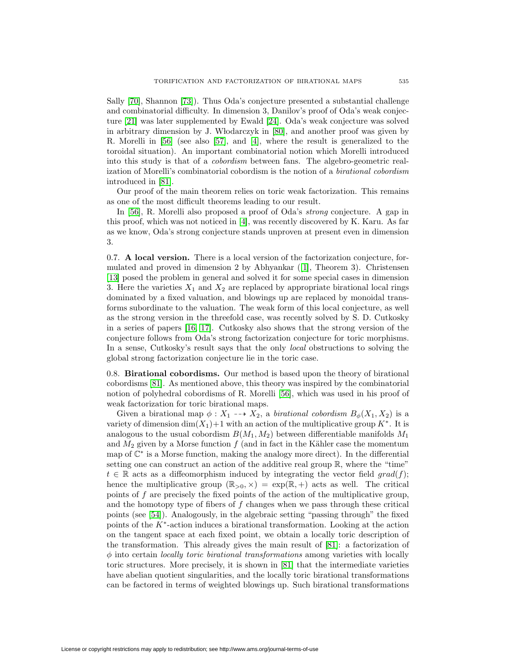Sally [\[70\]](#page-40-11), Shannon [\[73\]](#page-40-12)). Thus Oda's conjecture presented a substantial challenge and combinatorial difficulty. In dimension 3, Danilov's proof of Oda's weak conjecture [\[21\]](#page-39-8) was later supplemented by Ewald [\[24\]](#page-39-9). Oda's weak conjecture was solved in arbitrary dimension by J. W lodarczyk in [\[80\]](#page-41-2), and another proof was given by R. Morelli in [\[56\]](#page-40-0) (see also [\[57\]](#page-40-13), and [\[4\]](#page-38-7), where the result is generalized to the toroidal situation). An important combinatorial notion which Morelli introduced into this study is that of a cobordism between fans. The algebro-geometric realization of Morelli's combinatorial cobordism is the notion of a birational cobordism introduced in [\[81\]](#page-41-3).

Our proof of the main theorem relies on toric weak factorization. This remains as one of the most difficult theorems leading to our result.

In [\[56\]](#page-40-0), R. Morelli also proposed a proof of Oda's *strong* conjecture. A gap in this proof, which was not noticed in [\[4\]](#page-38-7), was recently discovered by K. Karu. As far as we know, Oda's strong conjecture stands unproven at present even in dimension 3.

0.7. **A local version.** There is a local version of the factorization conjecture, formulated and proved in dimension 2 by Abhyankar ([\[1\]](#page-38-8), Theorem 3). Christensen [\[13\]](#page-38-9) posed the problem in general and solved it for some special cases in dimension 3. Here the varieties  $X_1$  and  $X_2$  are replaced by appropriate birational local rings dominated by a fixed valuation, and blowings up are replaced by monoidal transforms subordinate to the valuation. The weak form of this local conjecture, as well as the strong version in the threefold case, was recently solved by S. D. Cutkosky in a series of papers [\[16,](#page-39-10) [17\]](#page-39-11). Cutkosky also shows that the strong version of the conjecture follows from Oda's strong factorization conjecture for toric morphisms. In a sense, Cutkosky's result says that the only local obstructions to solving the global strong factorization conjecture lie in the toric case.

0.8. **Birational cobordisms.** Our method is based upon the theory of birational cobordisms [\[81\]](#page-41-3). As mentioned above, this theory was inspired by the combinatorial notion of polyhedral cobordisms of R. Morelli [\[56\]](#page-40-0), which was used in his proof of weak factorization for toric birational maps.

Given a birational map  $\phi: X_1 \dashrightarrow X_2$ , a *birational cobordism*  $B_{\phi}(X_1, X_2)$  is a variety of dimension dim(X<sub>1</sub>)+1 with an action of the multiplicative group  $K^*$ . It is analogous to the usual cobordism  $B(M_1, M_2)$  between differentiable manifolds  $M_1$ and  $M_2$  given by a Morse function f (and in fact in the Kähler case the momentum map of C<sup>∗</sup> is a Morse function, making the analogy more direct). In the differential setting one can construct an action of the additive real group R, where the "time"  $t \in \mathbb{R}$  acts as a diffeomorphism induced by integrating the vector field  $grad(f)$ ; hence the multiplicative group  $(\mathbb{R}_{>0}, \times) = \exp(\mathbb{R}, +)$  acts as well. The critical points of f are precisely the fixed points of the action of the multiplicative group, and the homotopy type of fibers of  $f$  changes when we pass through these critical points (see [\[54\]](#page-40-14)). Analogously, in the algebraic setting "passing through" the fixed points of the  $K^*$ -action induces a birational transformation. Looking at the action on the tangent space at each fixed point, we obtain a locally toric description of the transformation. This already gives the main result of [\[81\]](#page-41-3): a factorization of  $\phi$  into certain *locally toric birational transformations* among varieties with locally toric structures. More precisely, it is shown in [\[81\]](#page-41-3) that the intermediate varieties have abelian quotient singularities, and the locally toric birational transformations can be factored in terms of weighted blowings up. Such birational transformations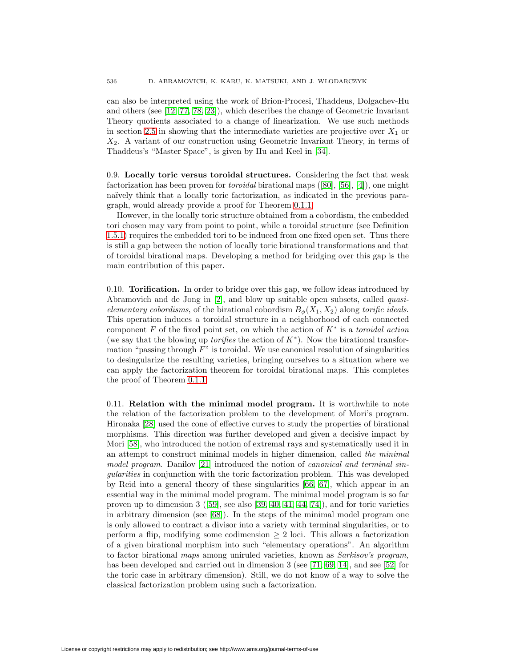can also be interpreted using the work of Brion-Procesi, Thaddeus, Dolgachev-Hu and others (see [\[12,](#page-38-10) [77,](#page-40-15) [78,](#page-41-4) [23\]](#page-39-12)), which describes the change of Geometric Invariant Theory quotients associated to a change of linearization. We use such methods in section [2.5](#page-19-0) in showing that the intermediate varieties are projective over  $X_1$  or  $X_2$ . A variant of our construction using Geometric Invariant Theory, in terms of Thaddeus's "Master Space", is given by Hu and Keel in [\[34\]](#page-39-13).

0.9. **Locally toric versus toroidal structures.** Considering the fact that weak factorization has been proven for toroidal birational maps ([\[80\]](#page-41-2), [\[56\]](#page-40-0), [\[4\]](#page-38-7)), one might naïvely think that a locally toric factorization, as indicated in the previous paragraph, would already provide a proof for Theorem [0.1.1.](#page-0-1)

However, in the locally toric structure obtained from a cobordism, the embedded tori chosen may vary from point to point, while a toroidal structure (see Definition [1.5.1\)](#page-10-0) requires the embedded tori to be induced from one fixed open set. Thus there is still a gap between the notion of locally toric birational transformations and that of toroidal birational maps. Developing a method for bridging over this gap is the main contribution of this paper.

0.10. **Torification.** In order to bridge over this gap, we follow ideas introduced by Abramovich and de Jong in [\[2\]](#page-38-11), and blow up suitable open subsets, called quasielementary cobordisms, of the birational cobordism  $B_{\phi}(X_1, X_2)$  along torific ideals. This operation induces a toroidal structure in a neighborhood of each connected component F of the fixed point set, on which the action of  $K^*$  is a toroidal action (we say that the blowing up *torifies* the action of  $K^*$ ). Now the birational transformation "passing through  $F$ " is toroidal. We use canonical resolution of singularities to desingularize the resulting varieties, bringing ourselves to a situation where we can apply the factorization theorem for toroidal birational maps. This completes the proof of Theorem [0.1.1.](#page-0-1)

0.11. **Relation with the minimal model program.** It is worthwhile to note the relation of the factorization problem to the development of Mori's program. Hironaka [\[28\]](#page-39-14) used the cone of effective curves to study the properties of birational morphisms. This direction was further developed and given a decisive impact by Mori [\[58\]](#page-40-16), who introduced the notion of extremal rays and systematically used it in an attempt to construct minimal models in higher dimension, called the minimal model program. Danilov [\[21\]](#page-39-8) introduced the notion of canonical and terminal singularities in conjunction with the toric factorization problem. This was developed by Reid into a general theory of these singularities [\[66,](#page-40-17) [67\]](#page-40-18), which appear in an essential way in the minimal model program. The minimal model program is so far proven up to dimension  $3$  ([\[59\]](#page-40-19), see also [\[39,](#page-39-15) [40,](#page-39-16) [41,](#page-39-17) [44,](#page-39-18) [74\]](#page-40-20)), and for toric varieties in arbitrary dimension (see [\[68\]](#page-40-21)). In the steps of the minimal model program one is only allowed to contract a divisor into a variety with terminal singularities, or to perform a flip, modifying some codimension  $\geq 2$  loci. This allows a factorization of a given birational morphism into such "elementary operations". An algorithm to factor birational maps among uniruled varieties, known as Sarkisov's program, has been developed and carried out in dimension 3 (see [\[71,](#page-40-22) [69,](#page-40-23) [14\]](#page-38-12), and see [\[52\]](#page-40-24) for the toric case in arbitrary dimension). Still, we do not know of a way to solve the classical factorization problem using such a factorization.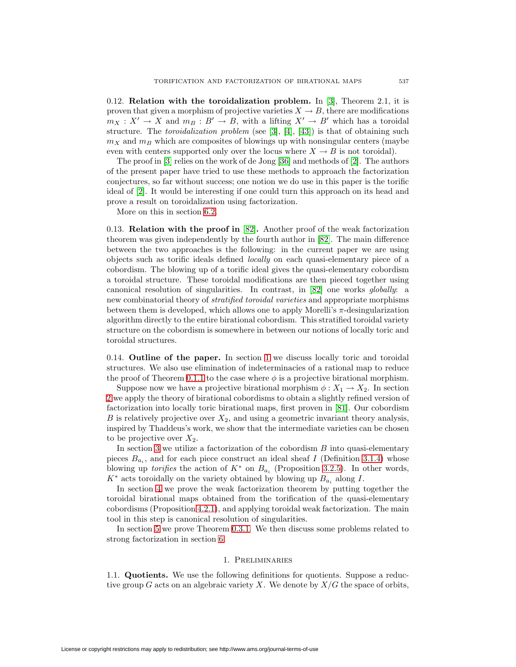0.12. **Relation with the toroidalization problem.** In [\[3\]](#page-38-13), Theorem 2.1, it is proven that given a morphism of projective varieties  $X \to B$ , there are modifications  $m_X : X' \to X$  and  $m_B : B' \to B$ , with a lifting  $X' \to B'$  which has a toroidal structure. The *toroidalization problem* (see [\[3\]](#page-38-13), [\[4\]](#page-38-7), [\[43\]](#page-39-19)) is that of obtaining such  $m<sub>X</sub>$  and  $m<sub>B</sub>$  which are composites of blowings up with nonsingular centers (maybe even with centers supported only over the locus where  $X \to B$  is not toroidal).

The proof in [\[3\]](#page-38-13) relies on the work of de Jong [\[36\]](#page-39-20) and methods of [\[2\]](#page-38-11). The authors of the present paper have tried to use these methods to approach the factorization conjectures, so far without success; one notion we do use in this paper is the torific ideal of [\[2\]](#page-38-11). It would be interesting if one could turn this approach on its head and prove a result on toroidalization using factorization.

More on this in section [6.2.](#page-37-0)

<span id="page-6-1"></span>0.13. **Relation with the proof in** [\[82\]](#page-41-0)**.** Another proof of the weak factorization theorem was given independently by the fourth author in [\[82\]](#page-41-0). The main difference between the two approaches is the following: in the current paper we are using objects such as torific ideals defined locally on each quasi-elementary piece of a cobordism. The blowing up of a torific ideal gives the quasi-elementary cobordism a toroidal structure. These toroidal modifications are then pieced together using canonical resolution of singularities. In contrast, in [\[82\]](#page-41-0) one works globally: a new combinatorial theory of stratified toroidal varieties and appropriate morphisms between them is developed, which allows one to apply Morelli's  $\pi$ -desingularization algorithm directly to the entire birational cobordism. This stratified toroidal variety structure on the cobordism is somewhere in between our notions of locally toric and toroidal structures.

0.14. **Outline of the paper.** In section [1](#page-6-0) we discuss locally toric and toroidal structures. We also use elimination of indeterminacies of a rational map to reduce the proof of Theorem [0.1.1](#page-0-1) to the case where  $\phi$  is a projective birational morphism.

Suppose now we have a projective birational morphism  $\phi: X_1 \to X_2$ . In section [2](#page-14-0) we apply the theory of birational cobordisms to obtain a slightly refined version of factorization into locally toric birational maps, first proven in [\[81\]](#page-41-3). Our cobordism B is relatively projective over  $X_2$ , and using a geometric invariant theory analysis, inspired by Thaddeus's work, we show that the intermediate varieties can be chosen to be projective over  $X_2$ .

In section [3](#page-21-0) we utilize a factorization of the cobordism  $B$  into quasi-elementary pieces  $B_{a_i}$ , and for each piece construct an ideal sheaf I (Definition [3.1.4\)](#page-22-0) whose blowing up *torifies* the action of  $K^*$  on  $B_{a_i}$  (Proposition [3.2.5\)](#page-24-0). In other words,  $K^*$  acts toroidally on the variety obtained by blowing up  $B_{a_i}$  along I.

In section [4](#page-29-0) we prove the weak factorization theorem by putting together the toroidal birational maps obtained from the torification of the quasi-elementary cobordisms (Proposition [4.2.1\)](#page-30-0), and applying toroidal weak factorization. The main tool in this step is canonical resolution of singularities.

<span id="page-6-0"></span>In section [5](#page-32-0) we prove Theorem [0.3.1.](#page-1-0) We then discuss some problems related to strong factorization in section [6.](#page-36-0)

## 1. Preliminaries

1.1. **Quotients.** We use the following definitions for quotients. Suppose a reductive group G acts on an algebraic variety X. We denote by  $X/G$  the space of orbits,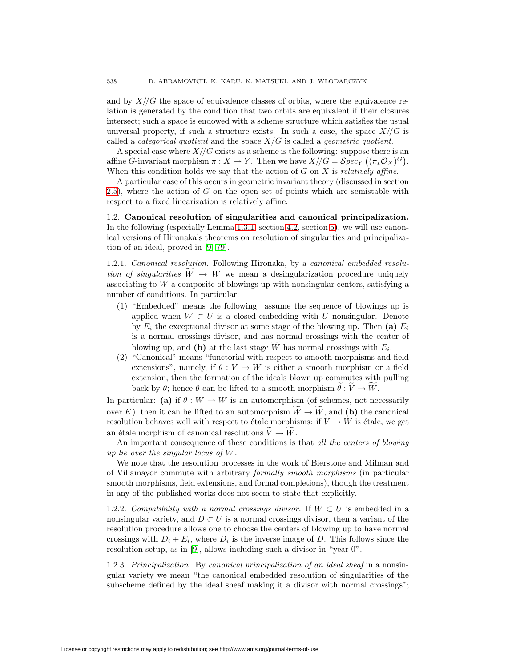and by  $X/\sqrt{G}$  the space of equivalence classes of orbits, where the equivalence relation is generated by the condition that two orbits are equivalent if their closures intersect; such a space is endowed with a scheme structure which satisfies the usual universal property, if such a structure exists. In such a case, the space  $X/\sqrt{G}$  is called a *categorical quotient* and the space  $X/G$  is called a *geometric quotient*.

A special case where  $X/\sqrt{G}$  exists as a scheme is the following: suppose there is an affine G-invariant morphism  $\pi : X \to Y$ . Then we have  $X/\!/ G = \mathcal Spec_Y ((\pi_* \mathcal O_X)^G)$ . When this condition holds we say that the action of  $G$  on  $X$  is *relatively affine*.

A particular case of this occurs in geometric invariant theory (discussed in section [2.5\)](#page-19-0), where the action of G on the open set of points which are semistable with respect to a fixed linearization is relatively affine.

<span id="page-7-0"></span>1.2. **Canonical resolution of singularities and canonical principalization.** In the following (especially Lemma [1.3.1,](#page-8-0) section [4.2,](#page-30-1) section [5\)](#page-32-0), we will use canonical versions of Hironaka's theorems on resolution of singularities and principalization of an ideal, proved in [\[9,](#page-38-14) [79\]](#page-41-5).

1.2.1. Canonical resolution. Following Hironaka, by a canonical embedded resolution of singularities  $W \to W$  we mean a desingularization procedure uniquely associating to W a composite of blowings up with nonsingular centers, satisfying a number of conditions. In particular:

- (1) "Embedded" means the following: assume the sequence of blowings up is applied when  $W \subset U$  is a closed embedding with U nonsingular. Denote by  $E_i$  the exceptional divisor at some stage of the blowing up. Then **(a)**  $E_i$ is a normal crossings divisor, and has normal crossings with the center of blowing up, and **(b)** at the last stage W has normal crossings with  $E_i$ .
- (2) "Canonical" means "functorial with respect to smooth morphisms and field extensions", namely, if  $\theta : V \to W$  is either a smooth morphism or a field extension, then the formation of the ideals blown up commutes with pulling back by  $\theta$ ; hence  $\theta$  can be lifted to a smooth morphism  $\theta : V \to W$ .

In particular: **(a)** if  $\theta : W \to W$  is an automorphism (of schemes, not necessarily over K), then it can be lifted to an automorphism  $W \to W$ , and **(b)** the canonical resolution behaves well with respect to étale morphisms: if  $V \to W$  is étale, we get an étale morphism of canonical resolutions  $V \to W$ .

An important consequence of these conditions is that all the centers of blowing up lie over the singular locus of W.

We note that the resolution processes in the work of Bierstone and Milman and of Villamayor commute with arbitrary formally smooth morphisms (in particular smooth morphisms, field extensions, and formal completions), though the treatment in any of the published works does not seem to state that explicitly.

1.2.2. Compatibility with a normal crossings divisor. If  $W \subset U$  is embedded in a nonsingular variety, and  $D \subset U$  is a normal crossings divisor, then a variant of the resolution procedure allows one to choose the centers of blowing up to have normal crossings with  $D_i + E_i$ , where  $D_i$  is the inverse image of D. This follows since the resolution setup, as in [\[9\]](#page-38-14), allows including such a divisor in "year 0".

1.2.3. Principalization. By canonical principalization of an ideal sheaf in a nonsingular variety we mean "the canonical embedded resolution of singularities of the subscheme defined by the ideal sheaf making it a divisor with normal crossings";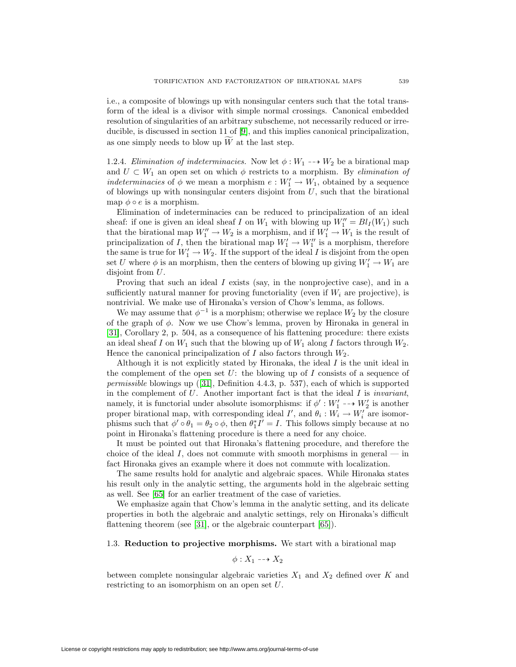i.e., a composite of blowings up with nonsingular centers such that the total transform of the ideal is a divisor with simple normal crossings. Canonical embedded resolution of singularities of an arbitrary subscheme, not necessarily reduced or irreducible, is discussed in section 11 of [\[9\]](#page-38-14), and this implies canonical principalization, as one simply needs to blow up  $W$  at the last step.

<span id="page-8-1"></span>1.2.4. Elimination of indeterminacies. Now let  $\phi: W_1 \longrightarrow W_2$  be a birational map and  $U \subset W_1$  an open set on which  $\phi$  restricts to a morphism. By *elimination of* indeterminacies of  $\phi$  we mean a morphism  $e: W'_1 \to W_1$ , obtained by a sequence of blowings up with nonsingular centers disjoint from  $U$ , such that the birational map  $\phi \circ e$  is a morphism.

Elimination of indeterminacies can be reduced to principalization of an ideal sheaf: if one is given an ideal sheaf I on  $W_1$  with blowing up  $W_1'' = Bl_I(W_1)$  such that the birational map  $W_1'' \to W_2$  is a morphism, and if  $W_1' \to W_1$  is the result of principalization of I, then the birational map  $W'_1 \to W''_1$  is a morphism, therefore the same is true for  $W_1' \to W_2$ . If the support of the ideal I is disjoint from the open set U where  $\phi$  is an morphism, then the centers of blowing up giving  $W'_1 \to W_1$  are disjoint from U.

Proving that such an ideal  $I$  exists (say, in the nonprojective case), and in a sufficiently natural manner for proving functoriality (even if  $W_i$  are projective), is nontrivial. We make use of Hironaka's version of Chow's lemma, as follows.

We may assume that  $\phi^{-1}$  is a morphism; otherwise we replace  $W_2$  by the closure of the graph of φ. Now we use Chow's lemma, proven by Hironaka in general in [\[31\]](#page-39-21), Corollary 2, p. 504, as a consequence of his flattening procedure: there exists an ideal sheaf I on  $W_1$  such that the blowing up of  $W_1$  along I factors through  $W_2$ . Hence the canonical principalization of I also factors through  $W_2$ .

Although it is not explicitly stated by Hironaka, the ideal  $I$  is the unit ideal in the complement of the open set U: the blowing up of I consists of a sequence of permissible blowings up ([\[31\]](#page-39-21), Definition 4.4.3, p. 537), each of which is supported in the complement of  $U$ . Another important fact is that the ideal  $I$  is *invariant*, namely, it is functorial under absolute isomorphisms: if  $\phi' : W_1' \dashrightarrow W_2'$  is another proper birational map, with corresponding ideal  $I'$ , and  $\theta_i : W_i \to W'_i$  are isomorphisms such that  $\phi' \circ \theta_1 = \theta_2 \circ \phi$ , then  $\theta_1^* I' = I$ . This follows simply because at no point in Hironaka's flattening procedure is there a need for any choice.

It must be pointed out that Hironaka's flattening procedure, and therefore the choice of the ideal I, does not commute with smooth morphisms in general — in fact Hironaka gives an example where it does not commute with localization.

The same results hold for analytic and algebraic spaces. While Hironaka states his result only in the analytic setting, the arguments hold in the algebraic setting as well. See [\[65\]](#page-40-25) for an earlier treatment of the case of varieties.

We emphasize again that Chow's lemma in the analytic setting, and its delicate properties in both the algebraic and analytic settings, rely on Hironaka's difficult flattening theorem (see [\[31\]](#page-39-21), or the algebraic counterpart [\[65\]](#page-40-25)).

#### 1.3. **Reduction to projective morphisms.** We start with a birational map

$$
\phi: X_1 \dashrightarrow X_2
$$

<span id="page-8-0"></span>between complete nonsingular algebraic varieties  $X_1$  and  $X_2$  defined over K and restricting to an isomorphism on an open set U.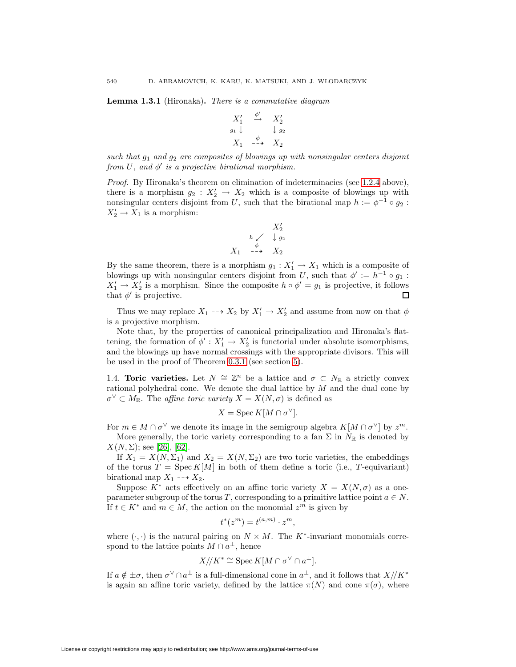**Lemma 1.3.1** (Hironaka)**.** There is a commutative diagram

$$
\begin{array}{ccc}\nX_1' & \stackrel{\phi'}{\rightarrow} & X_2' \\
\hline\ng_1 \downarrow & & \downarrow g_2 \\
X_1 & \stackrel{\phi}{\rightarrow} & X_2\n\end{array}
$$

such that  $g_1$  and  $g_2$  are composites of blowings up with nonsingular centers disjoint from U, and  $\phi'$  is a projective birational morphism.

Proof. By Hironaka's theorem on elimination of indeterminacies (see [1.2.4](#page-8-1) above), there is a morphism  $g_2: X_2' \to X_2$  which is a composite of blowings up with nonsingular centers disjoint from U, such that the birational map  $h := \phi^{-1} \circ g_2$ :  $X'_2 \to X_1$  is a morphism:

$$
X_2'
$$
\n
$$
h \swarrow \quad \downarrow g_2
$$
\n
$$
X_1 \quad \xrightarrow{\phi} \quad X_2
$$

By the same theorem, there is a morphism  $g_1 : X'_1 \to X_1$  which is a composite of blowings up with nonsingular centers disjoint from U, such that  $\phi' := h^{-1} \circ g_1$ :  $X_1' \to X_2'$  is a morphism. Since the composite  $h \circ \phi' = g_1$  is projective, it follows that  $\phi'$  is projective.

Thus we may replace  $X_1 \dashrightarrow X_2$  by  $X'_1 \rightarrow X'_2$  and assume from now on that  $\phi$ is a projective morphism.

Note that, by the properties of canonical principalization and Hironaka's flattening, the formation of  $\phi' : X'_1 \to X'_2$  is functorial under absolute isomorphisms, and the blowings up have normal crossings with the appropriate divisors. This will be used in the proof of Theorem [0.3.1](#page-1-0) (see section [5\)](#page-32-0).

1.4. **Toric varieties.** Let  $N \cong \mathbb{Z}^n$  be a lattice and  $\sigma \subset N_{\mathbb{R}}$  a strictly convex rational polyhedral cone. We denote the dual lattice by  $M$  and the dual cone by  $\sigma^{\vee} \subset M_{\mathbb{R}}$ . The *affine toric variety*  $X = X(N, \sigma)$  is defined as

$$
X = \operatorname{Spec} K[M \cap \sigma^{\vee}].
$$

For  $m \in M \cap \sigma^{\vee}$  we denote its image in the semigroup algebra  $K[M \cap \sigma^{\vee}]$  by  $z^m$ .

More generally, the toric variety corresponding to a fan  $\Sigma$  in  $N_{\mathbb{R}}$  is denoted by  $X(N,\Sigma)$ ; see [\[26\]](#page-39-22), [\[62\]](#page-40-26).

If  $X_1 = X(N, \Sigma_1)$  and  $X_2 = X(N, \Sigma_2)$  are two toric varieties, the embeddings of the torus  $T = \text{Spec } K[M]$  in both of them define a toric (i.e., T-equivariant) birational map  $X_1 \dashrightarrow X_2$ .

Suppose  $K^*$  acts effectively on an affine toric variety  $X = X(N, \sigma)$  as a oneparameter subgroup of the torus T, corresponding to a primitive lattice point  $a \in N$ . If  $t \in K^*$  and  $m \in M$ , the action on the monomial  $z^m$  is given by

$$
t^*(z^m) = t^{(a,m)} \cdot z^m,
$$

where  $(\cdot, \cdot)$  is the natural pairing on  $N \times M$ . The K<sup>\*</sup>-invariant monomials correspond to the lattice points  $M \cap a^{\perp}$ , hence

$$
X/\!/ K^* \cong \operatorname{Spec} K[M \cap \sigma^{\vee} \cap a^{\perp}].
$$

If  $a \notin \pm \sigma$ , then  $\sigma^{\vee} \cap a^{\perp}$  is a full-dimensional cone in  $a^{\perp}$ , and it follows that  $X// K^*$ is again an affine toric variety, defined by the lattice  $\pi(N)$  and cone  $\pi(\sigma)$ , where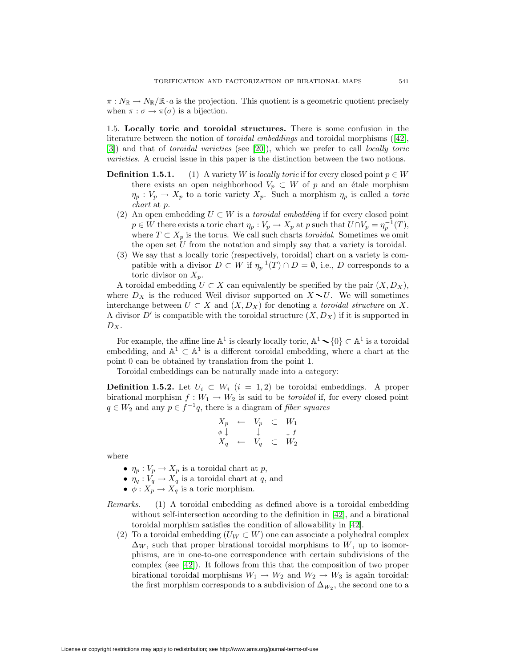$\pi: N_{\mathbb{R}} \to N_{\mathbb{R}} / \mathbb{R} \cdot a$  is the projection. This quotient is a geometric quotient precisely when  $\pi : \sigma \to \pi(\sigma)$  is a bijection.

1.5. **Locally toric and toroidal structures.** There is some confusion in the literature between the notion of toroidal embeddings and toroidal morphisms ([\[42\]](#page-39-23), [\[3\]](#page-38-13)) and that of toroidal varieties (see [\[20\]](#page-39-24)), which we prefer to call locally toric varieties. A crucial issue in this paper is the distinction between the two notions.

- <span id="page-10-0"></span>**Definition 1.5.1.** (1) A variety W is locally toric if for every closed point  $p \in W$ there exists an open neighborhood  $V_p \subset W$  of p and an étale morphism  $\eta_p: V_p \to X_p$  to a toric variety  $X_p$ . Such a morphism  $\eta_p$  is called a toric chart at p.
	- (2) An open embedding  $U \subset W$  is a toroidal embedding if for every closed point  $p \in W$  there exists a toric chart  $\eta_p : V_p \to X_p$  at p such that  $U \cap V_p = \eta_p^{-1}(T)$ , where  $T \subset X_p$  is the torus. We call such charts toroidal. Sometimes we omit the open set  $U$  from the notation and simply say that a variety is toroidal.
	- (3) We say that a locally toric (respectively, toroidal) chart on a variety is compatible with a divisor  $D \subset W$  if  $\eta_n^{-1}(T) \cap D = \emptyset$ , i.e., D corresponds to a toric divisor on  $X_p$ .

A toroidal embedding  $U \subset X$  can equivalently be specified by the pair  $(X, D_X)$ , where  $D_X$  is the reduced Weil divisor supported on  $X \setminus U$ . We will sometimes interchange between  $U \subset X$  and  $(X, D_X)$  for denoting a *toroidal structure* on X. A divisor  $D'$  is compatible with the toroidal structure  $(X, D_X)$  if it is supported in  $D_X$ .

For example, the affine line  $\mathbb{A}^1$  is clearly locally toric,  $\mathbb{A}^1 \setminus \{0\} \subset \mathbb{A}^1$  is a toroidal embedding, and  $\mathbb{A}^1 \subset \mathbb{A}^1$  is a different toroidal embedding, where a chart at the point 0 can be obtained by translation from the point 1.

Toroidal embeddings can be naturally made into a category:

<span id="page-10-1"></span>**Definition 1.5.2.** Let  $U_i \subset W_i$  (i = 1, 2) be toroidal embeddings. A proper birational morphism  $f: W_1 \to W_2$  is said to be *toroidal* if, for every closed point  $q \in W_2$  and any  $p \in f^{-1}q$ , there is a diagram of fiber squares

$$
\begin{array}{rcl}\nX_p & \leftarrow & V_p & \subset & W_1 \\
\phi \downarrow & & \downarrow & f \\
X_q & \leftarrow & V_q & \subset & W_2\n\end{array}
$$

where

- $\eta_p : V_p \to X_p$  is a toroidal chart at p,
- $\eta_q : V_q \to X_q$  is a toroidal chart at q, and
- $\phi: X_p \to X_q$  is a toric morphism.
- Remarks. (1) A toroidal embedding as defined above is a toroidal embedding without self-intersection according to the definition in [\[42\]](#page-39-23), and a birational toroidal morphism satisfies the condition of allowability in [\[42\]](#page-39-23).
	- (2) To a toroidal embedding ( $U_W \subset W$ ) one can associate a polyhedral complex  $\Delta_W$ , such that proper birational toroidal morphisms to W, up to isomorphisms, are in one-to-one correspondence with certain subdivisions of the complex (see [\[42\]](#page-39-23)). It follows from this that the composition of two proper birational toroidal morphisms  $W_1 \rightarrow W_2$  and  $W_2 \rightarrow W_3$  is again toroidal: the first morphism corresponds to a subdivision of  $\Delta_{W_2}$ , the second one to a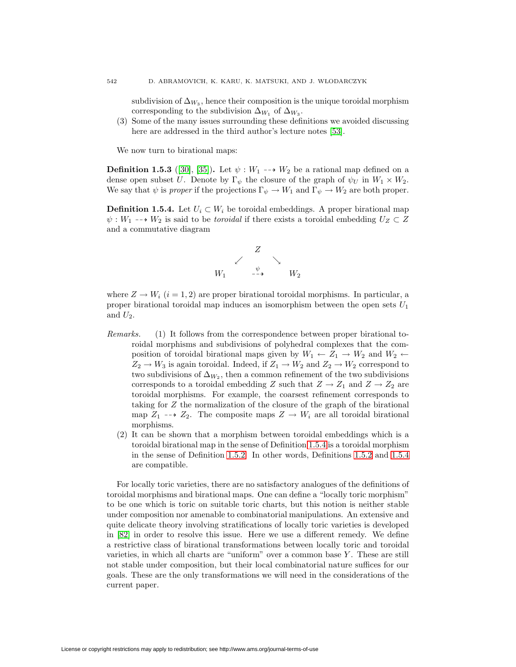subdivision of  $\Delta_{W_3}$ , hence their composition is the unique toroidal morphism corresponding to the subdivision  $\Delta_{W_1}$  of  $\Delta_{W_3}$ .

(3) Some of the many issues surrounding these definitions we avoided discussing here are addressed in the third author's lecture notes [\[53\]](#page-40-1).

We now turn to birational maps:

**Definition 1.5.3** ([\[30\]](#page-39-5), [\[35\]](#page-39-25)). Let  $\psi : W_1 \longrightarrow W_2$  be a rational map defined on a dense open subset U. Denote by  $\Gamma_{\psi}$  the closure of the graph of  $\psi_U$  in  $W_1 \times W_2$ . We say that  $\psi$  is proper if the projections  $\Gamma_{\psi} \to W_1$  and  $\Gamma_{\psi} \to W_2$  are both proper.

<span id="page-11-0"></span>**Definition 1.5.4.** Let  $U_i \subset W_i$  be toroidal embeddings. A proper birational map  $\psi: W_1 \dashrightarrow W_2$  is said to be toroidal if there exists a toroidal embedding  $U_Z \subset Z$ and a commutative diagram



where  $Z \to W_i$   $(i = 1, 2)$  are proper birational toroidal morphisms. In particular, a proper birational toroidal map induces an isomorphism between the open sets  $U_1$ and  $U_2$ .

- Remarks. (1) It follows from the correspondence between proper birational toroidal morphisms and subdivisions of polyhedral complexes that the composition of toroidal birational maps given by  $W_1 \leftarrow Z_1 \rightarrow W_2$  and  $W_2 \leftarrow$  $Z_2 \rightarrow W_3$  is again toroidal. Indeed, if  $Z_1 \rightarrow W_2$  and  $Z_2 \rightarrow W_2$  correspond to two subdivisions of  $\Delta_{W_2}$ , then a common refinement of the two subdivisions corresponds to a toroidal embedding Z such that  $Z \to Z_1$  and  $Z \to Z_2$  are toroidal morphisms. For example, the coarsest refinement corresponds to taking for  $Z$  the normalization of the closure of the graph of the birational map  $Z_1 \longrightarrow Z_2$ . The composite maps  $Z \longrightarrow W_i$  are all toroidal birational morphisms.
	- (2) It can be shown that a morphism between toroidal embeddings which is a toroidal birational map in the sense of Definition [1.5.4](#page-11-0) is a toroidal morphism in the sense of Definition [1.5.2.](#page-10-1) In other words, Definitions [1.5.2](#page-10-1) and [1.5.4](#page-11-0) are compatible.

For locally toric varieties, there are no satisfactory analogues of the definitions of toroidal morphisms and birational maps. One can define a "locally toric morphism" to be one which is toric on suitable toric charts, but this notion is neither stable under composition nor amenable to combinatorial manipulations. An extensive and quite delicate theory involving stratifications of locally toric varieties is developed in [\[82\]](#page-41-0) in order to resolve this issue. Here we use a different remedy. We define a restrictive class of birational transformations between locally toric and toroidal varieties, in which all charts are "uniform" over a common base Y. These are still not stable under composition, but their local combinatorial nature suffices for our goals. These are the only transformations we will need in the considerations of the current paper.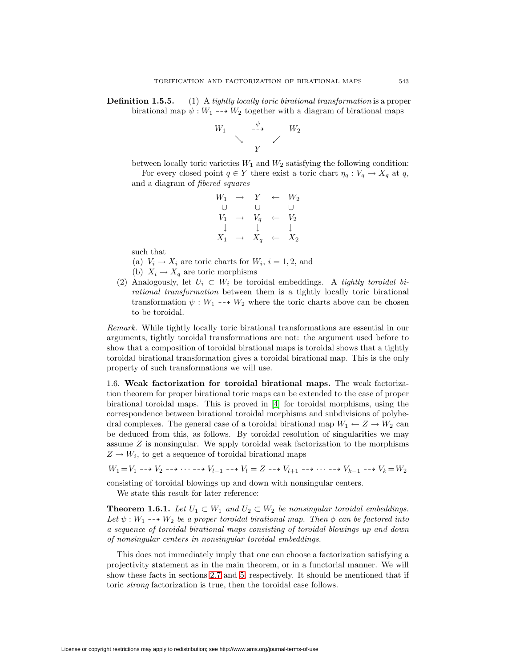**Definition 1.5.5.** (1) A tightly locally toric birational transformation is a proper birational map  $\psi: W_1 \dashrightarrow W_2$  together with a diagram of birational maps

$$
\begin{array}{ccc}\nW_1 & & \stackrel{\psi}{\dashrightarrow} & & W_2 \\
& \searrow & & \swarrow & \\
& Y & & \end{array}
$$

between locally toric varieties  $W_1$  and  $W_2$  satisfying the following condition:

For every closed point  $q \in Y$  there exist a toric chart  $\eta_q : V_q \to X_q$  at q, and a diagram of fibered squares

$$
W_1 \rightarrow Y \leftarrow W_2
$$
  
\n
$$
V_1 \rightarrow V_q \leftarrow V_2
$$
  
\n
$$
\downarrow \qquad \downarrow \qquad \downarrow
$$
  
\n
$$
X_1 \rightarrow X_q \leftarrow X_2
$$

such that

- (a)  $V_i \rightarrow X_i$  are toric charts for  $W_i$ ,  $i = 1, 2$ , and
- (b)  $X_i \to X_q$  are toric morphisms
- (2) Analogously, let  $U_i \subset W_i$  be toroidal embeddings. A tightly toroidal birational transformation between them is a tightly locally toric birational transformation  $\psi: W_1 \dashrightarrow W_2$  where the toric charts above can be chosen to be toroidal.

Remark. While tightly locally toric birational transformations are essential in our arguments, tightly toroidal transformations are not: the argument used before to show that a composition of toroidal birational maps is toroidal shows that a tightly toroidal birational transformation gives a toroidal birational map. This is the only property of such transformations we will use.

1.6. **Weak factorization for toroidal birational maps.** The weak factorization theorem for proper birational toric maps can be extended to the case of proper birational toroidal maps. This is proved in [\[4\]](#page-38-7) for toroidal morphisms, using the correspondence between birational toroidal morphisms and subdivisions of polyhedral complexes. The general case of a toroidal birational map  $W_1 \leftarrow Z \rightarrow W_2$  can be deduced from this, as follows. By toroidal resolution of singularities we may assume  $Z$  is nonsingular. We apply toroidal weak factorization to the morphisms  $Z \to W_i$ , to get a sequence of toroidal birational maps

 $W_1 = V_1 \dashrightarrow V_2 \dashrightarrow \cdots \dashrightarrow V_{l-1} \dashrightarrow V_l = Z \dashrightarrow V_{l+1} \dashrightarrow \cdots \dashrightarrow V_{k-1} \dashrightarrow V_k = W_2$ 

<span id="page-12-0"></span>consisting of toroidal blowings up and down with nonsingular centers.

We state this result for later reference:

**Theorem 1.6.1.** Let  $U_1 \subset W_1$  and  $U_2 \subset W_2$  be nonsingular toroidal embeddings. Let  $\psi: W_1 \dashrightarrow W_2$  be a proper toroidal birational map. Then  $\phi$  can be factored into a sequence of toroidal birational maps consisting of toroidal blowings up and down of nonsingular centers in nonsingular toroidal embeddings.

This does not immediately imply that one can choose a factorization satisfying a projectivity statement as in the main theorem, or in a functorial manner. We will show these facts in sections [2.7](#page-20-0) and [5,](#page-32-0) respectively. It should be mentioned that if toric strong factorization is true, then the toroidal case follows.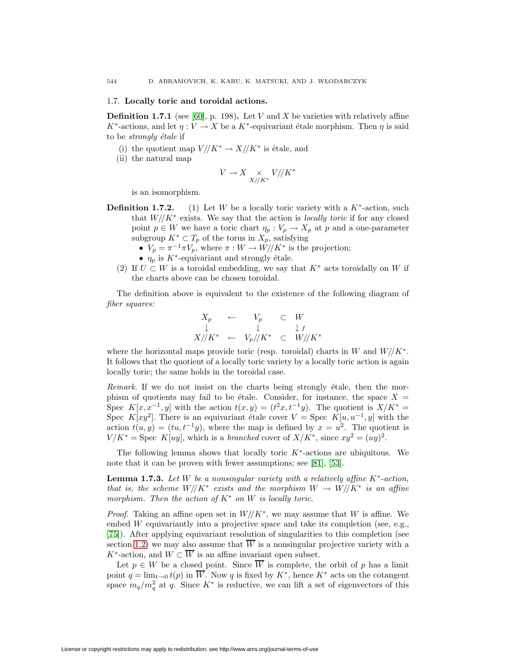# 1.7. **Locally toric and toroidal actions.**

**Definition 1.7.1** (see [\[60\]](#page-40-27), p. 198). Let V and X be varieties with relatively affine K<sup>\*</sup>-actions, and let  $\eta: V \to X$  be a K<sup>\*</sup>-equivariant étale morphism. Then  $\eta$  is said to be *strongly étale* if

- (i) the quotient map  $V \mathbin{\textit{\hspace{-0.8ex}/\hspace{-0.5ex}/\hspace{-0.4ex}}} K^* \to X \mathbin{\textit{\hspace{-0.8ex}/\hspace{-0.5ex}/\hspace{-0.4ex}}} K^*$  is étale, and
- (ii) the natural map

$$
V \to X \underset{X//K^*}{\times} V//K^*
$$

is an isomorphism.

- <span id="page-13-1"></span>**Definition 1.7.2.** (1) Let W be a locally toric variety with a  $K^*$ -action, such that  $W// K^*$  exists. We say that the action is *locally toric* if for any closed point  $p \in W$  we have a toric chart  $\eta_p : V_p \to X_p$  at p and a one-parameter subgroup  $K^* \subset T_p$  of the torus in  $X_p$ , satisfying
	- $V_p = \pi^{-1} \pi V_p$ , where  $\pi : W \to W/\!/ K^*$  is the projection;
	- $\eta_p$  is K<sup>\*</sup>-equivariant and strongly étale.
	- (2) If  $U \subset W$  is a toroidal embedding, we say that  $K^*$  acts toroidally on W if the charts above can be chosen toroidal.

The definition above is equivalent to the existence of the following diagram of fiber squares:

$$
\begin{array}{ccc}\nX_p & \leftarrow & V_p & \subset & W \\
\downarrow & & \downarrow & & \downarrow_f \\
X // K^* & \leftarrow & V_p // K^* & \subset & W // K^* \\
\end{array}
$$

where the horizontal maps provide toric (resp. toroidal) charts in W and  $W/\!/ K^*$ . It follows that the quotient of a locally toric variety by a locally toric action is again locally toric; the same holds in the toroidal case.

*Remark*. If we do not insist on the charts being strongly étale, then the morphism of quotients may fail to be étale. Consider, for instance, the space  $X =$ Spec  $K[x, x^{-1}, y]$  with the action  $t(x, y) = (t^2x, t^{-1}y)$ . The quotient is  $X/K^* =$ Spec  $K[xy^2]$ . There is an equivariant étale cover  $V =$  Spec  $K[u, u^{-1}, y]$  with the action  $t(u, y) = (tu, t^{-1}y)$ , where the map is defined by  $x = u^2$ . The quotient is  $V/K^* = \text{Spec } K[uy]$ , which is a branched cover of  $X/K^*$ , since  $xy^2 = (uy)^2$ .

<span id="page-13-0"></span>The following lemma shows that locally toric  $K^*$ -actions are ubiquitous. We note that it can be proven with fewer assumptions; see [\[81\]](#page-41-3), [\[53\]](#page-40-1).

**Lemma 1.7.3.** Let W be a nonsingular variety with a relatively affine  $K^*$ -action, that is, the scheme  $W// K^*$  exists and the morphism  $W \to W// K^*$  is an affine morphism. Then the action of  $K^*$  on W is locally toric.

*Proof.* Taking an affine open set in  $W// K^*$ , we may assume that W is affine. We embed W equivariantly into a projective space and take its completion (see, e.g., [\[75\]](#page-40-28)). After applying equivariant resolution of singularities to this completion (see section [1.2\)](#page-7-0) we may also assume that  $\overline{W}$  is a nonsingular projective variety with a K<sup>\*</sup>-action, and  $W \subset \overline{W}$  is an affine invariant open subset.

Let  $p \in W$  be a closed point. Since  $\overline{W}$  is complete, the orbit of p has a limit point  $q = \lim_{t\to 0} t(p)$  in  $\overline{W}$ . Now q is fixed by  $K^*$ , hence  $K^*$  acts on the cotangent space  $m_q/m_q^2$  at q. Since  $K^*$  is reductive, we can lift a set of eigenvectors of this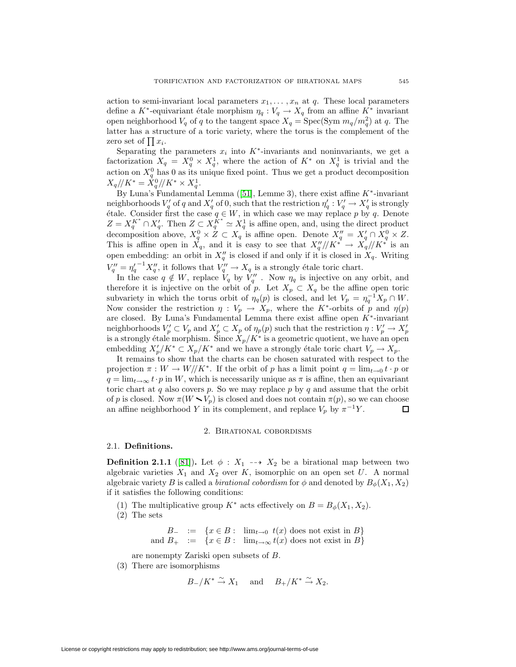action to semi-invariant local parameters  $x_1, \ldots, x_n$  at q. These local parameters define a K<sup>\*</sup>-equivariant étale morphism  $\eta_q : V_q \to X_q$  from an affine K<sup>\*</sup> invariant open neighborhood  $V_q$  of q to the tangent space  $X_q = \text{Spec}(\text{Sym } m_q/m_q^2)$  at q. The latter has a structure of a toric variety, where the torus is the complement of the zero set of  $|| x_i$ .

Separating the parameters  $x_i$  into  $K^*$ -invariants and noninvariants, we get a factorization  $X_q = X_q^0 \times X_q^1$ , where the action of  $K^*$  on  $X_q^1$  is trivial and the action on  $X_q^0$  has 0 as its unique fixed point. Thus we get a product decomposition  $X_q/\!/ K^* = X_q^0/\!/ K^* \times X_q^1.$ 

By Luna's Fundamental Lemma ([\[51\]](#page-40-29), Lemme 3), there exist affine  $K^*$ -invariant neighborhoods  $V'_q$  of q and  $X'_q$  of 0, such that the restriction  $\eta'_q: V'_q \to X'_q$  is strongly  $\forall$  etale. Consider first the case  $q \in W$ , in which case we may replace p by q. Denote  $Z = X_q^{K^*} \cap X_q'$ . Then  $Z \subset X_q^{K^*} \simeq X_q^1$  is affine open, and, using the direct product decomposition above,  $X_q^0 \times Z \subset X_q$  is affine open. Denote  $X_q'' = X_q' \cap X_q^0 \times Z$ . This is affine open in  $X_q$ , and it is easy to see that  $X_q''/K^* \to X_q/(K^*$  is an open embedding: an orbit in  $X''_q$  is closed if and only if it is closed in  $X_q$ . Writing  $V''_q = \eta'_q{}^{-1} X''_q$ , it follows that  $V''_q \to X_q$  is a strongly étale toric chart.

In the case  $q \notin W$ , replace  $V_q$  by  $V''_q$ . Now  $\eta_q$  is injective on any orbit, and therefore it is injective on the orbit of p. Let  $X_p \subset X_q$  be the affine open toric subvariety in which the torus orbit of  $\eta_q(p)$  is closed, and let  $V_p = \eta_q^{-1} X_p \cap W$ . Now consider the restriction  $\eta: V_p \to X_p$ , where the K<sup>\*</sup>-orbits of p and  $\eta(p)$ are closed. By Luna's Fundamental Lemma there exist affine open K∗-invariant neighborhoods  $V_p' \subset V_p$  and  $X_p' \subset X_p$  of  $\eta_p(p)$  such that the restriction  $\eta: V_p' \to X_p'$ is a strongly étale morphism. Since  $X_p/K^*$  is a geometric quotient, we have an open embedding  $X'_p/K^* \subset X_p/K^*$  and we have a strongly étale toric chart  $V_p \to X_p$ .

It remains to show that the charts can be chosen saturated with respect to the projection  $\pi : W \to W/\!/ K^*$ . If the orbit of p has a limit point  $q = \lim_{t\to 0} t \cdot p$  or  $q = \lim_{t\to\infty} t \cdot p$  in W, which is necessarily unique as  $\pi$  is affine, then an equivariant toric chart at q also covers  $p$ . So we may replace  $p$  by  $q$  and assume that the orbit of p is closed. Now  $\pi(W \setminus V_p)$  is closed and does not contain  $\pi(p)$ , so we can choose an affine neighborhood Y in its complement, and replace  $V_p$  by  $\pi^{-1}Y$ . □

# 2. Birational cobordisms

#### <span id="page-14-0"></span>2.1. **Definitions.**

**Definition 2.1.1** ([\[81\]](#page-41-3)). Let  $\phi : X_1 \dashrightarrow X_2$  be a birational map between two algebraic varieties  $X_1$  and  $X_2$  over K, isomorphic on an open set U. A normal algebraic variety B is called a *birational cobordism* for  $\phi$  and denoted by  $B_{\phi}(X_1, X_2)$ if it satisfies the following conditions:

- (1) The multiplicative group  $K^*$  acts effectively on  $B = B_{\phi}(X_1, X_2)$ .
- (2) The sets

 $B_-\ := \ \{x \in B:\ \lim_{t\to 0}\ t(x)\ \text{does not exist in}\ B\}$ and  $B_+$  := { $x \in B:$  lim<sub> $t \to \infty$ </sub>  $t(x)$  does not exist in  $B$ }

- are nonempty Zariski open subsets of B.
- (3) There are isomorphisms

$$
B_-/K^* \xrightarrow{\sim} X_1
$$
 and  $B_+/K^* \xrightarrow{\sim} X_2$ .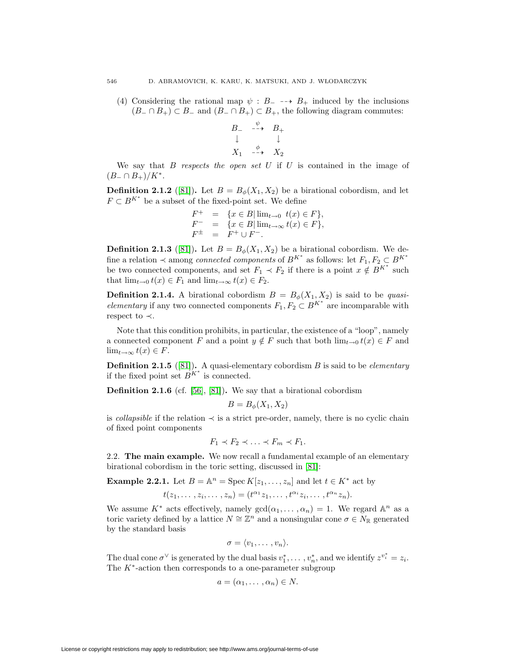(4) Considering the rational map  $\psi : B_-\dashrightarrow B_+$  induced by the inclusions  $(B_ \cap B_+) \subset B_-$  and  $(B_ \cap B_+) \subset B_+$ , the following diagram commutes:

$$
B_{-} \xrightarrow{-\phi} B_{+}
$$
  
\n
$$
\downarrow \qquad \qquad \downarrow
$$
  
\n
$$
X_{1} \xrightarrow{-\phi} X_{2}
$$

We say that  $B$  respects the open set  $U$  if  $U$  is contained in the image of  $(B_-\cap B_+)/K^*$ .

**Definition 2.1.2** ([\[81\]](#page-41-3)). Let  $B = B_{\phi}(X_1, X_2)$  be a birational cobordism, and let  $F \subset B^{K^*}$  be a subset of the fixed-point set. We define

$$
\begin{array}{rcl} F^+ & = & \{x \in B | \lim_{t \to 0} t(x) \in F \}, \\ F^- & = & \{x \in B | \lim_{t \to \infty} t(x) \in F \}, \\ F^{\pm} & = & F^+ \cup F^- . \end{array}
$$

**Definition 2.1.3** ([\[81\]](#page-41-3)). Let  $B = B_{\phi}(X_1, X_2)$  be a birational cobordism. We define a relation  $\prec$  among *connected components* of  $B^{K^*}$  as follows: let  $F_1, F_2 \subset B^{K^*}$ be two connected components, and set  $F_1 \prec F_2$  if there is a point  $x \notin B^{K^*}$  such that  $\lim_{t\to 0} t(x) \in F_1$  and  $\lim_{t\to\infty} t(x) \in F_2$ .

**Definition 2.1.4.** A birational cobordism  $B = B_{\phi}(X_1, X_2)$  is said to be quasi*elementary* if any two connected components  $F_1, F_2 \subset B^{K^*}$  are incomparable with respect to ≺.

Note that this condition prohibits, in particular, the existence of a "loop", namely a connected component F and a point  $y \notin F$  such that both  $\lim_{t\to 0} t(x) \in F$  and  $\lim_{t\to\infty}t(x)\in F.$ 

**Definition 2.1.5** ([\[81\]](#page-41-3)). A quasi-elementary cobordism  $B$  is said to be *elementary* if the fixed point set  $B^{K^*}$  is connected.

**Definition 2.1.6** (cf. [\[56\]](#page-40-0), [\[81\]](#page-41-3))**.** We say that a birational cobordism

$$
B = B_{\phi}(X_1, X_2)
$$

is *collapsible* if the relation  $\prec$  is a strict pre-order, namely, there is no cyclic chain of fixed point components

$$
F_1 \prec F_2 \prec \ldots \prec F_m \prec F_1.
$$

<span id="page-15-0"></span>2.2. **The main example.** We now recall a fundamental example of an elementary birational cobordism in the toric setting, discussed in [\[81\]](#page-41-3):

**Example 2.2.1.** Let  $B = \mathbb{A}^n = \text{Spec } K[z_1, \ldots, z_n]$  and let  $t \in K^*$  act by

$$
t(z_1,\ldots,z_i,\ldots,z_n)=(t^{\alpha_1}z_1,\ldots,t^{\alpha_i}z_i,\ldots,t^{\alpha_n}z_n).
$$

We assume  $K^*$  acts effectively, namely  $gcd(\alpha_1,\ldots,\alpha_n) = 1$ . We regard  $\mathbb{A}^n$  as a toric variety defined by a lattice  $N \cong \mathbb{Z}^n$  and a nonsingular cone  $\sigma \in N_{\mathbb{R}}$  generated by the standard basis

$$
\sigma=\langle v_1,\ldots,v_n\rangle.
$$

The dual cone  $\sigma^{\vee}$  is generated by the dual basis  $v_1^*, \ldots, v_n^*$ , and we identify  $z^{v_i^*} = z_i$ . The  $K^*$ -action then corresponds to a one-parameter subgroup

$$
a=(\alpha_1,\ldots,\alpha_n)\in N.
$$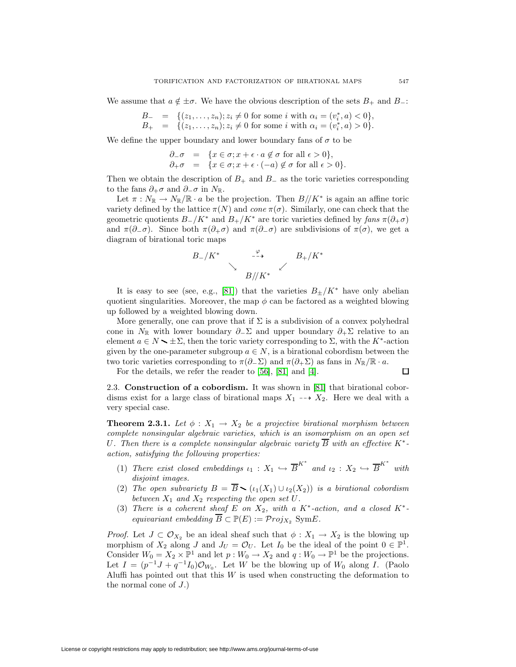We assume that  $a \notin \pm \sigma$ . We have the obvious description of the sets  $B_+$  and  $B_-$ :

$$
B_{-} = \{(z_1, \ldots, z_n); z_i \neq 0 \text{ for some } i \text{ with } \alpha_i = (v_i^*, a) < 0\},
$$
\n
$$
B_{+} = \{(z_1, \ldots, z_n); z_i \neq 0 \text{ for some } i \text{ with } \alpha_i = (v_i^*, a) > 0\}.
$$

We define the upper boundary and lower boundary fans of  $\sigma$  to be

$$
\begin{array}{rcl}\n\partial_{-}\sigma & = & \{x \in \sigma; x + \epsilon \cdot a \notin \sigma \text{ for all } \epsilon > 0\}, \\
\partial_{+}\sigma & = & \{x \in \sigma; x + \epsilon \cdot (-a) \notin \sigma \text{ for all } \epsilon > 0\}.\n\end{array}
$$

Then we obtain the description of  $B_+$  and  $B_-$  as the toric varieties corresponding to the fans  $\partial_+\sigma$  and  $\partial_-\sigma$  in  $N_{\mathbb{R}}$ .

Let  $\pi : N_{\mathbb{R}} \to N_{\mathbb{R}} / \mathbb{R} \cdot a$  be the projection. Then  $B / / K^*$  is again an affine toric variety defined by the lattice  $\pi(N)$  and cone  $\pi(\sigma)$ . Similarly, one can check that the geometric quotients  $B_{-}/K^*$  and  $B_{+}/K^*$  are toric varieties defined by fans  $\pi(\partial_{+}\sigma)$ and  $\pi(\partial_-\sigma)$ . Since both  $\pi(\partial_+\sigma)$  and  $\pi(\partial_-\sigma)$  are subdivisions of  $\pi(\sigma)$ , we get a diagram of birational toric maps



It is easy to see (see, e.g., [\[81\]](#page-41-3)) that the varieties  $B_{\pm}/K^*$  have only abelian quotient singularities. Moreover, the map  $\phi$  can be factored as a weighted blowing up followed by a weighted blowing down.

More generally, one can prove that if  $\Sigma$  is a subdivision of a convex polyhedral cone in  $N_{\mathbb{R}}$  with lower boundary  $\partial_{-}\Sigma$  and upper boundary  $\partial_{+}\Sigma$  relative to an element  $a \in N \setminus \pm \Sigma$ , then the toric variety corresponding to  $\Sigma$ , with the K<sup>\*</sup>-action given by the one-parameter subgroup  $a \in N$ , is a birational cobordism between the two toric varieties corresponding to  $\pi(\partial_-\Sigma)$  and  $\pi(\partial_+\Sigma)$  as fans in  $N_{\mathbb{R}}/\mathbb{R} \cdot a$ .

For the details, we refer the reader to [\[56\]](#page-40-0), [\[81\]](#page-41-3) and [\[4\]](#page-38-7).

$$
\Box
$$

2.3. **Construction of a cobordism.** It was shown in [\[81\]](#page-41-3) that birational cobordisms exist for a large class of birational maps  $X_1 \dashrightarrow X_2$ . Here we deal with a very special case.

**Theorem 2.3.1.** Let  $\phi: X_1 \to X_2$  be a projective birational morphism between complete nonsingular algebraic varieties, which is an isomorphism on an open set U. Then there is a complete nonsingular algebraic variety  $\overline{B}$  with an effective K<sup>\*</sup>action, satisfying the following properties:

- (1) There exist closed embeddings  $\iota_1 : X_1 \hookrightarrow \overline{B}^{K^*}$  and  $\iota_2 : X_2 \hookrightarrow \overline{B}^{K^*}$  with disjoint images.
- (2) The open subvariety  $B = \overline{B} \setminus (i_1(X_1) \cup i_2(X_2))$  is a birational cobordism between  $X_1$  and  $X_2$  respecting the open set U.
- (3) There is a coherent sheaf E on  $X_2$ , with a  $K^*$ -action, and a closed  $K^*$ equivariant embedding  $\overline{B} \subset \mathbb{P}(E) := \mathcal{P} roj_{X_2}$  Sym $E$ .

*Proof.* Let  $J \subset \mathcal{O}_{X_2}$  be an ideal sheaf such that  $\phi : X_1 \to X_2$  is the blowing up morphism of  $X_2$  along J and  $J_U = \mathcal{O}_U$ . Let  $I_0$  be the ideal of the point  $0 \in \mathbb{P}^1$ . Consider  $W_0 = X_2 \times \mathbb{P}^1$  and let  $p : W_0 \to X_2$  and  $q : W_0 \to \mathbb{P}^1$  be the projections. Let  $I = (p^{-1}J + q^{-1}I_0)\mathcal{O}_{W_0}$ . Let W be the blowing up of  $W_0$  along I. (Paolo Aluffi has pointed out that this  $W$  is used when constructing the deformation to the normal cone of  $J$ .)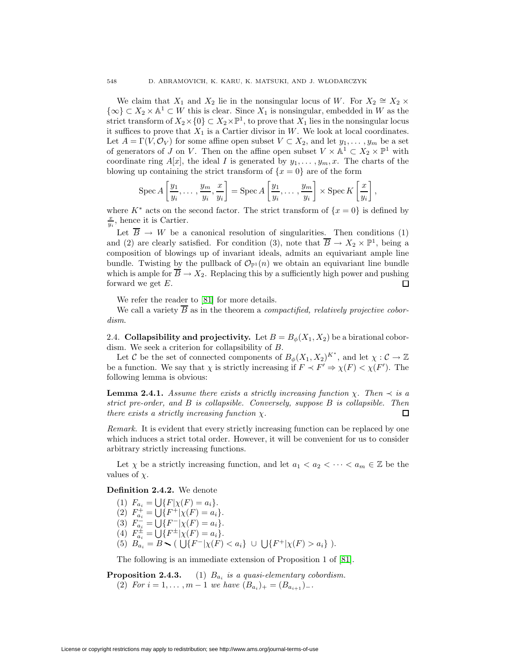We claim that  $X_1$  and  $X_2$  lie in the nonsingular locus of W. For  $X_2 \cong X_2 \times$  $\{\infty\} \subset X_2 \times \mathbb{A}^1 \subset W$  this is clear. Since  $X_1$  is nonsingular, embedded in W as the strict transform of  $X_2 \times \{0\} \subset X_2 \times \mathbb{P}^1$ , to prove that  $X_1$  lies in the nonsingular locus it suffices to prove that  $X_1$  is a Cartier divisor in W. We look at local coordinates. Let  $A = \Gamma(V, \mathcal{O}_V)$  for some affine open subset  $V \subset X_2$ , and let  $y_1, \ldots, y_m$  be a set of generators of J on V. Then on the affine open subset  $V \times \mathbb{A}^1 \subset X_2 \times \mathbb{P}^1$  with coordinate ring  $A[x]$ , the ideal I is generated by  $y_1, \ldots, y_m, x$ . The charts of the blowing up containing the strict transform of  $\{x=0\}$  are of the form

$$
\operatorname{Spec} A\left[\frac{y_1}{y_i},\ldots,\frac{y_m}{y_i},\frac{x}{y_i}\right] = \operatorname{Spec} A\left[\frac{y_1}{y_i},\ldots,\frac{y_m}{y_i}\right] \times \operatorname{Spec} K\left[\frac{x}{y_i}\right],
$$

where K<sup>∗</sup> acts on the second factor. The strict transform of  $\{x = 0\}$  is defined by  $\frac{x}{y_i}$ , hence it is Cartier.

Let  $\overline{B} \to W$  be a canonical resolution of singularities. Then conditions (1) and (2) are clearly satisfied. For condition (3), note that  $\overline{B} \to X_2 \times \mathbb{P}^1$ , being a composition of blowings up of invariant ideals, admits an equivariant ample line bundle. Twisting by the pullback of  $\mathcal{O}_{\mathbb{P}^1}(n)$  we obtain an equivariant line bundle which is ample for  $\overline{B} \to X_2$ . Replacing this by a sufficiently high power and pushing forward we get  $E$ .  $\Box$ 

We refer the reader to [\[81\]](#page-41-3) for more details.

We call a variety  $\overline{B}$  as in the theorem a *compactified, relatively projective cobor*dism.

2.4. **Collapsibility and projectivity.** Let  $B = B_{\phi}(X_1, X_2)$  be a birational cobordism. We seek a criterion for collapsibility of B.

Let C be the set of connected components of  $B_{\phi}(X_1, X_2)^{K^*}$ , and let  $\chi: \mathcal{C} \to \mathbb{Z}$ be a function. We say that  $\chi$  is strictly increasing if  $F \prec F' \Rightarrow \chi(F) < \chi(F')$ . The following lemma is obvious:

**Lemma 2.4.1.** Assume there exists a strictly increasing function  $\chi$ . Then  $\prec$  is a strict pre-order, and B is collapsible. Conversely, suppose B is collapsible. Then there exists a strictly increasing function  $\chi$ .  $\Box$ 

Remark. It is evident that every strictly increasing function can be replaced by one which induces a strict total order. However, it will be convenient for us to consider arbitrary strictly increasing functions.

Let  $\chi$  be a strictly increasing function, and let  $a_1 < a_2 < \cdots < a_m \in \mathbb{Z}$  be the values of  $\chi$ .

**Definition 2.4.2.** We denote

(1)  $F_{a_i} = \bigcup \{ F | \chi(F) = a_i \}.$ 

(2) 
$$
F_{a_i}^+ = \bigcup \{ F^+ | \chi(F) = a_i \}.
$$

(3)  $F_{a_i}^- = \bigcup \{ F^- | \chi(F) = a_i \}.$ 

- (4)  $F_{a_i}^{\pm} = \bigcup \{ F^{\pm} | \chi(F) = a_i \}.$
- (5)  $B_{a_i} = B \setminus (\bigcup \{F^-|\chi(F) < a_i\} \cup \bigcup \{F^+|\chi(F) > a_i\}).$

The following is an immediate extension of Proposition 1 of [\[81\]](#page-41-3).

**Proposition 2.4.3.** (1)  $B_{a_i}$  is a quasi-elementary cobordism. (2) For  $i = 1, \ldots, m - 1$  we have  $(B_{a_i})_+ = (B_{a_{i+1}})_-.$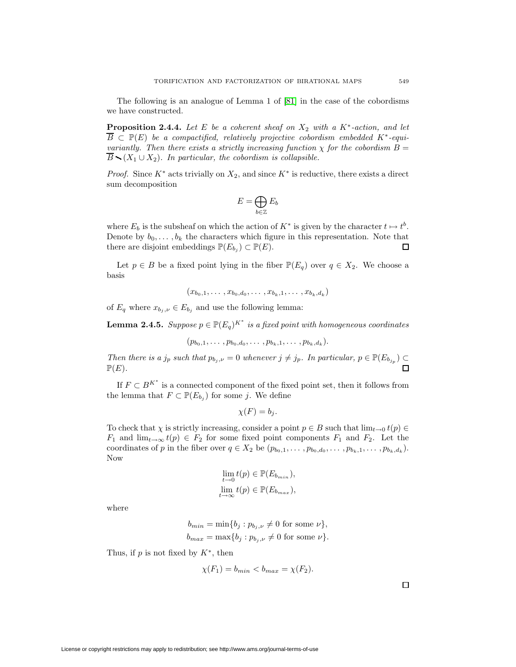The following is an analogue of Lemma 1 of [\[81\]](#page-41-3) in the case of the cobordisms we have constructed.

**Proposition 2.4.4.** Let E be a coherent sheaf on  $X_2$  with a  $K^*$ -action, and let  $\overline{B} \subset \mathbb{P}(E)$  be a compactified, relatively projective cobordism embedded K<sup>\*</sup>-equivariantly. Then there exists a strictly increasing function  $\chi$  for the cobordism  $B =$  $\overline{B}$  (X<sub>1</sub> ∪ X<sub>2</sub>). In particular, the cobordism is collapsible.

*Proof.* Since  $K^*$  acts trivially on  $X_2$ , and since  $K^*$  is reductive, there exists a direct sum decomposition

$$
E = \bigoplus_{b \in \mathbb{Z}} E_b
$$

where  $E_b$  is the subsheaf on which the action of  $K^*$  is given by the character  $t \mapsto t^b$ . Denote by  $b_0, \ldots, b_k$  the characters which figure in this representation. Note that there are disjoint embeddings  $\mathbb{P}(E_{b_i}) \subset \mathbb{P}(E)$ .  $\Box$ 

Let  $p \in B$  be a fixed point lying in the fiber  $\mathbb{P}(E_q)$  over  $q \in X_2$ . We choose a basis

$$
(x_{b_0,1},\ldots,x_{b_0,d_0},\ldots,x_{b_k,1},\ldots,x_{b_k,d_k})
$$

of  $E_q$  where  $x_{b_j,\nu} \in E_{b_j}$  and use the following lemma:

**Lemma 2.4.5.** Suppose  $p \in \mathbb{P}(E_q)^{K^*}$  is a fixed point with homogeneous coordinates

$$
(p_{b_0,1},\ldots,p_{b_0,d_0},\ldots,p_{b_k,1},\ldots,p_{b_k,d_k}).
$$

Then there is a  $j_p$  such that  $p_{b_j,\nu} = 0$  whenever  $j \neq j_p$ . In particular,  $p \in \mathbb{P}(E_{b_{j_p}}) \subset \mathbb{P}(E)$  $\mathbb{P}(E)$ .

If  $F \subset B^{K^*}$  is a connected component of the fixed point set, then it follows from the lemma that  $F \subset \mathbb{P}(E_{b_i})$  for some j. We define

$$
\chi(F) = b_j.
$$

To check that  $\chi$  is strictly increasing, consider a point  $p \in B$  such that  $\lim_{t\to 0} t(p) \in$  $F_1$  and  $\lim_{t\to\infty} t(p) \in F_2$  for some fixed point components  $F_1$  and  $F_2$ . Let the coordinates of p in the fiber over  $q \in X_2$  be  $(p_{b_0,1},\ldots,p_{b_0,d_0},\ldots,p_{b_k,1},\ldots,p_{b_k,d_k})$ . Now

$$
\lim_{t \to 0} t(p) \in \mathbb{P}(E_{b_{min}}),
$$
  

$$
\lim_{t \to \infty} t(p) \in \mathbb{P}(E_{b_{max}}),
$$

where

$$
b_{min} = \min\{b_j : p_{b_j,\nu} \neq 0 \text{ for some } \nu\},
$$
  

$$
b_{max} = \max\{b_j : p_{b_j,\nu} \neq 0 \text{ for some } \nu\}.
$$

Thus, if p is not fixed by  $K^*$ , then

$$
\chi(F_1) = b_{min} < b_{max} = \chi(F_2).
$$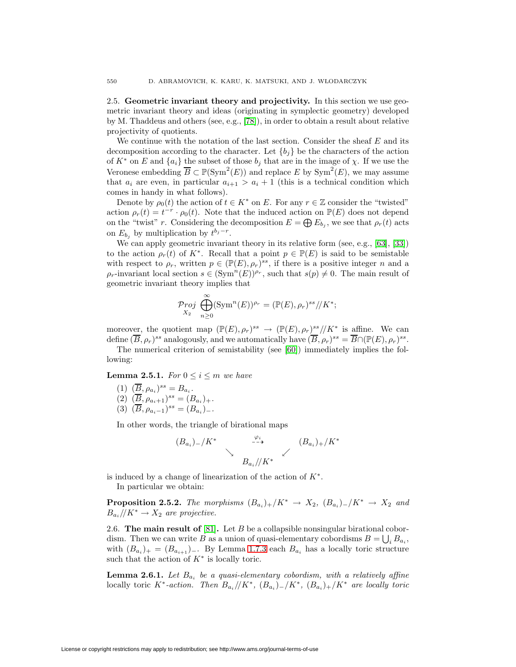2.5. **Geometric invariant theory and projectivity.** In this section we use geometric invariant theory and ideas (originating in symplectic geometry) developed by M. Thaddeus and others (see, e.g., [\[78\]](#page-41-4)), in order to obtain a result about relative projectivity of quotients.

We continue with the notation of the last section. Consider the sheaf  $E$  and its decomposition according to the character. Let  ${b_j}$  be the characters of the action of  $K^*$  on E and  $\{a_i\}$  the subset of those  $b_j$  that are in the image of  $\chi$ . If we use the Veronese embedding  $\overline{B} \subset \mathbb{P}(\text{Sym}^2(E))$  and replace E by  $\text{Sym}^2(E)$ , we may assume that  $a_i$  are even, in particular  $a_{i+1} > a_i + 1$  (this is a technical condition which comes in handy in what follows).

Denote by  $\rho_0(t)$  the action of  $t \in K^*$  on E. For any  $r \in \mathbb{Z}$  consider the "twisted" action  $\rho_r(t) = t^{-r} \cdot \rho_0(t)$ . Note that the induced action on  $\mathbb{P}(E)$  does not depend on the "twist" r. Considering the decomposition  $E = \bigoplus E_{b_i}$ , we see that  $\rho_r(t)$  acts on  $E_{b_j}$  by multiplication by  $t^{b_j-r}$ .

We can apply geometric invariant theory in its relative form (see, e.g., [\[63\]](#page-40-30), [\[33\]](#page-39-26)) to the action  $\rho_r(t)$  of K<sup>∗</sup>. Recall that a point  $p \in \mathbb{P}(E)$  is said to be semistable with respect to  $\rho_r$ , written  $p \in (\mathbb{P}(E), \rho_r)^{ss}$ , if there is a positive integer n and a  $\rho_r$ -invariant local section  $s \in (\text{Sym}^n(E))^{p_r}$ , such that  $s(p) \neq 0$ . The main result of geometric invariant theory implies that

$$
\mathcal{P}_{\substack{roj\\X_2}} \bigoplus_{n\geq 0}^{\infty} (\text{Sym}^n(E))^{\rho_r} = (\mathbb{P}(E), \rho_r)^{ss} / K^*;
$$

moreover, the quotient map  $(\mathbb{P}(E), \rho_r)^{ss} \to (\mathbb{P}(E), \rho_r)^{ss} / K^*$  is affine. We can define  $(\overline{B}, \rho_r)^{ss}$  analogously, and we automatically have  $(\overline{B}, \rho_r)^{ss} = \overline{B} \cap (\mathbb{P}(E), \rho_r)^{ss}$ .

The numerical criterion of semistability (see [\[60\]](#page-40-27)) immediately implies the following:

**Lemma 2.5.1.** For  $0 \leq i \leq m$  we have

- (1)  $(\overline{B}, \rho_{a_i})^{ss} = B_{a_i}$ .
- (2)  $(\overline{B}, \rho_{a_i+1})^{ss} = (B_{a_i})_+.$
- (3)  $(\overline{B}, \rho_{a_i-1})^{ss} = (B_{a_i})_-.$

In other words, the triangle of birational maps

$$
(B_{a_i})_{-}/K^* \longrightarrow \begin{array}{c} \varphi_i \\ \searrow \\ B_{a_i}/K^* \end{array} (B_{a_i})_{+}/K^*
$$

<span id="page-19-1"></span>is induced by a change of linearization of the action of  $K^*$ . In particular we obtain:

**Proposition 2.5.2.** The morphisms  $(B_{a_i})_+/K^* \rightarrow X_2$ ,  $(B_{a_i})_-/K^* \rightarrow X_2$  and  $B_{a_i}/\!/K^* \to X_2$  are projective.

2.6. **The main result of** [\[81\]](#page-41-3)**.** Let B be a collapsible nonsingular birational cobordism. Then we can write B as a union of quasi-elementary cobordisms  $B = \bigcup_i B_{a_i}$ , with  $(B_{a_i})_+ = (B_{a_{i+1}})_-.$  By Lemma [1.7.3](#page-13-0) each  $B_{a_i}$  has a locally toric structure such that the action of  $K^*$  is locally toric.

<span id="page-19-2"></span>**Lemma 2.6.1.** Let  $B_{a_i}$  be a quasi-elementary cobordism, with a relatively affine locally toric K<sup>\*</sup>-action. Then  $B_{a_i}/K^*$ ,  $(B_{a_i})_-/K^*$ ,  $(B_{a_i})_+/K^*$  are locally toric

<span id="page-19-0"></span>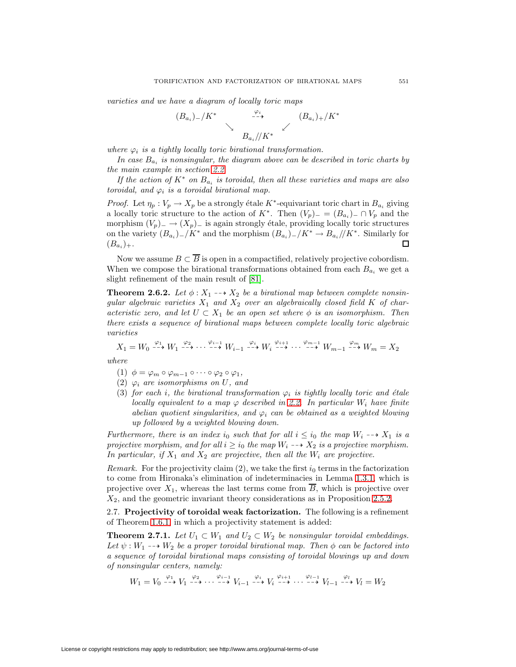varieties and we have a diagram of locally toric maps

$$
(B_{a_i})_{-}/K^* \longrightarrow B_{a_i}/K^* \qquad (B_{a_i})_{+}/K^*
$$

where  $\varphi_i$  is a tightly locally toric birational transformation.

In case  $B_{a_i}$  is nonsingular, the diagram above can be described in toric charts by the main example in section [2.2.](#page-15-0)

If the action of  $K^*$  on  $B_{a_i}$  is toroidal, then all these varieties and maps are also toroidal, and  $\varphi_i$  is a toroidal birational map.

*Proof.* Let  $\eta_p : V_p \to X_p$  be a strongly étale K<sup>\*</sup>-equivariant toric chart in  $B_{a_i}$  giving a locally toric structure to the action of  $K^*$ . Then  $(V_p)$ <sub>−</sub> =  $(B_{a_i})$ <sub>−</sub> ∩  $V_p$  and the morphism  $(V_p)$ <sub>−</sub> →  $(X_p)$ <sub>−</sub> is again strongly étale, providing locally toric structures on the variety  $(B_{a_i})_-/K^*$  and the morphism  $(B_{a_i})_-/K^* \to B_{a_i}//K^*$ . Similarly for  $(B_{a_i})_+$ . □  $(B_{a_i})_+.$ 

Now we assume  $B \subset \overline{B}$  is open in a compactified, relatively projective cobordism. When we compose the birational transformations obtained from each  $B_{a_i}$  we get a slight refinement of the main result of [\[81\]](#page-41-3).

<span id="page-20-1"></span>**Theorem 2.6.2.** Let  $\phi: X_1 \longrightarrow X_2$  be a birational map between complete nonsingular algebraic varieties  $X_1$  and  $X_2$  over an algebraically closed field K of characteristic zero, and let  $U \subset X_1$  be an open set where  $\phi$  is an isomorphism. Then there exists a sequence of birational maps between complete locally toric algebraic varieties

 $X_1 = W_0 \stackrel{\varphi_1}{\dashrightarrow} W_1 \stackrel{\varphi_2}{\dashrightarrow} \cdots \stackrel{\varphi_{i-1}}{\dashrightarrow} W_{i-1} \stackrel{\varphi_i}{\dashrightarrow} W_i \stackrel{\varphi_{i+1}}{\dashrightarrow} \cdots \stackrel{\varphi_{m-1}}{\dashrightarrow} W_{m-1} \stackrel{\varphi_m}{\dashrightarrow} W_m = X_2$ where

- (1)  $\phi = \varphi_m \circ \varphi_{m-1} \circ \cdots \circ \varphi_2 \circ \varphi_1,$
- (2)  $\varphi_i$  are isomorphisms on U, and
- (3) for each i, the birational transformation  $\varphi_i$  is tightly locally toric and étale locally equivalent to a map  $\varphi$  described in [2.2.](#page-15-0) In particular  $W_i$  have finite abelian quotient singularities, and  $\varphi_i$  can be obtained as a weighted blowing up followed by a weighted blowing down.

Furthermore, there is an index i<sub>0</sub> such that for all  $i \leq i_0$  the map  $W_i \dashrightarrow X_1$  is a projective morphism, and for all  $i \geq i_0$  the map  $W_i \dashrightarrow X_2$  is a projective morphism. In particular, if  $X_1$  and  $X_2$  are projective, then all the  $W_i$  are projective.

*Remark.* For the projectivity claim (2), we take the first  $i_0$  terms in the factorization to come from Hironaka's elimination of indeterminacies in Lemma [1.3.1,](#page-8-0) which is projective over  $X_1$ , whereas the last terms come from  $\overline{B}$ , which is projective over  $X_2$ , and the geometric invariant theory considerations as in Proposition [2.5.2.](#page-19-1)

<span id="page-20-2"></span><span id="page-20-0"></span>2.7. **Projectivity of toroidal weak factorization.** The following is a refinement of Theorem [1.6.1,](#page-12-0) in which a projectivity statement is added:

**Theorem 2.7.1.** Let  $U_1 \subset W_1$  and  $U_2 \subset W_2$  be nonsingular toroidal embeddings. Let  $\psi : W_1 \dashrightarrow W_2$  be a proper toroidal birational map. Then  $\phi$  can be factored into a sequence of toroidal birational maps consisting of toroidal blowings up and down of nonsingular centers, namely:

$$
W_1=V_0\stackrel{\varphi_1}{\dashrightarrow} V_1\stackrel{\varphi_2}{\dashrightarrow}\cdots\stackrel{\varphi_{i-1}}{\dashrightarrow} V_{i-1}\stackrel{\varphi_i}{\dashrightarrow} V_i\stackrel{\varphi_{i+1}}{\dashrightarrow}\cdots\stackrel{\varphi_{l-1}}{\dashrightarrow} V_{l-1}\stackrel{\varphi_l}{\dashrightarrow} V_l=W_2
$$

License or copyright restrictions may apply to redistribution; see http://www.ams.org/journal-terms-of-use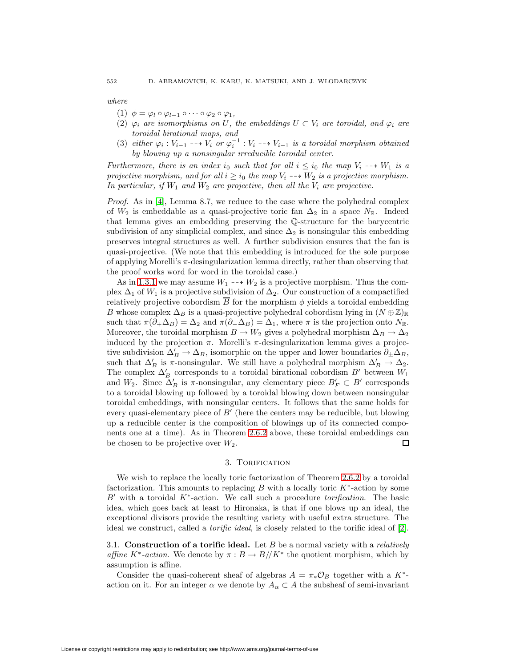where

- (1)  $\phi = \varphi_1 \circ \varphi_{1-1} \circ \cdots \circ \varphi_2 \circ \varphi_1$
- (2)  $\varphi_i$  are isomorphisms on U, the embeddings  $U \subset V_i$  are toroidal, and  $\varphi_i$  are toroidal birational maps, and
- (3) either  $\varphi_i : V_{i-1} \dashrightarrow V_i$  or  $\varphi_i^{-1} : V_i \dashrightarrow V_{i-1}$  is a toroidal morphism obtained by blowing up a nonsingular irreducible toroidal center.

Furthermore, there is an index i<sub>0</sub> such that for all  $i \leq i_0$  the map  $V_i \dashrightarrow W_1$  is a projective morphism, and for all  $i \geq i_0$  the map  $V_i \dashrightarrow W_2$  is a projective morphism. In particular, if  $W_1$  and  $W_2$  are projective, then all the  $V_i$  are projective.

*Proof.* As in [\[4\]](#page-38-7), Lemma 8.7, we reduce to the case where the polyhedral complex of  $W_2$  is embeddable as a quasi-projective toric fan  $\Delta_2$  in a space  $N_{\mathbb{R}}$ . Indeed that lemma gives an embedding preserving the Q-structure for the barycentric subdivision of any simplicial complex, and since  $\Delta_2$  is nonsingular this embedding preserves integral structures as well. A further subdivision ensures that the fan is quasi-projective. (We note that this embedding is introduced for the sole purpose of applying Morelli's  $\pi$ -desingularization lemma directly, rather than observing that the proof works word for word in the toroidal case.)

As in [1.3.1](#page-8-0) we may assume  $W_1 \dashrightarrow W_2$  is a projective morphism. Thus the complex  $\Delta_1$  of  $W_1$  is a projective subdivision of  $\Delta_2$ . Our construction of a compactified relatively projective cobordism B for the morphism  $\phi$  yields a toroidal embedding B whose complex  $\Delta_B$  is a quasi-projective polyhedral cobordism lying in  $(N \oplus \mathbb{Z})_{\mathbb{R}}$ such that  $\pi(\partial_+\Delta_B)=\Delta_2$  and  $\pi(\partial_-\Delta_B)=\Delta_1$ , where  $\pi$  is the projection onto  $N_{\mathbb{R}}$ . Moreover, the toroidal morphism  $B \to W_2$  gives a polyhedral morphism  $\Delta_B \to \Delta_2$ induced by the projection  $\pi$ . Morelli's  $\pi$ -desingularization lemma gives a projective subdivision  $\Delta'_B \to \Delta_B$ , isomorphic on the upper and lower boundaries  $\partial_{\pm} \Delta_B$ , such that  $\Delta'_B$  is  $\pi$ -nonsingular. We still have a polyhedral morphism  $\Delta'_B \to \Delta_2$ . The complex  $\Delta'_B$  corresponds to a toroidal birational cobordism  $B'$  between  $W_1$ and  $W_2$ . Since  $\Delta'_B$  is  $\pi$ -nonsingular, any elementary piece  $B'_F \subset B'$  corresponds to a toroidal blowing up followed by a toroidal blowing down between nonsingular toroidal embeddings, with nonsingular centers. It follows that the same holds for every quasi-elementary piece of  $B'$  (here the centers may be reducible, but blowing up a reducible center is the composition of blowings up of its connected components one at a time). As in Theorem [2.6.2](#page-20-1) above, these toroidal embeddings can be chosen to be projective over  $W_2$ .  $\Box$ 

# 3. TORIFICATION

<span id="page-21-0"></span>We wish to replace the locally toric factorization of Theorem [2.6.2](#page-20-1) by a toroidal factorization. This amounts to replacing B with a locally toric  $K^*$ -action by some  $B'$  with a toroidal  $K^*$ -action. We call such a procedure *torification*. The basic idea, which goes back at least to Hironaka, is that if one blows up an ideal, the exceptional divisors provide the resulting variety with useful extra structure. The ideal we construct, called a torific ideal, is closely related to the torific ideal of [\[2\]](#page-38-11).

<span id="page-21-1"></span>3.1. **Construction of a torific ideal.** Let B be a normal variety with a relatively affine K<sup>\*</sup>-action. We denote by  $\pi : B \to B/\!/ K^*$  the quotient morphism, which by assumption is affine.

Consider the quasi-coherent sheaf of algebras  $A = \pi_* \mathcal{O}_B$  together with a K<sup>\*</sup>action on it. For an integer  $\alpha$  we denote by  $A_{\alpha} \subset A$  the subsheaf of semi-invariant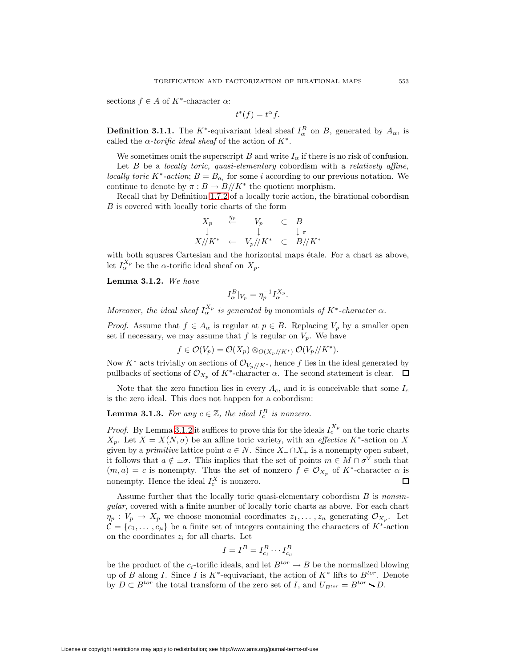sections  $f \in A$  of  $K^*$ -character  $\alpha$ :

$$
t^*(f) = t^{\alpha} f.
$$

**Definition 3.1.1.** The K<sup>\*</sup>-equivariant ideal sheaf  $I_{\alpha}^B$  on B, generated by  $A_{\alpha}$ , is called the  $\alpha$ -torific ideal sheaf of the action of  $K^*$ .

We sometimes omit the superscript B and write  $I_{\alpha}$  if there is no risk of confusion.

Let  $B$  be a locally toric, quasi-elementary cobordism with a relatively affine, locally toric K<sup>\*</sup>-action;  $B = B_{a_i}$  for some i according to our previous notation. We continue to denote by  $\pi : B \to B/\!/ K^*$  the quotient morphism.

Recall that by Definition [1.7.2](#page-13-1) of a locally toric action, the birational cobordism B is covered with locally toric charts of the form

$$
\begin{array}{ccc}\nX_p & \stackrel{\eta_p}{\leftarrow} & V_p & \subset & B \\
\downarrow & & \downarrow & & \downarrow \pi \\
X // K^* & \leftarrow & V_p // K^* & \subset & B // K^* \\
\end{array}
$$

<span id="page-22-1"></span>with both squares Cartesian and the horizontal maps étale. For a chart as above, let  $I_{\alpha}^{X_p}$  be the  $\alpha$ -torific ideal sheaf on  $X_p$ .

**Lemma 3.1.2.** We have

$$
I_{\alpha}^B|_{V_p} = \eta_p^{-1} I_{\alpha}^{X_p}.
$$

Moreover, the ideal sheaf  $I_\alpha^{X_p}$  is generated by monomials of  $K^*$ -character  $\alpha$ .

*Proof.* Assume that  $f \in A_{\alpha}$  is regular at  $p \in B$ . Replacing  $V_p$  by a smaller open set if necessary, we may assume that f is regular on  $V_p$ . We have

$$
f\in \mathcal O(V_p)=\mathcal O(X_p)\otimes_{\mathcal O(X_p//K^*)}\mathcal O(V_p//K^*).
$$

Now  $K^*$  acts trivially on sections of  $\mathcal{O}_{V_p//K^*}$ , hence f lies in the ideal generated by pullbacks of sections of  $\mathcal{O}_{X_p}$  of  $K^*$ -character  $\alpha$ . The second statement is clear.  $\Box$ 

<span id="page-22-2"></span>Note that the zero function lies in every  $A_c$ , and it is conceivable that some  $I_c$ is the zero ideal. This does not happen for a cobordism:

# **Lemma 3.1.3.** For any  $c \in \mathbb{Z}$ , the ideal  $I_c^B$  is nonzero.

*Proof.* By Lemma [3.1.2](#page-22-1) it suffices to prove this for the ideals  $I_c^{X_p}$  on the toric charts  $X_p$ . Let  $X = X(N, \sigma)$  be an affine toric variety, with an *effective* K<sup>\*</sup>-action on X given by a *primitive* lattice point  $a \in N$ . Since  $X_-\cap X_+$  is a nonempty open subset, it follows that  $a \notin \pm \sigma$ . This implies that the set of points  $m \in M \cap \sigma^{\vee}$  such that  $(m, a) = c$  is nonempty. Thus the set of nonzero  $f \in \mathcal{O}_{X_p}$  of  $K^*$ -character  $\alpha$  is nonempty. Hence the ideal  $I_c^X$  is nonzero.  $\Box$ 

Assume further that the locally toric quasi-elementary cobordism  $B$  is nonsingular, covered with a finite number of locally toric charts as above. For each chart  $\eta_p: V_p \to X_p$  we choose monomial coordinates  $z_1, \ldots, z_n$  generating  $\mathcal{O}_{X_p}$ . Let  $\mathcal{C} = \{c_1, \ldots, c_{\mu}\}\$ be a finite set of integers containing the characters of K<sup>\*</sup>-action on the coordinates  $z_i$  for all charts. Let

$$
I=I^B=I^B_{c_1}\cdots I^B_{c_\mu}
$$

<span id="page-22-0"></span>be the product of the  $c_i$ -torific ideals, and let  $B^{tor} \to B$  be the normalized blowing up of B along I. Since I is K<sup>\*</sup>-equivariant, the action of  $K^*$  lifts to  $B^{tor}$ . Denote by  $D \subset B^{tor}$  the total transform of the zero set of I, and  $U_{B^{tor}} = B^{tor} \setminus D$ .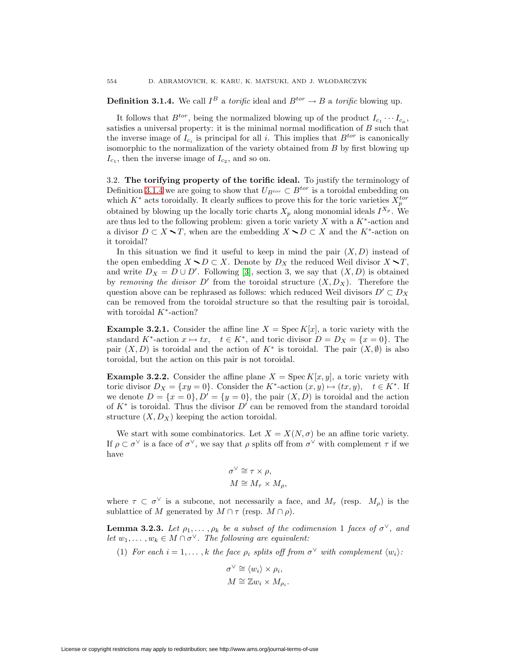**Definition 3.1.4.** We call  $I^B$  a torific ideal and  $B^{tor} \to B$  a torific blowing up.

It follows that  $B^{tor}$ , being the normalized blowing up of the product  $I_{c_1} \cdots I_{c_n}$ , satisfies a universal property: it is the minimal normal modification of B such that the inverse image of  $I_{c_i}$  is principal for all i. This implies that  $B^{tor}$  is canonically isomorphic to the normalization of the variety obtained from  $B$  by first blowing up  $I_{c_1}$ , then the inverse image of  $I_{c_2}$ , and so on.

<span id="page-23-0"></span>3.2. **The torifying property of the torific ideal.** To justify the terminology of Definition [3.1.4](#page-22-0) we are going to show that  $U_{B^{tor}} \subset B^{tor}$  is a toroidal embedding on which  $K^*$  acts toroidally. It clearly suffices to prove this for the toric varieties  $X_p^{tor}$ obtained by blowing up the locally toric charts  $X_p$  along monomial ideals  $I^{X_p}$ . We are thus led to the following problem: given a toric variety  $X$  with a  $K^*$ -action and a divisor  $D \subset X \setminus T$ , when are the embedding  $X \setminus D \subset X$  and the K<sup>\*</sup>-action on it toroidal?

In this situation we find it useful to keep in mind the pair  $(X, D)$  instead of the open embedding  $X \setminus D \subset X$ . Denote by  $D_X$  the reduced Weil divisor  $X \setminus T$ , and write  $D_X = D \cup D'$ . Following [\[3\]](#page-38-13), section 3, we say that  $(X, D)$  is obtained by removing the divisor D' from the toroidal structure  $(X, D_X)$ . Therefore the question above can be rephrased as follows: which reduced Weil divisors  $D' \subset D_X$ can be removed from the toroidal structure so that the resulting pair is toroidal, with toroidal  $K^*$ -action?

**Example 3.2.1.** Consider the affine line  $X = \text{Spec } K[x]$ , a toric variety with the standard  $K^*$ -action  $x \mapsto tx$ ,  $t \in K^*$ , and toric divisor  $D = D_X = \{x = 0\}$ . The pair  $(X, D)$  is toroidal and the action of  $K^*$  is toroidal. The pair  $(X, \emptyset)$  is also toroidal, but the action on this pair is not toroidal.

**Example 3.2.2.** Consider the affine plane  $X = \text{Spec } K[x, y]$ , a toric variety with toric divisor  $D_X = \{xy = 0\}$ . Consider the K<sup>\*</sup>-action  $(x, y) \mapsto (tx, y), \quad t \in K^*$ . If we denote  $D = \{x = 0\}, D' = \{y = 0\}$ , the pair  $(X, D)$  is toroidal and the action of  $K^*$  is toroidal. Thus the divisor  $D'$  can be removed from the standard toroidal structure  $(X, D_X)$  keeping the action toroidal.

We start with some combinatorics. Let  $X = X(N, \sigma)$  be an affine toric variety. If  $\rho \subset \sigma^{\vee}$  is a face of  $\sigma^{\vee}$ , we say that  $\rho$  splits off from  $\sigma^{\vee}$  with complement  $\tau$  if we have

$$
\sigma^{\vee} \cong \tau \times \rho,
$$
  

$$
M \cong M_{\tau} \times M_{\rho},
$$

where  $\tau \subset \sigma^{\vee}$  is a subcone, not necessarily a face, and  $M_{\tau}$  (resp.  $M_{\rho}$ ) is the sublattice of M generated by  $M \cap \tau$  (resp.  $M \cap \rho$ ).

**Lemma 3.2.3.** Let  $\rho_1, \ldots, \rho_k$  be a subset of the codimension 1 faces of  $\sigma^{\vee}$ , and let  $w_1, \ldots, w_k \in M \cap \sigma^{\vee}$ . The following are equivalent:

(1) For each  $i = 1, \ldots, k$  the face  $\rho_i$  splits off from  $\sigma^{\vee}$  with complement  $\langle w_i \rangle$ :

$$
\sigma^{\vee} \cong \langle w_i \rangle \times \rho_i,
$$
  

$$
M \cong \mathbb{Z} w_i \times M_{\rho_i}.
$$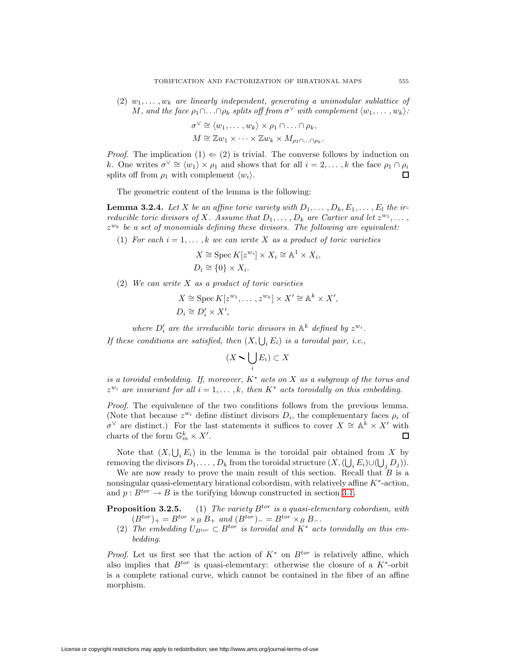(2)  $w_1, \ldots, w_k$  are linearly independent, generating a unimodular sublattice of M, and the face  $\rho_1 \cap \ldots \cap \rho_k$  splits off from  $\sigma^{\vee}$  with complement  $\langle w_1, \ldots, w_k \rangle$ :

$$
\sigma^{\vee} \cong \langle w_1, \dots, w_k \rangle \times \rho_1 \cap \dots \cap \rho_k,
$$
  

$$
M \cong \mathbb{Z} w_1 \times \dots \times \mathbb{Z} w_k \times M_{\rho_1 \cap \dots \cap \rho_k}.
$$

*Proof.* The implication  $(1) \Leftarrow (2)$  is trivial. The converse follows by induction on k. One writes  $\sigma^{\vee} \cong \langle w_1 \rangle \times \rho_1$  and shows that for all  $i = 2, \ldots, k$  the face  $\rho_1 \cap \rho_i$ splits off from  $\rho_1$  with complement  $\langle w_i \rangle$ .  $\Box$ 

The geometric content of the lemma is the following:

<span id="page-24-1"></span>**Lemma 3.2.4.** Let X be an affine toric variety with  $D_1, \ldots, D_k, E_1, \ldots, E_l$  the irreducible toric divisors of X. Assume that  $D_1, \ldots, D_k$  are Cartier and let  $z^{w_1}, \ldots,$  $z^{w_k}$  be a set of monomials defining these divisors. The following are equivalent:

(1) For each  $i = 1, \ldots, k$  we can write X as a product of toric varieties

$$
X \cong \operatorname{Spec} K[z^{w_i}] \times X_i \cong \mathbb{A}^1 \times X_i,
$$
  

$$
D_i \cong \{0\} \times X_i.
$$

(2) We can write X as a product of toric varieties

$$
X \cong \operatorname{Spec} K[z^{w_1}, \dots, z^{w_k}] \times X' \cong \mathbb{A}^k \times X',
$$
  

$$
D_i \cong D'_i \times X',
$$

where  $D_i'$  are the irreducible toric divisors in  $\mathbb{A}^k$  defined by  $z^{w_i}$ .

If these conditions are satisfied, then  $(X, \bigcup_i E_i)$  is a toroidal pair, i.e.,

$$
(X \setminus \bigcup_i E_i) \subset X
$$

is a toroidal embedding. If, moreover,  $K^*$  acts on X as a subgroup of the torus and  $z^{w_i}$  are invariant for all  $i = 1, \ldots, k$ , then  $K^*$  acts toroidally on this embedding.

Proof. The equivalence of the two conditions follows from the previous lemma. (Note that because  $z^{w_i}$  define distinct divisors  $D_i$ , the complementary faces  $\rho_i$  of  $\sigma^{\vee}$  are distinct.) For the last statements it suffices to cover  $X \cong \mathbb{A}^{k} \times X'$  with charts of the form  $\mathbb{G}_m^k \times X'$ . П

Note that  $(X, \bigcup_i E_i)$  in the lemma is the toroidal pair obtained from X by removing the divisors  $D_1, \ldots, D_k$  from the toroidal structure  $(X, (\bigcup_i E_i) \cup (\bigcup_j D_j)).$ 

We are now ready to prove the main result of this section. Recall that  $B$  is a nonsingular quasi-elementary birational cobordism, with relatively affine  $K^*$ -action, and  $p: B^{tor} \to B$  is the torifying blowup constructed in section [3.1.](#page-21-1)

<span id="page-24-0"></span>**Proposition 3.2.5.** (1) The variety  $B^{tor}$  is a quasi-elementary cobordism, with  $(B^{tor})_+ = B^{tor} \times_B B_+$  and  $(B^{tor})_- = B^{tor} \times_B B_-$ .

(2) The embedding  $U_{B^{tor}} \subset B^{tor}$  is toroidal and  $K^*$  acts toroidally on this embedding.

*Proof.* Let us first see that the action of  $K^*$  on  $B^{tor}$  is relatively affine, which also implies that  $B^{tor}$  is quasi-elementary: otherwise the closure of a  $K^*$ -orbit is a complete rational curve, which cannot be contained in the fiber of an affine morphism.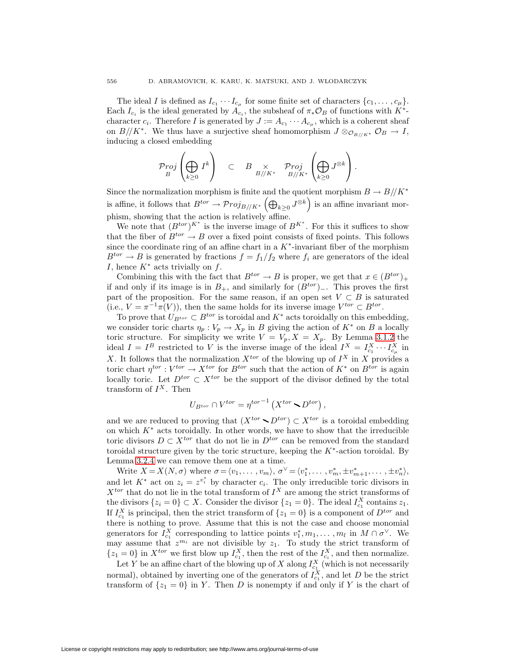The ideal I is defined as  $I_{c_1} \cdots I_{c_\mu}$  for some finite set of characters  $\{c_1, \ldots, c_\mu\}.$ Each  $I_{c_i}$  is the ideal generated by  $A_{c_i}$ , the subsheaf of  $\pi_* \mathcal{O}_B$  of functions with  $K^*$ character  $c_i$ . Therefore I is generated by  $J := A_{c_1} \cdots A_{c_u}$ , which is a coherent sheaf on  $B/\!/ K^*$ . We thus have a surjective sheaf homomorphism  $J \otimes_{\mathcal{O}_{B/\!/ K^*}} \mathcal{O}_B \to I$ , inducing a closed embedding

$$
\mathcal{P}_{\mathit{TOJ}}^{r o j}\left(\bigoplus_{k\geq 0} I^k\right) \quad \subset \quad B\underset{B/\!/ K^*}{\times} \quad \mathcal{P}_{\mathit{TOJ}}^{r o j}\left(\bigoplus_{k\geq 0} J^{\otimes k}\right).
$$

Since the normalization morphism is finite and the quotient morphism  $B \to B/\!/ K^*$ is affine, it follows that  $B^{tor} \to \mathcal{P} roj_{B//K^*}\left(\bigoplus_{k\geq 0} J^{\otimes k}\right)$  is an affine invariant morphism, showing that the action is relatively affine.

We note that  $(B^{tor})^{K^*}$  is the inverse image of  $B^{K^*}$ . For this it suffices to show that the fiber of  $B^{tor} \to B$  over a fixed point consists of fixed points. This follows since the coordinate ring of an affine chart in a  $K^*$ -invariant fiber of the morphism  $B^{tor} \to B$  is generated by fractions  $f = f_1/f_2$  where  $f_i$  are generators of the ideal I, hence  $K^*$  acts trivially on f.

Combining this with the fact that  $B^{tor} \to B$  is proper, we get that  $x \in (B^{tor})_+$ if and only if its image is in  $B_+$ , and similarly for  $(B^{tor})_-\$ . This proves the first part of the proposition. For the same reason, if an open set  $V \subset B$  is saturated (i.e.,  $V = \pi^{-1}\pi(V)$ ), then the same holds for its inverse image  $V^{tor} \subset B^{tor}$ .

To prove that  $U_{B^{tor}} \subset B^{tor}$  is toroidal and  $K^*$  acts toroidally on this embedding, we consider toric charts  $\eta_p : V_p \to X_p$  in B giving the action of  $K^*$  on B a locally toric structure. For simplicity we write  $V = V_p, X = X_p$ . By Lemma [3.1.2](#page-22-1) the ideal  $I = I^B$  restricted to V is the inverse image of the ideal  $I^X = I_{c_1}^X \cdots I_{c_\mu}^X$  in X. It follows that the normalization  $X^{tor}$  of the blowing up of  $I^X$  in X provides a toric chart  $\eta^{tor}: V^{tor} \to X^{tor}$  for  $B^{tor}$  such that the action of  $K^*$  on  $B^{tor}$  is again locally toric. Let  $D^{tor} \subset X^{tor}$  be the support of the divisor defined by the total transform of  $I^X$ . Then

$$
U_{B^{tor}} \cap V^{tor} = \eta^{tor-1} \left( X^{tor} \setminus D^{tor} \right),
$$

and we are reduced to proving that  $(X^{tor} \setminus D^{tor}) \subset X^{tor}$  is a toroidal embedding on which  $K^*$  acts toroidally. In other words, we have to show that the irreducible toric divisors  $D \subset X^{tor}$  that do not lie in  $D^{tor}$  can be removed from the standard toroidal structure given by the toric structure, keeping the  $K^*$ -action toroidal. By Lemma [3.2.4](#page-24-1) we can remove them one at a time.

Write  $X = X(N, \sigma)$  where  $\sigma = \langle v_1, \ldots, v_m \rangle$ ,  $\sigma^{\vee} = \langle v_1^*, \ldots, v_m^*, \pm v_{m+1}^*, \ldots, \pm v_n^* \rangle$ , and let  $K^*$  act on  $z_i = z^{v_i^*}$  by character  $c_i$ . The only irreducible toric divisors in  $X^{tor}$  that do not lie in the total transform of  $I^X$  are among the strict transforms of the divisors  $\{z_i = 0\} \subset X$ . Consider the divisor  $\{z_1 = 0\}$ . The ideal  $I_{c_1}^X$  contains  $z_1$ . If  $I_{c_1}^X$  is principal, then the strict transform of  $\{z_1 = 0\}$  is a component of  $D^{tor}$  and there is nothing to prove. Assume that this is not the case and choose monomial generators for  $I_{c_1}^X$  corresponding to lattice points  $v_1^*, m_1, \ldots, m_l$  in  $M \cap \sigma^{\vee}$ . We may assume that  $z^{m_i}$  are not divisible by  $z_1$ . To study the strict transform of  $\{z_1 = 0\}$  in  $X^{tor}$  we first blow up  $I_{c_1}^X$ , then the rest of the  $I_{c_i}^X$ , and then normalize.

Let Y be an affine chart of the blowing up of X along  $I_{c_1}^X$  (which is not necessarily normal), obtained by inverting one of the generators of  $I_{c_1}^X$ , and let D be the strict transform of  $\{z_1 = 0\}$  in Y. Then D is nonempty if and only if Y is the chart of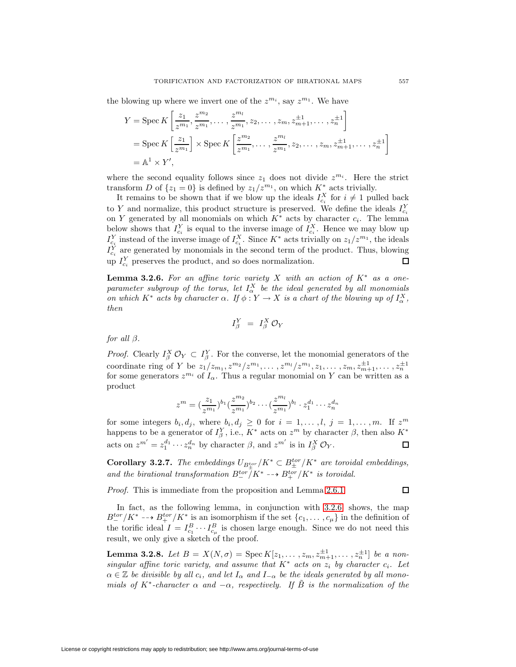the blowing up where we invert one of the  $z^{m_i}$ , say  $z^{m_1}$ . We have

$$
Y = \operatorname{Spec} K\left[\frac{z_1}{z^{m_1}}, \frac{z^{m_2}}{z^{m_1}}, \dots, \frac{z^{m_l}}{z^{m_1}}, z_2, \dots, z_m, z_{m+1}^{\pm 1}, \dots, z_n^{\pm 1}\right]
$$
  
= Spec  $K\left[\frac{z_1}{z^{m_1}}\right] \times \operatorname{Spec} K\left[\frac{z^{m_2}}{z^{m_1}}, \dots, \frac{z^{m_l}}{z^{m_1}}, z_2, \dots, z_m, z_{m+1}^{\pm 1}, \dots, z_n^{\pm 1}\right]$   
=  $\mathbb{A}^1 \times Y'$ ,

where the second equality follows since  $z_1$  does not divide  $z^{m_i}$ . Here the strict transform D of  $\{z_1 = 0\}$  is defined by  $z_1/z^{m_1}$ , on which  $K^*$  acts trivially.

It remains to be shown that if we blow up the ideals  $I_{c_i}^X$  for  $i \neq 1$  pulled back to Y and normalize, this product structure is preserved. We define the ideals  $I_{c_i}^Y$ on Y generated by all monomials on which  $K^*$  acts by character  $c_i$ . The lemma below shows that  $I_{c_i}^Y$  is equal to the inverse image of  $I_{c_i}^X$ . Hence we may blow up  $I_{c_i}^Y$  instead of the inverse image of  $I_{c_i}^X$ . Since  $K^*$  acts trivially on  $z_1/z^{m_1}$ , the ideals  $I_{c_i}^Y$  are generated by monomials in the second term of the product. Thus, blowing up  $I_{c_i}^Y$  preserves the product, and so does normalization. П

<span id="page-26-0"></span>**Lemma 3.2.6.** For an affine toric variety X with an action of  $K^*$  as a oneparameter subgroup of the torus, let  $I_\alpha^X$  be the ideal generated by all monomials on which  $K^*$  acts by character  $\alpha$ . If  $\phi: Y \to X$  is a chart of the blowing up of  $I^X_\alpha$ , then

$$
I^Y_\beta \;\;=\;\; I^X_\beta \, {\mathcal O}_Y
$$

for all  $\beta$ .

*Proof.* Clearly  $I_{\beta}^X \mathcal{O}_Y \subset I_{\beta}^Y$ . For the converse, let the monomial generators of the coordinate ring of Y be  $z_1/z_{m_1}, z^{m_2}/z^{m_1}, \ldots, z^{m_l}/z^{m_1}, z_1, \ldots, z_m, z_{m+1}^{\pm 1}, \ldots, z_n^{\pm 1}$ for some generators  $z^{m_i}$  of  $I_\alpha$ . Thus a regular monomial on Y can be written as a product

$$
z^{m} = \left(\frac{z_1}{z^{m_1}}\right)^{b_1} \left(\frac{z^{m_2}}{z^{m_1}}\right)^{b_2} \cdots \left(\frac{z^{m_l}}{z^{m_1}}\right)^{b_l} \cdot z_1^{d_1} \cdots z_n^{d_n}
$$

for some integers  $b_i, d_j$ , where  $b_i, d_j \geq 0$  for  $i = 1, ..., l$ ,  $j = 1, ..., m$ . If  $z^m$ happens to be a generator of  $I_{\beta}^Y$ , i.e.,  $K^*$  acts on  $z^m$  by character  $\beta$ , then also  $K^*$ acts on  $z^{m'} = z_1^{d_1} \cdots z_n^{d_n}$  by character  $\beta$ , and  $z^{m'}$  is in  $I_{\beta}^X \mathcal{O}_Y$ .  $\Box$ 

<span id="page-26-2"></span>**Corollary 3.2.7.** The embeddings  $U_{B_{\pm}^{tor}}/K^* \subset B_{\pm}^{tor}/K^*$  are toroidal embeddings, and the birational transformation  $B_-^{tor}/K^* \dashrightarrow B_+^{tor}/K^*$  is toroidal.

Proof. This is immediate from the proposition and Lemma [2.6.1.](#page-19-2)

In fact, as the following lemma, in conjunction with [3.2.6,](#page-26-0) shows, the map  $B_-^{tor}/K^* \dashrightarrow B_+^{tor}/K^*$  is an isomorphism if the set  $\{c_1,\ldots,c_{\mu}\}$  in the definition of the torific ideal  $I = I_{c_1}^B \cdots I_{c_\mu}^B$  is chosen large enough. Since we do not need this result, we only give a sketch of the proof.

<span id="page-26-1"></span>**Lemma 3.2.8.** Let  $B = X(N, \sigma) = \text{Spec } K[z_1, \ldots, z_m, z_{m+1}^{\pm 1}, \ldots, z_n^{\pm 1}]$  be a nonsingular affine toric variety, and assume that  $K^*$  acts on  $z_i$  by character  $c_i$ . Let  $\alpha \in \mathbb{Z}$  be divisible by all  $c_i$ , and let  $I_\alpha$  and  $I_{-\alpha}$  be the ideals generated by all monomials of K<sup>\*</sup>-character  $\alpha$  and  $-\alpha$ , respectively. If  $\tilde{B}$  is the normalization of the

License or copyright restrictions may apply to redistribution; see http://www.ams.org/journal-terms-of-use

 $\Box$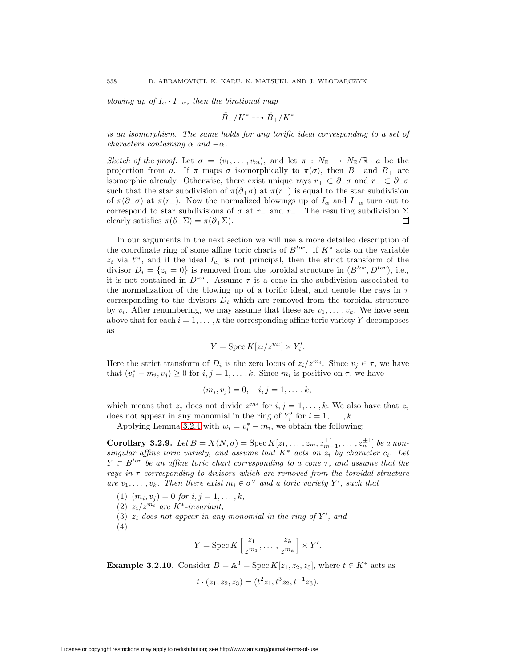blowing up of  $I_{\alpha} \cdot I_{-\alpha}$ , then the birational map

$$
\tilde{B}_-/K^* \dashrightarrow \tilde{B}_+/K^*
$$

is an isomorphism. The same holds for any torific ideal corresponding to a set of characters containing  $\alpha$  and  $-\alpha$ .

Sketch of the proof. Let  $\sigma = \langle v_1,\ldots,v_m \rangle$ , and let  $\pi : N_{\mathbb{R}} \to N_{\mathbb{R}}/\mathbb{R} \cdot a$  be the projection from a. If  $\pi$  maps  $\sigma$  isomorphically to  $\pi(\sigma)$ , then B<sub>-</sub> and B<sub>+</sub> are isomorphic already. Otherwise, there exist unique rays  $r_+ \subset \partial_+ \sigma$  and  $r_- \subset \partial_- \sigma$ such that the star subdivision of  $\pi(\partial_{+}\sigma)$  at  $\pi(r_{+})$  is equal to the star subdivision of  $\pi(\partial_{-\sigma})$  at  $\pi(r_{-})$ . Now the normalized blowings up of  $I_{\alpha}$  and  $I_{-\alpha}$  turn out to correspond to star subdivisions of  $\sigma$  at  $r_+$  and  $r_-$ . The resulting subdivision  $\Sigma$  clearly satisfies  $\pi(\partial_-\Sigma) = \pi(\partial_+\Sigma)$ . clearly satisfies  $\pi(\partial_-\Sigma) = \pi(\partial_+\Sigma)$ .

In our arguments in the next section we will use a more detailed description of the coordinate ring of some affine toric charts of  $B^{tor}$ . If  $K^*$  acts on the variable  $z_i$  via  $t^{c_i}$ , and if the ideal  $I_{c_i}$  is not principal, then the strict transform of the divisor  $D_i = \{z_i = 0\}$  is removed from the toroidal structure in  $(B^{tor}, D^{tor})$ , i.e., it is not contained in  $D^{tor}$ . Assume  $\tau$  is a cone in the subdivision associated to the normalization of the blowing up of a torific ideal, and denote the rays in  $\tau$ corresponding to the divisors  $D_i$  which are removed from the toroidal structure by  $v_i$ . After renumbering, we may assume that these are  $v_1, \ldots, v_k$ . We have seen above that for each  $i = 1, \ldots, k$  the corresponding affine toric variety Y decomposes as

$$
Y = \operatorname{Spec} K[z_i/z^{m_i}] \times Y_i'.
$$

Here the strict transform of  $D_i$  is the zero locus of  $z_i/z^{m_i}$ . Since  $v_j \in \tau$ , we have that  $(v_i^* - m_i, v_j) \ge 0$  for  $i, j = 1, \ldots, k$ . Since  $m_i$  is positive on  $\tau$ , we have

$$
(m_i, v_j) = 0, \quad i, j = 1, \dots, k,
$$

which means that  $z_i$  does not divide  $z^{m_i}$  for  $i, j = 1, \ldots, k$ . We also have that  $z_i$ does not appear in any monomial in the ring of  $Y'_i$  for  $i = 1, \ldots, k$ .

Applying Lemma [3.2.4](#page-24-1) with  $w_i = v_i^* - m_i$ , we obtain the following:

<span id="page-27-0"></span>**Corollary 3.2.9.** Let  $B = X(N, \sigma) = \text{Spec } K[z_1, \ldots, z_m, z_{m+1}^{\pm 1}, \ldots, z_n^{\pm 1}]$  be a nonsingular affine toric variety, and assume that  $K^*$  acts on  $z_i$  by character  $c_i$ . Let  $Y \subset B^{tor}$  be an affine toric chart corresponding to a cone  $\tau$ , and assume that the rays in  $\tau$  corresponding to divisors which are removed from the toroidal structure are  $v_1, \ldots, v_k$ . Then there exist  $m_i \in \sigma^{\vee}$  and a toric variety Y', such that

- (1)  $(m_i, v_j) = 0$  for  $i, j = 1, \ldots, k$ ,
- (2)  $z_i/z^{m_i}$  are K<sup>\*</sup>-invariant,
- (3)  $z_i$  does not appear in any monomial in the ring of Y', and
- (4)

$$
Y = \operatorname{Spec} K\left[\frac{z_1}{z^{m_1}}, \dots, \frac{z_k}{z^{m_k}}\right] \times Y'.
$$

**Example 3.2.10.** Consider  $B = \mathbb{A}^3 = \text{Spec } K[z_1, z_2, z_3]$ , where  $t \in K^*$  acts as

$$
t \cdot (z_1, z_2, z_3) = (t^2 z_1, t^3 z_2, t^{-1} z_3).
$$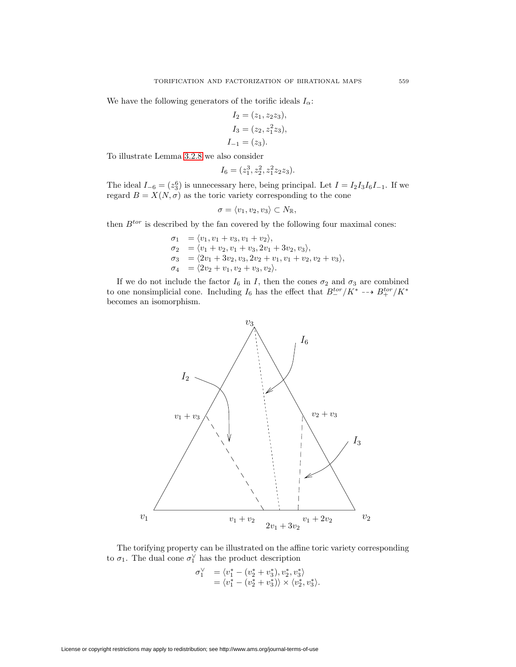We have the following generators of the torific ideals  $I_{\alpha}$ :

$$
I_2 = (z_1, z_2 z_3),
$$
  
\n
$$
I_3 = (z_2, z_1^2 z_3),
$$
  
\n
$$
I_{-1} = (z_3).
$$

To illustrate Lemma [3.2.8](#page-26-1) we also consider

$$
I_6 = (z_1^3, z_2^2, z_1^2 z_2 z_3).
$$

The ideal  $I_{-6} = (z_3^6)$  is unnecessary here, being principal. Let  $I = I_2 I_3 I_6 I_{-1}$ . If we regard  $B = X(N, \sigma)$  as the toric variety corresponding to the cone

$$
\sigma = \langle v_1, v_2, v_3 \rangle \subset N_{\mathbb{R}},
$$

then  $B^{tor}$  is described by the fan covered by the following four maximal cones:

 $\sigma_1 = \langle v_1, v_1 + v_3, v_1 + v_2 \rangle,$  $\sigma_2 = \langle v_1 + v_2, v_1 + v_3, 2v_1 + 3v_2, v_3 \rangle,$  $\sigma_3 = \langle 2v_1 + 3v_2, v_3, 2v_2 + v_1, v_1 + v_2, v_2 + v_3 \rangle,$  $\sigma_4 = \langle 2v_2 + v_1, v_2 + v_3, v_2 \rangle.$ 

If we do not include the factor  $I_6$  in I, then the cones  $\sigma_2$  and  $\sigma_3$  are combined to one nonsimplicial cone. Including  $I_6$  has the effect that  $B_-^{tor}/K^* \dashrightarrow B_+^{tor}/K^*$ becomes an isomorphism.



The torifying property can be illustrated on the affine toric variety corresponding to  $\sigma_1$ . The dual cone  $\sigma_1^{\vee}$  has the product description

$$
\begin{array}{ll} \sigma_1^{\vee} & = \langle v_1^* - (v_2^* + v_3^*), v_2^*, v_3^* \rangle \\ & = \langle v_1^* - (v_2^* + v_3^*) \rangle \times \langle v_2^*, v_3^* \rangle. \end{array}
$$

License or copyright restrictions may apply to redistribution; see http://www.ams.org/journal-terms-of-use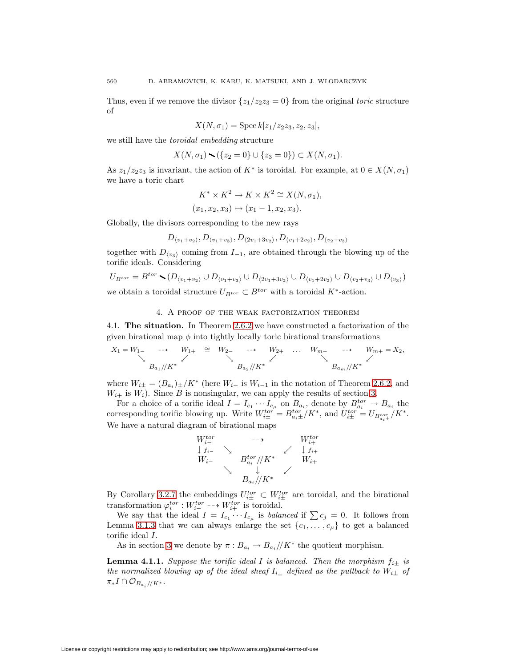Thus, even if we remove the divisor  $\{z_1/z_2z_3=0\}$  from the original toric structure of

$$
X(N, \sigma_1) = \operatorname{Spec} k[z_1/z_2z_3, z_2, z_3],
$$

we still have the toroidal embedding structure

$$
X(N, \sigma_1) \setminus (\{z_2 = 0\} \cup \{z_3 = 0\}) \subset X(N, \sigma_1).
$$

As  $z_1/z_2z_3$  is invariant, the action of  $K^*$  is toroidal. For example, at  $0 \in X(N, \sigma_1)$ we have a toric chart

$$
K^* \times K^2 \to K \times K^2 \cong X(N, \sigma_1),
$$
  

$$
(x_1, x_2, x_3) \mapsto (x_1 - 1, x_2, x_3).
$$

Globally, the divisors corresponding to the new rays

$$
D_{\langle v_1+v_2\rangle}, D_{\langle v_1+v_3\rangle}, D_{\langle 2v_1+3v_2\rangle}, D_{\langle v_1+2v_2\rangle}, D_{\langle v_2+v_3\rangle}
$$

together with  $D_{\langle v_3 \rangle}$  coming from  $I_{-1}$ , are obtained through the blowing up of the torific ideals. Considering

$$
U_{B^{tor}} = B^{tor} \setminus (D_{\langle v_1 + v_2 \rangle} \cup D_{\langle v_1 + v_3 \rangle} \cup D_{\langle 2v_1 + 3v_2 \rangle} \cup D_{\langle v_1 + 2v_2 \rangle} \cup D_{\langle v_2 + v_3 \rangle} \cup D_{\langle v_3 \rangle})
$$

<span id="page-29-0"></span>we obtain a toroidal structure  $U_{B^{tor}} \subset B^{tor}$  with a toroidal K<sup>\*</sup>-action.

## 4. A proof of the weak factorization theorem

4.1. **The situation.** In Theorem [2.6.2](#page-20-1) we have constructed a factorization of the given birational map  $\phi$  into tightly locally toric birational transformations

$$
X_1 = W_1 \longrightarrow W_1 + \cong W_2 \longrightarrow W_2 + \dots W_m \longrightarrow W_{m+} = X_2,
$$
  

$$
B_{a_1}/K^*
$$

where  $W_{i\pm} = (B_{a_i})_{\pm}/K^*$  (here  $W_{i-}$  is  $W_{i-1}$  in the notation of Theorem [2.6.2,](#page-20-1) and  $W_{i+}$  is  $W_i$ ). Since B is nonsingular, we can apply the results of section [3.](#page-21-0)

For a choice of a torific ideal  $I = I_{c_1} \cdots I_{c_\mu}$  on  $B_{a_i}$ , denote by  $B_{a_i}^{tor} \to B_{a_i}$  the corresponding torific blowing up. Write  $W_{i\pm}^{tor} = B_{a_i \pm}^{tor}/K^*$ , and  $U_{i\pm}^{tor} = U_{B_{a_i \pm}^{tor}}/K^*$ . We have a natural diagram of birational maps



By Corollary [3.2.7](#page-26-2) the embeddings  $U_{i\pm}^{tor} \subset W_{i\pm}^{tor}$  are toroidal, and the birational transformation  $\varphi_i^{tor}: W_{i-}^{tor} \dashrightarrow W_{i+}^{tor}$  is toroidal.

We say that the ideal  $I = I_{c_1} \cdots I_{c_\mu}$  is balanced if  $\sum c_j = 0$ . It follows from Lemma [3.1.3](#page-22-2) that we can always enlarge the set  $\{c_1,\ldots,c_\mu\}$  to get a balanced torific ideal I.

As in section [3](#page-21-0) we denote by  $\pi: B_{a_i} \to B_{a_i}/K^*$  the quotient morphism.

**Lemma 4.1.1.** Suppose the torific ideal I is balanced. Then the morphism  $f_{i\pm}$  is the normalized blowing up of the ideal sheaf  $I_{i\pm}$  defined as the pullback to  $W_{i\pm}$  of  $\pi_* I \cap \mathcal{O}_{B_{a_i}/\!/ K^*}.$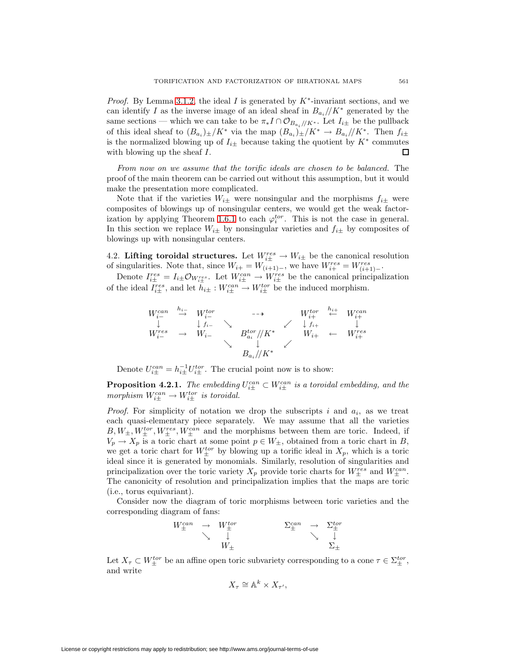*Proof.* By Lemma [3.1.2,](#page-22-1) the ideal I is generated by  $K^*$ -invariant sections, and we can identify I as the inverse image of an ideal sheaf in  $B_{a_i}/K^*$  generated by the same sections — which we can take to be  $\pi_* I \cap \mathcal{O}_{B_{a_*}/K^*}$ . Let  $I_{i_{\pm}}$  be the pullback of this ideal sheaf to  $(B_{a_i})_{\pm}/K^*$  via the map  $(B_{a_i})_{\pm}/K^* \to B_{a_i}/K^*$ . Then  $f_{i\pm}$ is the normalized blowing up of  $I_{i\pm}$  because taking the quotient by  $K^*$  commutes with blowing up the sheaf  $I$ . with blowing up the sheaf I.

From now on we assume that the torific ideals are chosen to be balanced. The proof of the main theorem can be carried out without this assumption, but it would make the presentation more complicated.

Note that if the varieties  $W_{i\pm}$  were nonsingular and the morphisms  $f_{i\pm}$  were composites of blowings up of nonsingular centers, we would get the weak factor-ization by applying Theorem [1.6.1](#page-12-0) to each  $\varphi_i^{tor}$ . This is not the case in general. In this section we replace  $W_{i\pm}$  by nonsingular varieties and  $f_{i\pm}$  by composites of blowings up with nonsingular centers.

<span id="page-30-1"></span>4.2. **Lifting toroidal structures.** Let  $W_{i\pm}^{res} \to W_{i\pm}$  be the canonical resolution of singularities. Note that, since  $W_{i+} = W_{(i+1)-}$ , we have  $W_{i+}^{res} = W_{(i+1)-}^{res}$ 

Denote  $I_{i\pm}^{res} = I_{i\pm} \mathcal{O}_{W_{i\pm}^{res}}$ . Let  $W_{i\pm}^{can} \to W_{i\pm}^{res}$  be the canonical principalization of the ideal  $I_{i\pm}^{res}$ , and let  $h_{i\pm}: W_{i\pm}^{can} \to W_{i\pm}^{tor}$  be the induced morphism.

$$
W_{i-}^{can} \xrightarrow{h_{i-}} W_{i-}^{tor} \longrightarrow W_{i+}^{tor} \xrightarrow{I_{i+}} W_{i+}^{can} \wedge W_{i+}^{reg} \longrightarrow W_{i-}^{tor} \longrightarrow \begin{array}{ccc} W_{i+}^{tor} & \downarrow & \downarrow & W_{i+}^{can} \\ W_{i-}^{res} & \rightarrow & W_{i-} & B_{ai}^{tor}/K^* & W_{i+} \leftarrow & W_{i+}^{res} \\ & \searrow & \downarrow & \downarrow & \downarrow \\ & B_{ai}/K^* & & \downarrow & \downarrow \end{array}
$$

Denote  $U_{i\pm}^{can} = h_{i\pm}^{-1} U_{i\pm}^{tor}$ . The crucial point now is to show:

<span id="page-30-0"></span>**Proposition 4.2.1.** The embedding  $U_{i\pm}^{can} \subset W_{i\pm}^{can}$  is a toroidal embedding, and the morphism  $W_{i\pm}^{can} \to W_{i\pm}^{tor}$  is toroidal.

*Proof.* For simplicity of notation we drop the subscripts i and  $a_i$ , as we treat each quasi-elementary piece separately. We may assume that all the varieties  $B, W_{\pm}, W_{\pm}^{tor}, W_{\pm}^{res}, W_{\pm}^{can}$  and the morphisms between them are toric. Indeed, if  $V_p \to X_p$  is a toric chart at some point  $p \in W_{\pm}$ , obtained from a toric chart in B, we get a toric chart for  $W_{\pm}^{tor}$  by blowing up a torific ideal in  $X_p$ , which is a toric ideal since it is generated by monomials. Similarly, resolution of singularities and principalization over the toric variety  $X_p$  provide toric charts for  $W_{\pm}^{res}$  and  $W_{\pm}^{can}$ . The canonicity of resolution and principalization implies that the maps are toric (i.e., torus equivariant).

Consider now the diagram of toric morphisms between toric varieties and the corresponding diagram of fans:

$$
\begin{array}{ccc}\nW^{can}_{\pm} & \rightarrow & W^{tor}_{\pm} & & \Sigma^{can}_{\pm} & \rightarrow & \Sigma^{tor}_{\pm} \\
& \searrow & \downarrow & & \searrow & \downarrow \\
& W_{\pm} & & & \searrow & \downarrow \\
& & & \Sigma_{\pm}\n\end{array}
$$

Let  $X_{\tau} \subset W_{\pm}^{tor}$  be an affine open toric subvariety corresponding to a cone  $\tau \in \Sigma_{\pm}^{tor}$ , and write

$$
X_\tau \cong \mathbb{A}^k \times X_{\tau'},
$$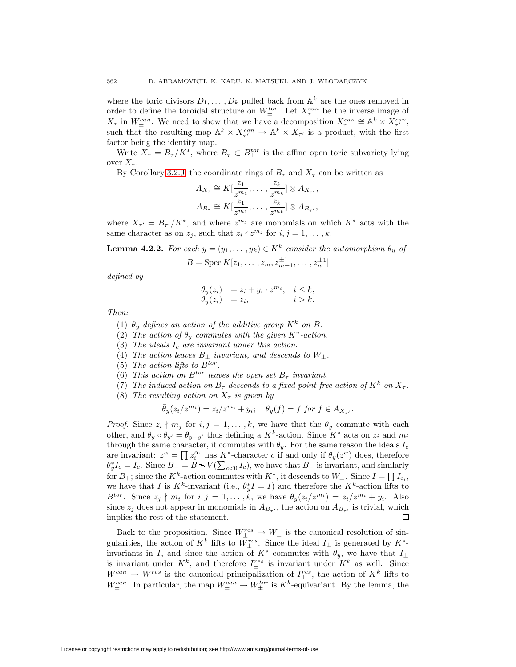where the toric divisors  $D_1, \ldots, D_k$  pulled back from  $\mathbb{A}^k$  are the ones removed in order to define the toroidal structure on  $W_{\pm}^{tor}$ . Let  $X_{\tau}^{can}$  be the inverse image of  $X_{\tau}$  in  $W_{\pm}^{can}$ . We need to show that we have a decomposition  $X_{\tau}^{can} \cong \mathbb{A}^k \times X_{\tau'}^{can}$ , such that the resulting map  $\mathbb{A}^k \times X_{\tau'}^{can} \to \mathbb{A}^k \times X_{\tau'}$  is a product, with the first factor being the identity map.

Write  $X_{\tau} = B_{\tau}/K^*$ , where  $B_{\tau} \subset B_{\pm}^{tor}$  is the affine open toric subvariety lying over  $X_{\tau}$ .

By Corollary [3.2.9,](#page-27-0) the coordinate rings of  $B<sub>\tau</sub>$  and  $X<sub>\tau</sub>$  can be written as

$$
A_{X_{\tau}} \cong K[\frac{z_1}{z^{m_1}}, \dots, \frac{z_k}{z^{m_k}}] \otimes A_{X_{\tau'}},
$$
  

$$
A_{B_{\tau}} \cong K[\frac{z_1}{z^{m_1}}, \dots, \frac{z_k}{z^{m_k}}] \otimes A_{B_{\tau'}},
$$

where  $X_{\tau'} = B_{\tau'}/K^*$ , and where  $z^{m_j}$  are monomials on which  $K^*$  acts with the same character as on  $z_i$ , such that  $z_i \nmid z^{m_j}$  for  $i, j = 1, \ldots, k$ .

**Lemma 4.2.2.** For each  $y = (y_1, \ldots, y_k) \in K^k$  consider the automorphism  $\theta_y$  of

 $B = \operatorname{Spec} K[z_1, \ldots, z_m, z_{m+1}^{\pm 1}, \ldots, z_n^{\pm 1}]$ 

defined by

$$
\begin{array}{ll}\n\theta_y(z_i) & = z_i + y_i \cdot z^{m_i}, & i \leq k, \\
\theta_y(z_i) & = z_i, & i > k.\n\end{array}
$$

Then:

- (1)  $\theta_u$  defines an action of the additive group  $K^k$  on B.
- (2) The action of  $\theta_u$  commutes with the given K<sup>\*</sup>-action.
- (3) The ideals  $I_c$  are invariant under this action.
- (4) The action leaves  $B_{\pm}$  invariant, and descends to  $W_{\pm}$ .
- (5) The action lifts to  $B^{tor}$ .
- (6) This action on  $B^{tor}$  leaves the open set  $B_{\tau}$  invariant.
- (7) The induced action on  $B_{\tau}$  descends to a fixed-point-free action of  $K^{k}$  on  $X_{\tau}$ .
- (8) The resulting action on  $X_{\tau}$  is given by

$$
\bar{\theta}_y(z_i/z^{m_i}) = z_i/z^{m_i} + y_i; \quad \theta_y(f) = f \text{ for } f \in A_{X_{\tau'}}.
$$

*Proof.* Since  $z_i \nmid m_j$  for  $i, j = 1, \ldots, k$ , we have that the  $\theta_y$  commute with each other, and  $\theta_y \circ \theta_{y'} = \theta_{y+y'}$  thus defining a  $K^k$ -action. Since  $K^*$  acts on  $z_i$  and  $m_i$ through the same character, it commutes with  $\theta_y$ . For the same reason the ideals  $I_c$ are invariant:  $z^{\alpha} = \prod z_i^{\alpha_i}$  has K<sup>\*</sup>-character c if and only if  $\theta_y(z^{\alpha})$  does, therefore  $\theta_y^* I_c = I_c$ . Since  $B_- = B \cdot V(\sum_{c<0} I_c)$ , we have that  $B_-$  is invariant, and similarly for  $B_+$ ; since the K<sup>k</sup>-action commutes with K<sup>\*</sup>, it descends to  $W_{\pm}$ . Since  $I = \prod I_{c_i}$ , we have that I is  $K^k$ -invariant (i.e.,  $\theta_y^* I = I$ ) and therefore the  $K^k$ -action lifts to  $B^{tor}$ . Since  $z_j \nmid m_i$  for  $i, j = 1, \ldots, k$ , we have  $\theta_y(z_i/z^{m_i}) = z_i/z^{m_i} + y_i$ . Also since  $z_j$  does not appear in monomials in  $A_{B_{\tau'}}$ , the action on  $A_{B_{\tau'}}$  is trivial, which implies the rest of the statement. □

Back to the proposition. Since  $W^{res}_\pm \to W_\pm$  is the canonical resolution of singularities, the action of  $K^k$  lifts to  $W^{res}_{\pm}$ . Since the ideal  $I_{\pm}$  is generated by  $K^*$ invariants in I, and since the action of  $K^*$  commutes with  $\theta_y$ , we have that  $I_{\pm}$ is invariant under  $K^k$ , and therefore  $I_{\pm}^{res}$  is invariant under  $K^k$  as well. Since  $W_{\pm}^{can} \to W_{\pm}^{res}$  is the canonical principalization of  $I_{\pm}^{res}$ , the action of  $K^k$  lifts to  $W_{\pm}^{can}$ . In particular, the map  $W_{\pm}^{can} \to W_{\pm}^{tor}$  is  $K^k$ -equivariant. By the lemma, the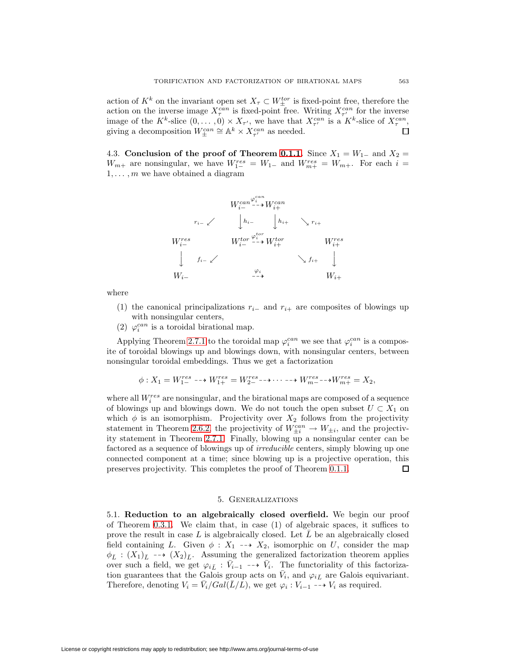action of  $K^k$  on the invariant open set  $X_{\tau} \subset W_{\pm}^{tor}$  is fixed-point free, therefore the action on the inverse image  $X_{\tau}^{can}$  is fixed-point free. Writing  $X_{\tau'}^{can}$  for the inverse image of the  $K^k$ -slice  $(0,\ldots,0) \times X_{\tau'}$ , we have that  $X_{\tau'}^{can}$  is a  $K^k$ -slice of  $X_{\tau}^{can}$ , giving a decomposition  $W_{\pm}^{can} \cong \mathbb{A}^k \times X_{\tau'}^{can}$  as needed.

4.3. **Conclusion of the proof of Theorem [0.1.1.](#page-0-1)** Since  $X_1 = W_{1-}$  and  $X_2 =$  $W_{m+}$  are nonsingular, we have  $W_{1-}^{res} = W_{1-}$  and  $W_{m+}^{res} = W_{m+}$ . For each  $i =$  $1, \ldots, m$  we have obtained a diagram

$$
W_{i-}^{can} \xrightarrow{\varphi_i^{can}} W_{i+}^{can}
$$
\n
$$
r_{i-} \swarrow \qquad \downarrow h_{i-} \qquad \downarrow h_{i+} \qquad \searrow r_{i+}
$$
\n
$$
W_{i-}^{res} \qquad W_{i-}^{tor} \xrightarrow{\varphi_i^{tor}} W_{i+}^{tor} \qquad W_{i+}^{res}
$$
\n
$$
\downarrow \qquad f_{i-} \swarrow \qquad \searrow f_{i+} \qquad \downarrow
$$
\n
$$
W_{i-} \qquad \qquad \searrow i \qquad \searrow f_{i+}
$$
\n
$$
W_{i+} \qquad \qquad \searrow i
$$

where

- (1) the canonical principalizations  $r_{i-}$  and  $r_{i+}$  are composites of blowings up with nonsingular centers,
- (2)  $\varphi_i^{can}$  is a toroidal birational map.

Applying Theorem [2.7.1](#page-20-2) to the toroidal map  $\varphi_i^{can}$  we see that  $\varphi_i^{can}$  is a composite of toroidal blowings up and blowings down, with nonsingular centers, between nonsingular toroidal embeddings. Thus we get a factorization

$$
\phi: X_1 = W_{1-}^{res} \dashrightarrow W_{1+}^{res} = W_{2-}^{res} \dashrightarrow \cdots \dashrightarrow W_{m-}^{res} \dashrightarrow W_{m+}^{res} = X_2,
$$

where all  $W_i^{res}$  are nonsingular, and the birational maps are composed of a sequence of blowings up and blowings down. We do not touch the open subset  $U \subset X_1$  on which  $\phi$  is an isomorphism. Projectivity over  $X_2$  follows from the projectivity statement in Theorem [2.6.2,](#page-20-1) the projectivity of  $W_{\pm i}^{can} \to W_{\pm i}$ , and the projectivity statement in Theorem [2.7.1.](#page-20-2) Finally, blowing up a nonsingular center can be factored as a sequence of blowings up of irreducible centers, simply blowing up one connected component at a time; since blowing up is a projective operation, this preserves projectivity. This completes the proof of Theorem [0.1.1.](#page-0-1) □

# 5. Generalizations

<span id="page-32-0"></span>5.1. **Reduction to an algebraically closed overfield.** We begin our proof of Theorem [0.3.1.](#page-1-0) We claim that, in case (1) of algebraic spaces, it suffices to prove the result in case L is algebraically closed. Let  $\overline{L}$  be an algebraically closed field containing L. Given  $\phi : X_1 \dashrightarrow X_2$ , isomorphic on U, consider the map  $\phi_{\bar{L}} : (X_1)_{\bar{L}} \dashrightarrow (X_2)_{\bar{L}}$ . Assuming the generalized factorization theorem applies over such a field, we get  $\varphi_{i\bar{L}} : \bar{V}_{i-1} \dashrightarrow \bar{V}_i$ . The functoriality of this factorization guarantees that the Galois group acts on  $\bar{V}_i$ , and  $\varphi_{i\bar{L}}$  are Galois equivariant. Therefore, denoting  $V_i = \bar{V}_i/Gal(\bar{L}/L)$ , we get  $\varphi_i : V_{i-1} \dashrightarrow V_i$  as required.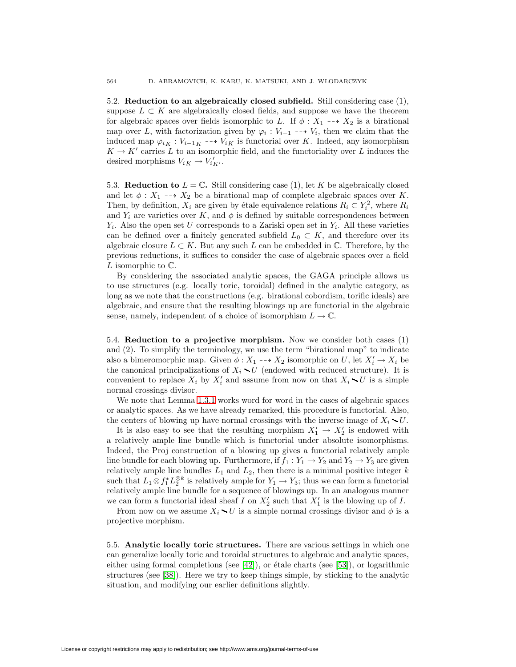5.2. **Reduction to an algebraically closed subfield.** Still considering case (1), suppose  $L \subset K$  are algebraically closed fields, and suppose we have the theorem for algebraic spaces over fields isomorphic to L. If  $\phi : X_1 \dashrightarrow X_2$  is a birational map over L, with factorization given by  $\varphi_i : V_{i-1} \dashrightarrow V_i$ , then we claim that the induced map  $\varphi_{iK} : V_{i-1K} \dashrightarrow V_{iK}$  is functorial over K. Indeed, any isomorphism  $K \to K'$  carries L to an isomorphic field, and the functoriality over L induces the desired morphisms  $V_{iK} \to V'_{iK'}$ .

5.3. **Reduction to**  $L = \mathbb{C}$ . Still considering case (1), let K be algebraically closed and let  $\phi: X_1 \dashrightarrow X_2$  be a birational map of complete algebraic spaces over K. Then, by definition,  $X_i$  are given by étale equivalence relations  $R_i \subset Y_i^2$ , where  $R_i$ and  $Y_i$  are varieties over K, and  $\phi$  is defined by suitable correspondences between  $Y_i$ . Also the open set U corresponds to a Zariski open set in  $Y_i$ . All these varieties can be defined over a finitely generated subfield  $L_0 \subset K$ , and therefore over its algebraic closure  $L \subset K$ . But any such L can be embedded in  $\mathbb{C}$ . Therefore, by the previous reductions, it suffices to consider the case of algebraic spaces over a field L isomorphic to  $\mathbb{C}$ .

By considering the associated analytic spaces, the GAGA principle allows us to use structures (e.g. locally toric, toroidal) defined in the analytic category, as long as we note that the constructions (e.g. birational cobordism, torific ideals) are algebraic, and ensure that the resulting blowings up are functorial in the algebraic sense, namely, independent of a choice of isomorphism  $L \to \mathbb{C}$ .

5.4. **Reduction to a projective morphism.** Now we consider both cases (1) and (2). To simplify the terminology, we use the term "birational map" to indicate also a bimeromorphic map. Given  $\phi: X_1 \dashrightarrow X_2$  isomorphic on U, let  $X'_i \to X_i$  be the canonical principalizations of  $X_i \setminus U$  (endowed with reduced structure). It is convenient to replace  $X_i$  by  $X'_i$  and assume from now on that  $X_i \setminus U$  is a simple normal crossings divisor.

We note that Lemma [1.3.1](#page-8-0) works word for word in the cases of algebraic spaces or analytic spaces. As we have already remarked, this procedure is functorial. Also, the centers of blowing up have normal crossings with the inverse image of  $X_i \setminus U$ .

It is also easy to see that the resulting morphism  $X'_1 \to X'_2$  is endowed with a relatively ample line bundle which is functorial under absolute isomorphisms. Indeed, the Proj construction of a blowing up gives a functorial relatively ample line bundle for each blowing up. Furthermore, if  $f_1: Y_1 \to Y_2$  and  $Y_2 \to Y_3$  are given relatively ample line bundles  $L_1$  and  $L_2$ , then there is a minimal positive integer k such that  $L_1 \otimes f_1^* L_2^{\otimes k}$  is relatively ample for  $Y_1 \to Y_3$ ; thus we can form a functorial relatively ample line bundle for a sequence of blowings up. In an analogous manner we can form a functorial ideal sheaf I on  $X_2'$  such that  $X_1'$  is the blowing up of I.

From now on we assume  $X_i \setminus U$  is a simple normal crossings divisor and  $\phi$  is a projective morphism.

5.5. **Analytic locally toric structures.** There are various settings in which one can generalize locally toric and toroidal structures to algebraic and analytic spaces, either using formal completions (see  $[42]$ ), or étale charts (see  $[53]$ ), or logarithmic structures (see [\[38\]](#page-39-0)). Here we try to keep things simple, by sticking to the analytic situation, and modifying our earlier definitions slightly.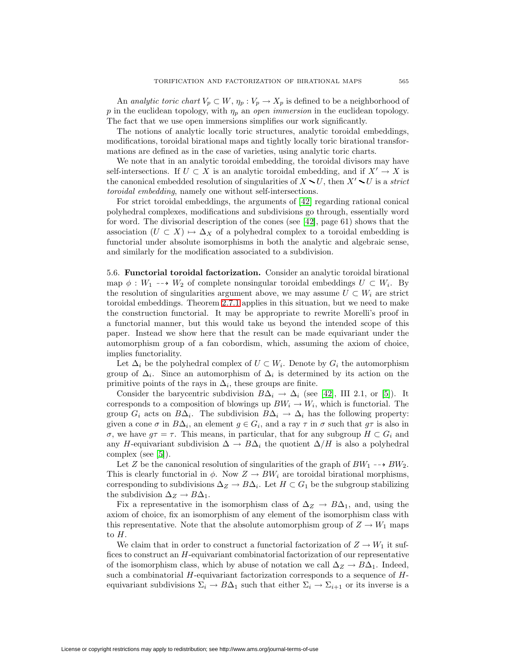An analytic toric chart  $V_p \subset W$ ,  $\eta_p : V_p \to X_p$  is defined to be a neighborhood of p in the euclidean topology, with  $\eta_p$  an open immersion in the euclidean topology. The fact that we use open immersions simplifies our work significantly.

The notions of analytic locally toric structures, analytic toroidal embeddings, modifications, toroidal birational maps and tightly locally toric birational transformations are defined as in the case of varieties, using analytic toric charts.

We note that in an analytic toroidal embedding, the toroidal divisors may have self-intersections. If  $U \subset X$  is an analytic toroidal embedding, and if  $X' \to X$  is the canonical embedded resolution of singularities of  $X \setminus U$ , then  $X' \setminus U$  is a strict toroidal embedding, namely one without self-intersections.

For strict toroidal embeddings, the arguments of [\[42\]](#page-39-23) regarding rational conical polyhedral complexes, modifications and subdivisions go through, essentially word for word. The divisorial description of the cones (see [\[42\]](#page-39-23), page 61) shows that the association  $(U \subset X) \mapsto \Delta_X$  of a polyhedral complex to a toroidal embedding is functorial under absolute isomorphisms in both the analytic and algebraic sense, and similarly for the modification associated to a subdivision.

<span id="page-34-0"></span>5.6. **Functorial toroidal factorization.** Consider an analytic toroidal birational map  $\phi: W_1 \dashrightarrow W_2$  of complete nonsingular toroidal embeddings  $U \subset W_i$ . By the resolution of singularities argument above, we may assume  $U \subset W_i$  are strict toroidal embeddings. Theorem [2.7.1](#page-20-2) applies in this situation, but we need to make the construction functorial. It may be appropriate to rewrite Morelli's proof in a functorial manner, but this would take us beyond the intended scope of this paper. Instead we show here that the result can be made equivariant under the automorphism group of a fan cobordism, which, assuming the axiom of choice, implies functoriality.

Let  $\Delta_i$  be the polyhedral complex of  $U \subset W_i$ . Denote by  $G_i$  the automorphism group of  $\Delta_i$ . Since an automorphism of  $\Delta_i$  is determined by its action on the primitive points of the rays in  $\Delta_i$ , these groups are finite.

Consider the barycentric subdivision  $B\Delta_i \to \Delta_i$  (see [\[42\]](#page-39-23), III 2.1, or [\[5\]](#page-38-15)). It corresponds to a composition of blowings up  $BW_i \rightarrow W_i$ , which is functorial. The group  $G_i$  acts on  $B\Delta_i$ . The subdivision  $B\Delta_i \to \Delta_i$  has the following property: given a cone  $\sigma$  in  $B\Delta_i$ , an element  $g \in G_i$ , and a ray  $\tau$  in  $\sigma$  such that  $g\tau$  is also in σ, we have  $g\tau = \tau$ . This means, in particular, that for any subgroup  $H \subset G_i$  and any H-equivariant subdivision  $\Delta \to B\Delta_i$  the quotient  $\Delta/H$  is also a polyhedral complex (see [\[5\]](#page-38-15)).

Let Z be the canonical resolution of singularities of the graph of  $BW_1 \rightarrow BW_2$ . This is clearly functorial in  $\phi$ . Now  $Z \to BW_i$  are toroidal birational morphisms, corresponding to subdivisions  $\Delta_Z \to B \Delta_i.$  Let  $H \subset G_1$  be the subgroup stabilizing the subdivision  $\Delta_Z \to B\Delta_1$ .

Fix a representative in the isomorphism class of  $\Delta_Z \to B\Delta_1$ , and, using the axiom of choice, fix an isomorphism of any element of the isomorphism class with this representative. Note that the absolute automorphism group of  $Z \to W_1$  maps to H.

We claim that in order to construct a functorial factorization of  $Z \to W_1$  it suffices to construct an H-equivariant combinatorial factorization of our representative of the isomorphism class, which by abuse of notation we call  $\Delta_Z \to B\Delta_1$ . Indeed, such a combinatorial  $H$ -equivariant factorization corresponds to a sequence of  $H$ equivariant subdivisions  $\Sigma_i \to B\Delta_1$  such that either  $\Sigma_i \to \Sigma_{i+1}$  or its inverse is a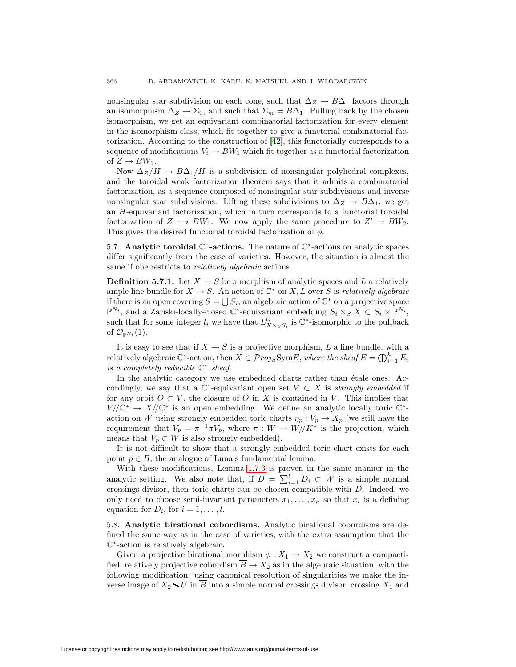nonsingular star subdivision on each cone, such that  $\Delta_Z \to B\Delta_1$  factors through an isomorphism  $\Delta_Z \to \Sigma_0$ , and such that  $\Sigma_m = B\Delta_1$ . Pulling back by the chosen isomorphism, we get an equivariant combinatorial factorization for every element in the isomorphism class, which fit together to give a functorial combinatorial factorization. According to the construction of [\[42\]](#page-39-23), this functorially corresponds to a sequence of modifications  $V_i \to BW_1$  which fit together as a functorial factorization of  $Z \rightarrow BW_1$ .

Now  $\Delta_Z/H \to B\Delta_1/H$  is a subdivision of nonsingular polyhedral complexes, and the toroidal weak factorization theorem says that it admits a combinatorial factorization, as a sequence composed of nonsingular star subdivisions and inverse nonsingular star subdivisions. Lifting these subdivisions to  $\Delta_Z \to B\Delta_1$ , we get an H-equivariant factorization, which in turn corresponds to a functorial toroidal factorization of  $Z \dashrightarrow BW_1$ . We now apply the same procedure to  $Z' \rightarrow BW_2$ . This gives the desired functorial toroidal factorization of  $\phi$ .

5.7. **Analytic toroidal** C<sup>∗</sup>**-actions.** The nature of C<sup>∗</sup>-actions on analytic spaces differ significantly from the case of varieties. However, the situation is almost the same if one restricts to *relatively algebraic* actions.

**Definition 5.7.1.** Let  $X \to S$  be a morphism of analytic spaces and L a relatively ample line bundle for  $X \to S$ . An action of  $\mathbb{C}^*$  on X, L over S is relatively algebraic if there is an open covering  $S = \bigcup S_i$ , an algebraic action of  $\mathbb{C}^*$  on a projective space  $\mathbb{P}^{N_i}$ , and a Zariski-locally-closed  $\mathbb{C}^*$ -equivariant embedding  $S_i \times_S X \subset S_i \times \mathbb{P}^{N_i}$ , such that for some integer  $l_i$  we have that  $L_{X \times_S S_i}^{l_i}$  is  $\mathbb{C}^*$ -isomorphic to the pullback of  $\mathcal{O}_{\mathbb{P}^{N_i}}(1)$ .

It is easy to see that if  $X \to S$  is a projective morphism, L a line bundle, with a relatively algebraic  $\mathbb{C}^*$ -action, then  $X \subset \mathcal{P} rojs \text{Sym} E,$  where the sheaf  $E = \bigoplus_{i=1}^k E_i$ is a completely reducible  $\mathbb{C}^*$  sheaf.

In the analytic category we use embedded charts rather than étale ones. Accordingly, we say that a  $\mathbb{C}^*$ -equivariant open set  $V \subset X$  is strongly embedded if for any orbit  $O \subset V$ , the closure of O in X is contained in V. This implies that  $V/\mathbb{C}^* \to X/\mathbb{C}^*$  is an open embedding. We define an analytic locally toric  $\mathbb{C}^*$ action on W using strongly embedded toric charts  $\eta_p : V_p \to X_p$  (we still have the requirement that  $V_p = \pi^{-1}\pi V_p$ , where  $\pi : W \to W/\!/ K^*$  is the projection, which means that  $V_p \subset W$  is also strongly embedded).

It is not difficult to show that a strongly embedded toric chart exists for each point  $p \in B$ , the analogue of Luna's fundamental lemma.

With these modifications, Lemma [1.7.3](#page-13-0) is proven in the same manner in the analytic setting. We also note that, if  $D = \sum_{i=1}^{l} D_i \subset W$  is a simple normal crossings divisor, then toric charts can be chosen compatible with D. Indeed, we only need to choose semi-invariant parameters  $x_1, \ldots, x_n$  so that  $x_i$  is a defining equation for  $D_i$ , for  $i = 1, \ldots, l$ .

5.8. **Analytic birational cobordisms.** Analytic birational cobordisms are defined the same way as in the case of varieties, with the extra assumption that the C<sup>∗</sup>-action is relatively algebraic.

Given a projective birational morphism  $\phi: X_1 \to X_2$  we construct a compactified, relatively projective cobordism  $\overline{B} \to X_2$  as in the algebraic situation, with the following modification: using canonical resolution of singularities we make the inverse image of  $X_2 \setminus U$  in  $\overline{B}$  into a simple normal crossings divisor, crossing  $X_1$  and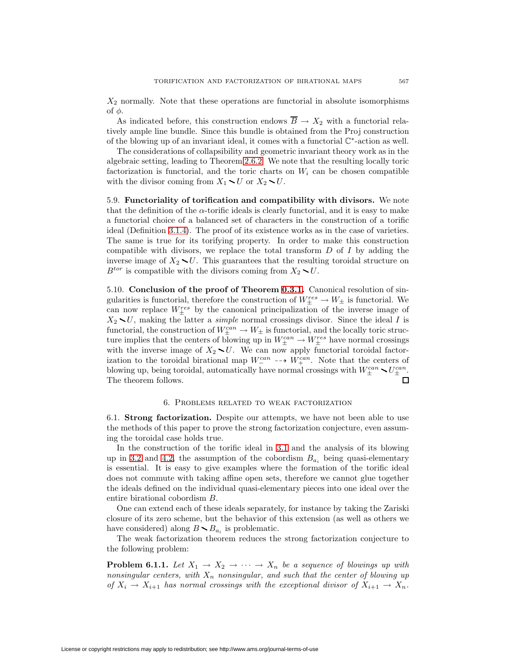$X_2$  normally. Note that these operations are functorial in absolute isomorphisms of  $φ$ .

As indicated before, this construction endows  $\overline{B} \to X_2$  with a functorial relatively ample line bundle. Since this bundle is obtained from the Proj construction of the blowing up of an invariant ideal, it comes with a functorial  $\mathbb{C}^*$ -action as well.

The considerations of collapsibility and geometric invariant theory work as in the algebraic setting, leading to Theorem [2.6.2.](#page-20-1) We note that the resulting locally toric factorization is functorial, and the toric charts on  $W_i$  can be chosen compatible with the divisor coming from  $X_1 \setminus U$  or  $X_2 \setminus U$ .

5.9. **Functoriality of torification and compatibility with divisors.** We note that the definition of the  $\alpha$ -torific ideals is clearly functorial, and it is easy to make a functorial choice of a balanced set of characters in the construction of a torific ideal (Definition [3.1.4\)](#page-22-0). The proof of its existence works as in the case of varieties. The same is true for its torifying property. In order to make this construction compatible with divisors, we replace the total transform  $D$  of  $I$  by adding the inverse image of  $X_2 \setminus U$ . This guarantees that the resulting toroidal structure on  $B^{tor}$  is compatible with the divisors coming from  $X_2 \setminus U$ .

5.10. **Conclusion of the proof of Theorem [0.3.1.](#page-1-0)** Canonical resolution of singularities is functorial, therefore the construction of  $W_{\pm}^{res} \to W_{\pm}$  is functorial. We can now replace  $W_{\pm}^{res}$  by the canonical principalization of the inverse image of  $X_2 \setminus U$ , making the latter a *simple* normal crossings divisor. Since the ideal I is functorial, the construction of  $W_{\pm}^{can} \to W_{\pm}$  is functorial, and the locally toric structure implies that the centers of blowing up in  $W_{\pm}^{can} \to W_{\pm}^{res}$  have normal crossings with the inverse image of  $X_2 \setminus U$ . We can now apply functorial toroidal factorization to the toroidal birational map  $W^{can}_{-}$   $\rightarrow W^{can}_{+}$ . Note that the centers of blowing up, being toroidal, automatically have normal crossings with  $W_{\pm}^{can} \sim U_{\pm}^{can}$ . The theorem follows.

# 6. Problems related to weak factorization

<span id="page-36-1"></span><span id="page-36-0"></span>6.1. **Strong factorization.** Despite our attempts, we have not been able to use the methods of this paper to prove the strong factorization conjecture, even assuming the toroidal case holds true.

In the construction of the torific ideal in [3.1](#page-21-1) and the analysis of its blowing up in [3.2](#page-23-0) and [4.2,](#page-30-1) the assumption of the cobordism  $B_{a_i}$  being quasi-elementary is essential. It is easy to give examples where the formation of the torific ideal does not commute with taking affine open sets, therefore we cannot glue together the ideals defined on the individual quasi-elementary pieces into one ideal over the entire birational cobordism B.

One can extend each of these ideals separately, for instance by taking the Zariski closure of its zero scheme, but the behavior of this extension (as well as others we have considered) along  $B \setminus B_{a_i}$  is problematic.

The weak factorization theorem reduces the strong factorization conjecture to the following problem:

**Problem 6.1.1.** Let  $X_1 \rightarrow X_2 \rightarrow \cdots \rightarrow X_n$  be a sequence of blowings up with nonsingular centers, with  $X_n$  nonsingular, and such that the center of blowing up of  $X_i \to X_{i+1}$  has normal crossings with the exceptional divisor of  $X_{i+1} \to X_n$ .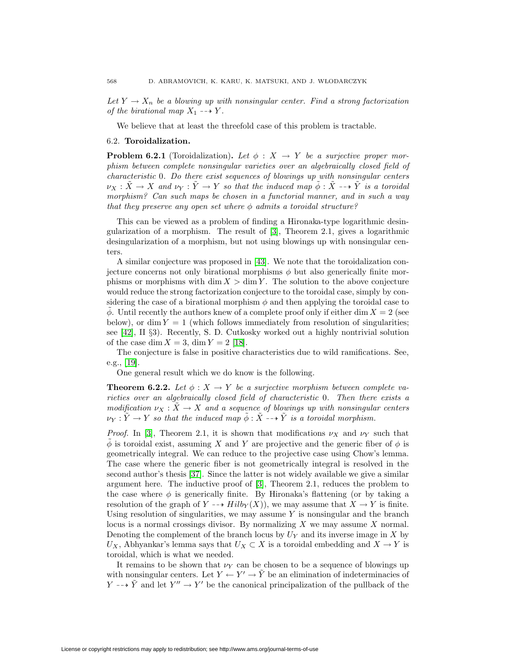Let  $Y \to X_n$  be a blowing up with nonsingular center. Find a strong factorization of the birational map  $X_1 \dashrightarrow Y$ .

We believe that at least the threefold case of this problem is tractable.

## <span id="page-37-0"></span>6.2. **Toroidalization.**

**Problem 6.2.1** (Toroidalization). Let  $\phi : X \rightarrow Y$  be a surjective proper morphism between complete nonsingular varieties over an algebraically closed field of characteristic 0. Do there exist sequences of blowings up with nonsingular centers  $\nu_X : \tilde{X} \to X$  and  $\nu_Y : \tilde{Y} \to Y$  so that the induced map  $\tilde{\phi} : \tilde{X} \dashrightarrow \tilde{Y}$  is a toroidal morphism? Can such maps be chosen in a functorial manner, and in such a way that they preserve any open set where  $\phi$  admits a toroidal structure?

This can be viewed as a problem of finding a Hironaka-type logarithmic desingularization of a morphism. The result of [\[3\]](#page-38-13), Theorem 2.1, gives a logarithmic desingularization of a morphism, but not using blowings up with nonsingular centers.

A similar conjecture was proposed in [\[43\]](#page-39-19). We note that the toroidalization conjecture concerns not only birational morphisms  $\phi$  but also generically finite morphisms or morphisms with  $\dim X > \dim Y$ . The solution to the above conjecture would reduce the strong factorization conjecture to the toroidal case, simply by considering the case of a birational morphism  $\phi$  and then applying the toroidal case to  $\phi$ . Until recently the authors knew of a complete proof only if either dim  $X = 2$  (see below), or dim  $Y = 1$  (which follows immediately from resolution of singularities; see [\[42\]](#page-39-23), II §3). Recently, S. D. Cutkosky worked out a highly nontrivial solution of the case dim  $X = 3$ , dim  $Y = 2$  [\[18\]](#page-39-27).

The conjecture is false in positive characteristics due to wild ramifications. See, e.g., [\[19\]](#page-39-28).

One general result which we do know is the following.

**Theorem 6.2.2.** Let  $\phi: X \to Y$  be a surjective morphism between complete varieties over an algebraically closed field of characteristic 0. Then there exists a modification  $\nu_X : \tilde{X} \to X$  and a sequence of blowings up with nonsingular centers  $\nu_Y : \tilde{Y} \to Y$  so that the induced map  $\tilde{\phi} : \tilde{X} \dashrightarrow \tilde{Y}$  is a toroidal morphism.

*Proof.* In [\[3\]](#page-38-13), Theorem 2.1, it is shown that modifications  $\nu_X$  and  $\nu_Y$  such that  $\phi$  is toroidal exist, assuming X and Y are projective and the generic fiber of  $\phi$  is geometrically integral. We can reduce to the projective case using Chow's lemma. The case where the generic fiber is not geometrically integral is resolved in the second author's thesis [\[37\]](#page-39-29). Since the latter is not widely available we give a similar argument here. The inductive proof of [\[3\]](#page-38-13), Theorem 2.1, reduces the problem to the case where  $\phi$  is generically finite. By Hironaka's flattening (or by taking a resolution of the graph of Y  $\dashrightarrow Hilb_Y (X)$ , we may assume that  $X \to Y$  is finite. Using resolution of singularities, we may assume  $Y$  is nonsingular and the branch locus is a normal crossings divisor. By normalizing  $X$  we may assume  $X$  normal. Denoting the complement of the branch locus by  $U_Y$  and its inverse image in  $X$  by  $U_X$ , Abhyankar's lemma says that  $U_X \subset X$  is a toroidal embedding and  $X \to Y$  is toroidal, which is what we needed.

It remains to be shown that  $\nu_Y$  can be chosen to be a sequence of blowings up with nonsingular centers. Let  $Y \leftarrow Y' \rightarrow \tilde{Y}$  be an elimination of indeterminacies of  $Y \rightarrow \tilde{Y}$  and let  $Y'' \rightarrow Y'$  be the canonical principalization of the pullback of the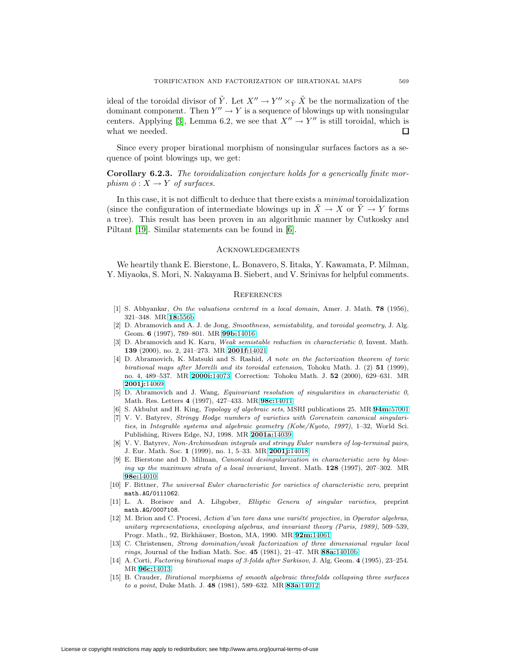ideal of the toroidal divisor of  $\tilde{Y}$ . Let  $X'' \to Y'' \times_{\tilde{Y}} \tilde{X}$  be the normalization of the dominant component. Then  $Y'' \to Y$  is a sequence of blowings up with nonsingular centers. Applying [\[3\]](#page-38-13), Lemma 6.2, we see that  $X'' \to Y''$  is still toroidal, which is what we needed. П

Since every proper birational morphism of nonsingular surfaces factors as a sequence of point blowings up, we get:

**Corollary 6.2.3.** The toroidalization conjecture holds for a generically finite morphism  $\phi: X \to Y$  of surfaces.

In this case, it is not difficult to deduce that there exists a minimal toroidalization (since the configuration of intermediate blowings up in  $X \to X$  or  $Y \to Y$  forms a tree). This result has been proven in an algorithmic manner by Cutkosky and Piltant [\[19\]](#page-39-28). Similar statements can be found in [\[6\]](#page-38-16).

## **ACKNOWLEDGEMENTS**

<span id="page-38-0"></span>We heartily thank E. Bierstone, L. Bonavero, S. Iitaka, Y. Kawamata, P. Milman, Y. Miyaoka, S. Mori, N. Nakayama B. Siebert, and V. Srinivas for helpful comments.

## **REFERENCES**

- <span id="page-38-11"></span><span id="page-38-8"></span><span id="page-38-1"></span>[1] S. Abhyankar, On the valuations centered in a local domain, Amer. J. Math. **78** (1956), 321–348. MR **18:**[556b](http://www.ams.org/mathscinet-getitem?mr=18:556b)
- [2] D. Abramovich and A. J. de Jong, Smoothness, semistability, and toroidal geometry, J. Alg. Geom. **6** (1997), 789–801. MR **99b:**[14016](http://www.ams.org/mathscinet-getitem?mr=99b:14016)
- <span id="page-38-13"></span>[3] D. Abramovich and K. Karu, Weak semistable reduction in characteristic 0, Invent. Math. **139** (2000), no. 2, 241–273. MR **[2001f:](http://www.ams.org/mathscinet-getitem?mr=2001f:14021)**14021
- <span id="page-38-7"></span>[4] D. Abramovich, K. Matsuki and S. Rashid, A note on the factorization theorem of toric birational maps after Morelli and its toroidal extension, Tohoku Math. J. (2) **51** (1999), no. 4, 489–537. MR **[2000i:](http://www.ams.org/mathscinet-getitem?mr=2000i:14073)**14073; Correction: Tohoku Math. J. **52** (2000), 629–631. MR **[2001j:](http://www.ams.org/mathscinet-getitem?mr=2001j:14069)**14069
- <span id="page-38-15"></span>[5] D. Abramovich and J. Wang, *Equivariant resolution of singularities in characteristic 0*, Math. Res. Letters **4** (1997), 427–433. MR **98c:**[14011](http://www.ams.org/mathscinet-getitem?mr=98c:14011)
- <span id="page-38-16"></span>[6] S. Akbulut and H. King, Topology of algebraic sets, MSRI publications 25. MR **94m:**[57001](http://www.ams.org/mathscinet-getitem?mr=94m:57001)
- <span id="page-38-2"></span>[7] V. V. Batyrev, Stringy Hodge numbers of varieties with Gorenstein canonical singularities, in Integrable systems and algebraic geometry (Kobe/Kyoto, 1997), 1–32, World Sci. Publishing, Rivers Edge, NJ, 1998. MR **[2001a:](http://www.ams.org/mathscinet-getitem?mr=2001a:14039)**14039
- <span id="page-38-3"></span>[8] V. V. Batyrev, Non-Archimedean integrals and stringy Euler numbers of log-terminal pairs, J. Eur. Math. Soc. **1** (1999), no. 1, 5–33. MR **[2001j:](http://www.ams.org/mathscinet-getitem?mr=2001j:14018)**14018
- <span id="page-38-14"></span>[9] E. Bierstone and D. Milman, Canonical desingularization in characteristic zero by blowing up the maximum strata of a local invariant, Invent. Math. **128** (1997), 207–302. MR **98e:**[14010](http://www.ams.org/mathscinet-getitem?mr=98e:14010)
- <span id="page-38-4"></span>[10] F. Bittner, The universal Euler characteristic for varieties of characteristic zero, preprint math.AG/0111062.
- <span id="page-38-5"></span>[11] L. A. Borisov and A. Libgober, Elliptic Genera of singular varieties, preprint math.AG/0007108.
- <span id="page-38-10"></span> $[12]$  M. Brion and C. Procesi, Action d'un tore dans une variété projective, in Operator algebras, unitary representations, enveloping algebras, and invariant theory (Paris, 1989), 509–539, Progr. Math., 92, Birkh¨auser, Boston, MA, 1990. MR **92m:**[14061](http://www.ams.org/mathscinet-getitem?mr=92m:14061)
- <span id="page-38-9"></span>[13] C. Christensen, Strong domination/weak factorization of three dimensional regular local rings, Journal of the Indian Math. Soc. **45** (1981), 21–47. MR **88a:**[14010b](http://www.ams.org/mathscinet-getitem?mr=88a:14010b)
- <span id="page-38-12"></span>[14] A. Corti, Factoring birational maps of 3-folds after Sarkisov, J. Alg. Geom. **4** (1995), 23–254. MR **96c:**[14013](http://www.ams.org/mathscinet-getitem?mr=96c:14013)
- <span id="page-38-6"></span>[15] B. Crauder, Birational morphisms of smooth algebraic threefolds collapsing three surfaces to a point, Duke Math. J. **48** (1981), 589–632. MR **83a:**[14012](http://www.ams.org/mathscinet-getitem?mr=83a:14012)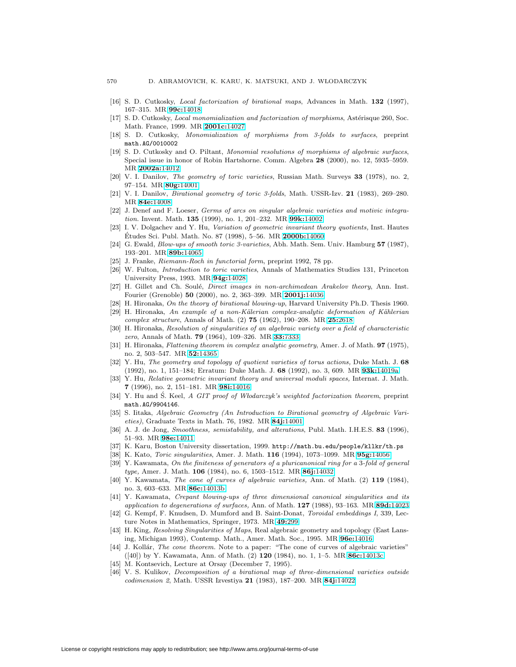- <span id="page-39-11"></span><span id="page-39-10"></span>[16] S. D. Cutkosky, Local factorization of birational maps, Advances in Math. **132** (1997), 167–315. MR **99c:**[14018](http://www.ams.org/mathscinet-getitem?mr=99c:14018)
- <span id="page-39-27"></span>[17] S. D. Cutkosky, Local monomialization and factorization of morphisms, Astérisque 260, Soc. Math. France, 1999. MR **[2001c:](http://www.ams.org/mathscinet-getitem?mr=2001c:14027)**14027
- <span id="page-39-28"></span>[18] S. D. Cutkosky, Monomialization of morphisms from 3-folds to surfaces, preprint math.AG/0010002
- [19] S. D. Cutkosky and O. Piltant, Monomial resolutions of morphisms of algebraic surfaces, Special issue in honor of Robin Hartshorne. Comm. Algebra **28** (2000), no. 12, 5935–5959. MR **[2002a:](http://www.ams.org/mathscinet-getitem?mr=2002a:14012)**14012
- <span id="page-39-24"></span><span id="page-39-8"></span>[20] V. I. Danilov, The geometry of toric varieties, Russian Math. Surveys **33** (1978), no. 2, 97–154. MR **80g:**[14001](http://www.ams.org/mathscinet-getitem?mr=80g:14001)
- <span id="page-39-2"></span>[21] V. I. Danilov, Birational geometry of toric 3-folds, Math. USSR-Izv. **21** (1983), 269–280. MR **84e:**[14008](http://www.ams.org/mathscinet-getitem?mr=84e:14008)
- [22] J. Denef and F. Loeser, Germs of arcs on singular algebraic varieties and motivic integration. Invent. Math. **135** (1999), no. 1, 201–232. MR **99k:**[14002](http://www.ams.org/mathscinet-getitem?mr=99k:14002)
- <span id="page-39-12"></span>[23] I. V. Dolgachev and Y. Hu, Variation of geometric invariant theory quotients, Inst. Hautes Etudes Sci. Publ. Math. No. 87 (1998), 5–56. MR ´ **[2000b:](http://www.ams.org/mathscinet-getitem?mr=2000b:14060)**14060
- <span id="page-39-9"></span><span id="page-39-4"></span>[24] G. Ewald, Blow-ups of smooth toric 3-varieties, Abh. Math. Sem. Univ. Hamburg **57** (1987), 193–201. MR **89b:**[14065](http://www.ams.org/mathscinet-getitem?mr=89b:14065)
- <span id="page-39-22"></span>[25] J. Franke, Riemann-Roch in functorial form, preprint 1992, 78 pp.
- [26] W. Fulton, Introduction to toric varieties, Annals of Mathematics Studies 131, Princeton University Press, 1993. MR **94g:**[14028](http://www.ams.org/mathscinet-getitem?mr=94g:14028)
- <span id="page-39-3"></span>[27] H. Gillet and Ch. Soulé, *Direct images in non-archimedean Arakelov theory*, Ann. Inst. Fourier (Grenoble) **50** (2000), no. 2, 363–399. MR **[2001j:](http://www.ams.org/mathscinet-getitem?mr=2001j:14036)**14036
- <span id="page-39-14"></span><span id="page-39-7"></span>[28] H. Hironaka, On the theory of birational blowing-up, Harvard University Ph.D. Thesis 1960.
- [29] H. Hironaka, An example of a non-Kälerian complex-analytic deformation of Kählerian complex structure, Annals of Math. (2) **75** (1962), 190–208. MR **25:**[2618](http://www.ams.org/mathscinet-getitem?mr=25:2618)
- <span id="page-39-5"></span>[30] H. Hironaka, Resolution of singularities of an algebraic variety over a field of characteristic zero, Annals of Math. **79** (1964), 109–326. MR **33:**[7333](http://www.ams.org/mathscinet-getitem?mr=33:7333)
- <span id="page-39-21"></span>[31] H. Hironaka, Flattening theorem in complex analytic geometry, Amer. J. of Math. **97** (1975), no. 2, 503–547. MR **52:**[14365](http://www.ams.org/mathscinet-getitem?mr=52:14365)
- [32] Y. Hu, The geometry and topology of quotient varieties of torus actions, Duke Math. J. **68** (1992), no. 1, 151–184; Erratum: Duke Math. J. **68** (1992), no. 3, 609. MR **93k:**[14019a](http://www.ams.org/mathscinet-getitem?mr=93k:14019a)
- <span id="page-39-26"></span>[33] Y. Hu, Relative geometric invariant theory and universal moduli spaces, Internat. J. Math. **7** (1996), no. 2, 151–181. MR **98i:**[14016](http://www.ams.org/mathscinet-getitem?mr=98i:14016)
- <span id="page-39-13"></span>[34] Y. Hu and S. Keel, A GIT proof of Włodarczyk's weighted factorization theorem, preprint math.AG/9904146.
- <span id="page-39-25"></span>[35] S. Iitaka, Algebraic Geometry (An Introduction to Birational geometry of Algebraic Varieties), Graduate Texts in Math. 76, 1982. MR **84j:**[14001](http://www.ams.org/mathscinet-getitem?mr=84j:14001)
- <span id="page-39-20"></span>[36] A. J. de Jong, Smoothness, semistability, and alterations, Publ. Math. I.H.E.S. **83** (1996), 51–93. MR **98e:**[14011](http://www.ams.org/mathscinet-getitem?mr=98e:14011)
- <span id="page-39-29"></span><span id="page-39-0"></span>[37] K. Karu, Boston University dissertation, 1999. http://math.bu.edu/people/kllkr/th.ps
- <span id="page-39-15"></span>[38] K. Kato, Toric singularities, Amer. J. Math. **116** (1994), 1073–1099. MR **95g:**[14056](http://www.ams.org/mathscinet-getitem?mr=95g:14056)
- [39] Y. Kawamata, On the finiteness of generators of a pluricanonical ring for a 3-fold of general type, Amer. J. Math. **106** (1984), no. 6, 1503–1512. MR **86j:**[14032](http://www.ams.org/mathscinet-getitem?mr=86j:14032)
- <span id="page-39-16"></span>[40] Y. Kawamata, The cone of curves of algebraic varieties, Ann. of Math. (2) **119** (1984), no. 3, 603–633. MR **86c:**[14013b](http://www.ams.org/mathscinet-getitem?mr=86c:14013b)
- <span id="page-39-17"></span>[41] Y. Kawamata, Crepant blowing-ups of three dimensional canonical singularities and its application to degenerations of surfaces, Ann. of Math. **127** (1988), 93–163. MR **89d:**[14023](http://www.ams.org/mathscinet-getitem?mr=89d:14023)
- <span id="page-39-23"></span>[42] G. Kempf, F. Knudsen, D. Mumford and B. Saint-Donat, Toroidal embeddings I, 339, Lecture Notes in Mathematics, Springer, 1973. MR **49:**[299](http://www.ams.org/mathscinet-getitem?mr=49:299)
- <span id="page-39-19"></span>[43] H. King, Resolving Singularities of Maps, Real algebraic geometry and topology (East Lansing, Michigan 1993), Contemp. Math., Amer. Math. Soc., 1995. MR **96e:**[14016](http://www.ams.org/mathscinet-getitem?mr=96e:14016)
- <span id="page-39-18"></span>[44] J. Kollár, The cone theorem. Note to a paper: "The cone of curves of algebraic varieties" ([40]) by Y. Kawamata, Ann. of Math. (2) **120** (1984), no. 1, 1–5. MR **86c:**[14013c](http://www.ams.org/mathscinet-getitem?mr=86c:14013c)
- <span id="page-39-6"></span><span id="page-39-1"></span>[45] M. Kontsevich, Lecture at Orsay (December 7, 1995).
- [46] V. S. Kulikov, Decomposition of a birational map of three-dimensional varieties outside codimension 2, Math. USSR Izvestiya **21** (1983), 187–200. MR **84j:**[14022](http://www.ams.org/mathscinet-getitem?mr=84j:14022)

License or copyright restrictions may apply to redistribution; see http://www.ams.org/journal-terms-of-use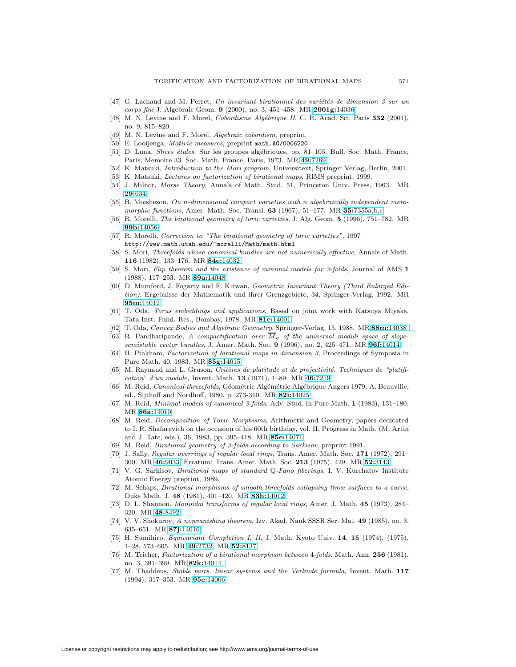- <span id="page-40-2"></span> $[47]$  G. Lachaud and M. Perret, Un invariant birationnel des variétés de dimension 3 sur un corps fini J. Algebraic Geom. **9** (2000), no. 3, 451–458. MR **[2001g:](http://www.ams.org/mathscinet-getitem?mr=2001g:14036)**14036
- <span id="page-40-4"></span>[48] M. N. Levine and F. Morel, *Cobordisme Algébrique II*, C. R. Acad. Sci. Paris 332 (2001), no. 9, 815–820.
- <span id="page-40-5"></span>[49] M. N. Levine and F. Morel, Algebraic cobordism, preprint.
- <span id="page-40-29"></span><span id="page-40-3"></span>[50] E. Looijenga, Motivic measures, preprint math.AG/0006220
- [51] D. Luna, Slices étales. Sur les groupes algébriques, pp. 81-105. Bull. Soc. Math. France, Paris, Memoire 33. Soc. Math. France, Paris, 1973. MR **49:**[7269](http://www.ams.org/mathscinet-getitem?mr=49:7269)
- <span id="page-40-24"></span><span id="page-40-1"></span>[52] K. Matsuki, Introduction to the Mori program, Universitext, Springer Verlag, Berlin, 2001.
- <span id="page-40-14"></span>[53] K. Matsuki, *Lectures on factorization of birational maps*, RIMS preprint, 1999.
- <span id="page-40-7"></span>[54] J. Milnor, Morse Theory, Annals of Math. Stud. 51, Princeton Univ. Press, 1963. MR **29:**[634](http://www.ams.org/mathscinet-getitem?mr=29:634)
- [55] B. Moishezon, On n-dimensional compact varieties with n algebraically independent meromorphic functions, Amer. Math. Soc. Transl. **63** (1967), 51–177. MR **35:**[7355a,b,c](http://www.ams.org/mathscinet-getitem?mr=35:7355a,b,c)
- <span id="page-40-13"></span><span id="page-40-0"></span>[56] R. Morelli, The birational geometry of toric varieties, J. Alg. Geom. **5** (1996), 751–782. MR **99b:**[14056](http://www.ams.org/mathscinet-getitem?mr=99b:14056)
- [57] R. Morelli, Correction to "The birational geometry of toric varieties", 1997 http://www.math.utah.edu/~morelli/Math/math.html
- <span id="page-40-16"></span>[58] S. Mori, Threefolds whose canonical bundles are not numerically effective, Annals of Math. **116** (1982), 133–176. MR **84e:**[14032](http://www.ams.org/mathscinet-getitem?mr=84e:14032)
- <span id="page-40-19"></span>[59] S. Mori, Flip theorem and the existence of minimal models for 3-folds, Journal of AMS **1** (1988), 117–253. MR **89a:**[14048](http://www.ams.org/mathscinet-getitem?mr=89a:14048)
- <span id="page-40-27"></span>[60] D. Mumford, J. Fogarty and F. Kirwan, Geometric Invariant Theory (Third Enlarged Edition), Ergebnisse der Mathematik und ihrer Grenzgebiete, 34, Springer-Verlag, 1992. MR **95m:**[14012](http://www.ams.org/mathscinet-getitem?mr=95m:14012)
- <span id="page-40-6"></span>[61] T. Oda, Torus embeddings and applications, Based on joint work with Katsuya Miyake. Tata Inst. Fund. Res., Bombay, 1978. MR **81e:**[14001](http://www.ams.org/mathscinet-getitem?mr=81e:14001)
- <span id="page-40-30"></span><span id="page-40-26"></span>[62] T. Oda, Convex Bodies and Algebraic Geometry, Springer-Verlag, 15, 1988. MR **88m:**[14038](http://www.ams.org/mathscinet-getitem?mr=88m:14038 ) [63] R. Pandharipande, A compactification over  $\overline{M}_g$  of the universal moduli space of slope-
- semistable vector bundles, J. Amer. Math. Soc. **9** (1996), no. 2, 425–471. MR **96f:**[14014](http://www.ams.org/mathscinet-getitem?mr=96f:14014)
- <span id="page-40-10"></span>[64] H. Pinkham, Factorization of birational maps in dimension 3, Proceedings of Symposia in Pure Math. 40, 1983. MR **85g:**[14015](http://www.ams.org/mathscinet-getitem?mr=85g:14015)
- <span id="page-40-25"></span><span id="page-40-17"></span>[65] M. Raynaud and L. Gruson, Critères de platitude et de projectivité. Techniques de "platification" d'un module, Invent. Math. **13** (1971), 1–89. MR **46:**[7219](http://www.ams.org/mathscinet-getitem?mr=46:7219)
- [66] M. Reid, *Canonical threeefolds*, Géométrie Algémétrie Algébrique Angers 1979, A. Beauville, ed., Sijthoff and Nordhoff, 1980, p. 273-310. MR **82i:**[14025](http://www.ams.org/mathscinet-getitem?mr=82i:14025)
- <span id="page-40-18"></span>[67] M. Reid, Minimal models of canonical 3-folds, Adv. Stud. in Pure Math. **1** (1983), 131–180. MR **86a:**[14010](http://www.ams.org/mathscinet-getitem?mr=86a:14010)
- <span id="page-40-21"></span>[68] M. Reid, Decomposition of Toric Morphisms, Arithmetic and Geometry, papers dedicated to I. R. Shafarevich on the occasion of his 60th birthday, vol. II, Progress in Math. (M. Artin and J. Tate, eds.), 36, 1983, pp. 395–418. MR **85e:**[14071](http://www.ams.org/mathscinet-getitem?mr=85e:14071)
- <span id="page-40-23"></span><span id="page-40-11"></span>[69] M. Reid, Birational geometry of 3-folds according to Sarkisov, preprint 1991.
- [70] J. Sally, Regular overrings of regular local rings, Trans. Amer. Math. Soc. **171** (1972), 291– 300. MR **46:**[9033;](http://www.ams.org/mathscinet-getitem?mr=46:9033) Erratum: Trans. Amer. Math. Soc. **213** (1975), 429. MR **52:**[3143](http://www.ams.org/mathscinet-getitem?mr=52:3143)
- <span id="page-40-22"></span>[71] V. G. Sarkisov, Birational maps of standard Q-Fano fiberings, I. V. Kurchatov Institute Atomic Energy preprint, 1989.
- <span id="page-40-8"></span>[72] M. Schaps, *Birational morphisms of smooth threefolds collapsing three surfaces to a curve*, Duke Math. J. **48** (1981), 401–420. MR **83h:**[14012](http://www.ams.org/mathscinet-getitem?mr=83h:14012)
- <span id="page-40-12"></span>[73] D. L. Shannon, Monoidal transforms of regular local rings, Amer. J. Math. **45** (1973), 284– 320. MR **48:**[8492](http://www.ams.org/mathscinet-getitem?mr=48:8492)
- <span id="page-40-20"></span>[74] V. V. Shokurov, A nonvanishing theorem, Izv. Akad. Nauk SSSR Ser. Mat. **49** (1985), no. 3, 635–651. MR **87j:**[14016](http://www.ams.org/mathscinet-getitem?mr=87j:14016)
- <span id="page-40-28"></span>[75] H. Sumihiro, Equivariant Completion I, II, J. Math. Kyoto Univ. **14**, **15** (1974), (1975), 1–28, 573–605. MR **49:**[2732;](http://www.ams.org/mathscinet-getitem?mr=49:2732) MR **52:**[8137](http://www.ams.org/mathscinet-getitem?mr=52:8137)
- <span id="page-40-9"></span>[76] M. Teicher, Factorization of a birational morphism between 4-folds. Math. Ann. **256** (1981), no. 3, 391–399. MR **82k:**[14014](http://www.ams.org/mathscinet-getitem?mr=82k:14014 )
- <span id="page-40-15"></span>[77] M. Thaddeus, Stable pairs, linear systems and the Verlinde formula, Invent. Math. **117** (1994), 317–353. MR **95e:**[14006](http://www.ams.org/mathscinet-getitem?mr=95e:14006)